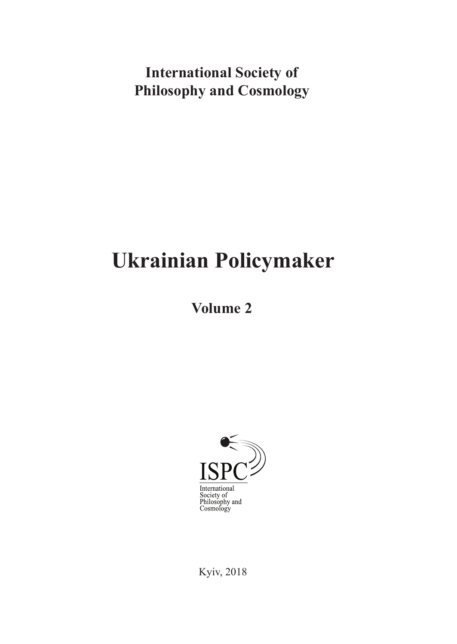# **International Society of Philosophy and Cosmology**

# **Ukrainian Policymaker**

**Volume 2**



Kyiv, 2018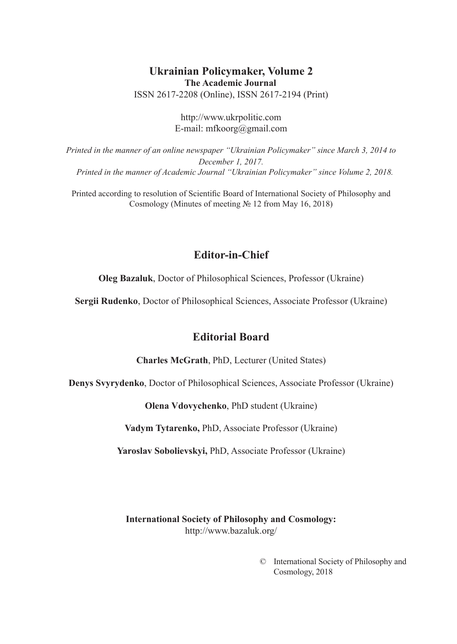#### **Ukrainian Policymaker, Volume 2 The Academic Journal** ISSN 2617-2208 (Online), ISSN 2617-2194 (Print)

http://www.ukrpolitic.com E-mail: mfkoorg@gmail.com

*Printed in the manner of an online newspaper "Ukrainian Policymaker" since March 3, 2014 to December 1, 2017. Printed in the manner of Academic Journal "Ukrainian Policymaker" since Volume 2, 2018.*

Printed according to resolution of Scientific Board of International Society of Philosophy and Cosmology (Minutes of meeting № 12 from May 16, 2018)

#### **Editor-in-Chief**

**Oleg Bazaluk**, Doctor of Philosophical Sciences, Professor (Ukraine)

**Sergii Rudenko**, Doctor of Philosophical Sciences, Associate Professor (Ukraine)

#### **Editorial Board**

**Charles McGrath**, PhD, Lecturer (United States)

**Denys Svyrydenko**, Doctor of Philosophical Sciences, Associate Professor (Ukraine)

**Оlena Vdovychenko**, PhD student (Ukraine)

**Vadym Tytarenko,** PhD, Associate Professor (Ukraine)

**Yaroslav Sobolievskyi,** PhD, Associate Professor (Ukraine)

**International Society of Philosophy and Cosmology:** http://www.bazaluk.org/

> © International Society of Philosophy and Cosmology, 2018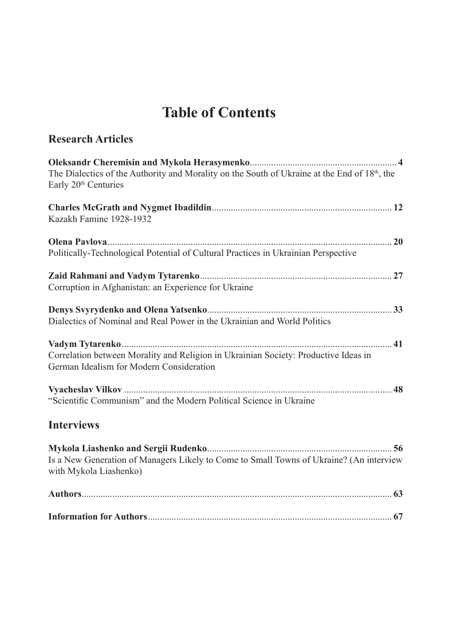# **Table of Contents**

**Research Articles**

| The Dialectics of the Authority and Morality on the South of Ukraine at the End of $18th$ , the<br>Early 20 <sup>th</sup> Centuries |  |
|-------------------------------------------------------------------------------------------------------------------------------------|--|
| Kazakh Famine 1928-1932                                                                                                             |  |
|                                                                                                                                     |  |
| Politically-Technological Potential of Cultural Practices in Ukrainian Perspective                                                  |  |
|                                                                                                                                     |  |
| Corruption in Afghanistan: an Experience for Ukraine                                                                                |  |
|                                                                                                                                     |  |
| Dialectics of Nominal and Real Power in the Ukrainian and World Politics                                                            |  |
|                                                                                                                                     |  |
| Correlation between Morality and Religion in Ukrainian Society: Productive Ideas in<br>German Idealism for Modern Consideration     |  |
|                                                                                                                                     |  |
| "Scientific Communism" and the Modern Political Science in Ukraine                                                                  |  |
| <b>Interviews</b>                                                                                                                   |  |
| Is a New Generation of Managers Likely to Come to Small Towns of Ukraine? (An interview<br>with Mykola Liashenko)                   |  |
|                                                                                                                                     |  |

**Information for Authors**....................................................................................................... **67**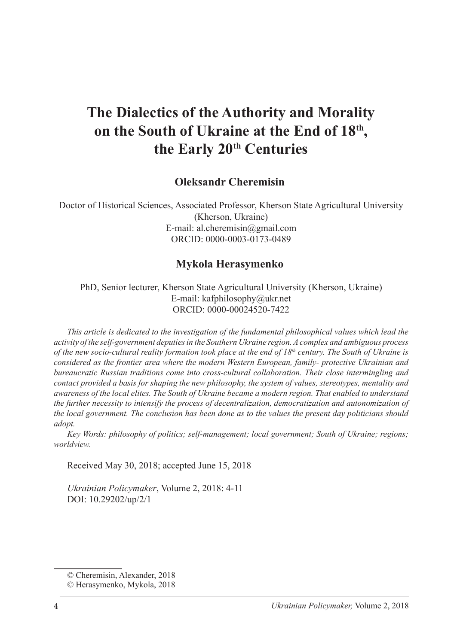# **The Dialectics of the Authority and Morality on the South of Ukraine at the End of 18th , the Early 20th Centuries**

#### **Oleksandr Сheremisin<sup>1</sup>**

Doctor of Historical Sciences, Associated Professor, Kherson State Agricultural University (Kherson, Ukraine) E-mail: al.cheremisin@gmail.com ORCID: 0000-0003-0173-0489

#### **Mykola Herasymenko**<sup>2</sup>

PhD, Senior lecturer, Kherson State Agricultural University (Kherson, Ukraine) E-mail: kafphilosophy@ukr.net ORCID: 0000-00024520-7422

*This article is dedicated to the investigation of the fundamental philosophical values which lead the activity of the self-government deputies in the Southern Ukraine region. A complex and ambiguous process of the new socio-cultural reality formation took place at the end of 18th century. The South of Ukraine is considered as the frontier area where the modern Western European, family- protective Ukrainian and bureaucratic Russian traditions come into cross-cultural collaboration. Their close intermingling and contact provided a basis for shaping the new philosophy, the system of values, stereotypes, mentality and awareness of the local elites. The South of Ukraine became a modern region. That enabled to understand the further necessity to intensify the process of decentralization, democratization and autonomization of the local government. The conclusion has been done as to the values the present day politicians should adopt.*

*Key Words: philosophy of politics; self-management; local government; South of Ukraine; regions; worldview.* 

Received May 30, 2018; accepted June 15, 2018

*Ukrainian Policymaker*, Volume 2, 2018: 4-11 DOI: 10.29202/up/2/1

<sup>©</sup> Сheremisin, Alexander, 2018

<sup>©</sup> Herasymenko, Mykola, 2018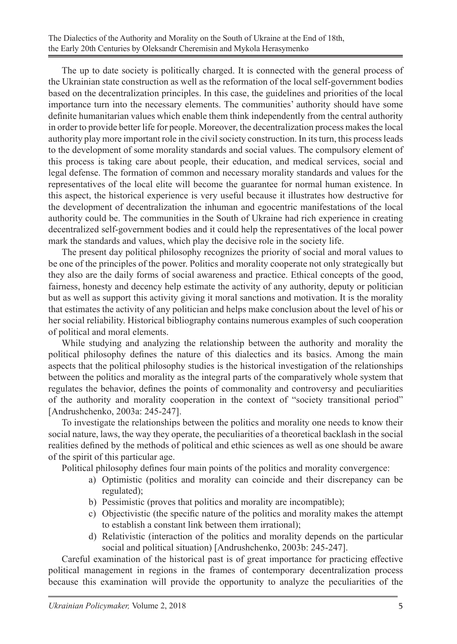The up to date society is politically charged. It is connected with the general process of the Ukrainian state construction as well as the reformation of the local self-government bodies based on the decentralization principles. In this case, the guidelines and priorities of the local importance turn into the necessary elements. The communities' authority should have some definite humanitarian values which enable them think independently from the central authority in order to provide better life for people. Moreover, the decentralization process makes the local authority play more important role in the civil society construction. In its turn, this process leads to the development of some morality standards and social values. The compulsory element of this process is taking care about people, their education, and medical services, social and legal defense. The formation of common and necessary morality standards and values for the representatives of the local elite will become the guarantee for normal human existence. In this aspect, the historical experience is very useful because it illustrates how destructive for the development of decentralization the inhuman and egocentric manifestations of the local authority could be. The communities in the South of Ukraine had rich experience in creating decentralized self-government bodies and it could help the representatives of the local power mark the standards and values, which play the decisive role in the society life.

The present day political philosophy recognizes the priority of social and moral values to be one of the principles of the power. Politics and morality cooperate not only strategically but they also are the daily forms of social awareness and practice. Ethical concepts of the good, fairness, honesty and decency help estimate the activity of any authority, deputy or politician but as well as support this activity giving it moral sanctions and motivation. It is the morality that estimates the activity of any politician and helps make conclusion about the level of his or her social reliability. Historical bibliography contains numerous examples of such cooperation of political and moral elements.

While studying and analyzing the relationship between the authority and morality the political philosophy defines the nature of this dialectics and its basics. Among the main aspects that the political philosophy studies is the historical investigation of the relationships between the politics and morality as the integral parts of the comparatively whole system that regulates the behavior, defines the points of commonality and controversy and peculiarities of the authority and morality cooperation in the context of "society transitional period" [Andrushchenko, 2003a: 245-247].

To investigate the relationships between the politics and morality one needs to know their social nature, laws, the way they operate, the peculiarities of a theoretical backlash in the social realities defined by the methods of political and ethic sciences as well as one should be aware of the spirit of this particular age.

Political philosophy defines four main points of the politics and morality convergence:

- a) Optimistic (politics and morality can coincide and their discrepancy can be regulated);
- b) Pessimistic (proves that politics and morality are incompatible);
- c) Objectivistic (the specific nature of the politics and morality makes the attempt to establish a constant link between them irrational);
- d) Relativistic (interaction of the politics and morality depends on the particular social and political situation) [Andrushchenko, 2003b: 245-247].

Careful examination of the historical past is of great importance for practicing effective political management in regions in the frames of contemporary decentralization process because this examination will provide the opportunity to analyze the peculiarities of the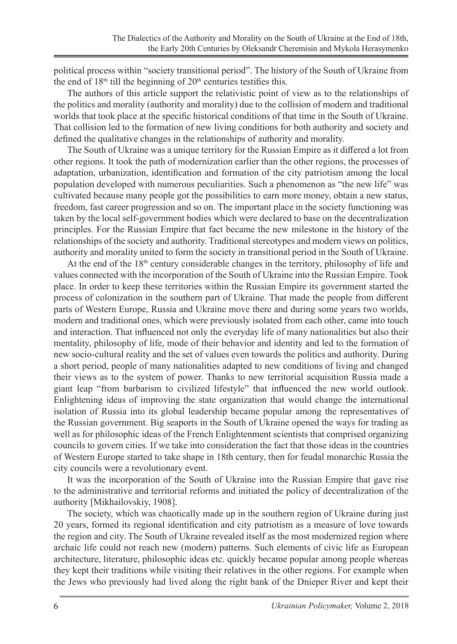political process within "society transitional period". The history of the South of Ukraine from the end of  $18<sup>th</sup>$  till the beginning of  $20<sup>th</sup>$  centuries testifies this.

The authors of this article support the relativistic point of view as to the relationships of the politics and morality (authority and morality) due to the collision of modern and traditional worlds that took place at the specific historical conditions of that time in the South of Ukraine. That collision led to the formation of new living conditions for both authority and society and defined the qualitative changes in the relationships of authority and morality.

The South of Ukraine was a unique territory for the Russian Empire as it differed a lot from other regions. It took the path of modernization earlier than the other regions, the processes of adaptation, urbanization, identification and formation of the city patriotism among the local population developed with numerous peculiarities. Such a phenomenon as "the new life" was cultivated because many people got the possibilities to earn more money, obtain a new status, freedom, fast career progression and so on. The important place in the society functioning was taken by the local self-government bodies which were declared to base on the decentralization principles. For the Russian Empire that fact became the new milestone in the history of the relationships of the society and authority. Traditional stereotypes and modern views on politics, authority and morality united to form the society in transitional period in the South of Ukraine.

At the end of the 18<sup>th</sup> century considerable changes in the territory, philosophy of life and values connected with the incorporation of the South of Ukraine into the Russian Empire. Took place. In order to keep these territories within the Russian Empire its government started the process of colonization in the southern part of Ukraine. That made the people from different parts of Western Europe, Russia and Ukraine move there and during some years two worlds, modern and traditional ones, which were previously isolated from each other, came into touch and interaction. That influenced not only the everyday life of many nationalities but also their mentality, philosophy of life, mode of their behavior and identity and led to the formation of new socio-cultural reality and the set of values even towards the politics and authority. During a short period, people of many nationalities adapted to new conditions of living and changed their views as to the system of power. Thanks to new territorial acquisition Russia made a giant leap "from barbarism to civilized lifestyle" that influenced the new world outlook. Enlightening ideas of improving the state organization that would change the international isolation of Russia into its global leadership became popular among the representatives of the Russian government. Big seaports in the South of Ukraine opened the ways for trading as well as for philosophic ideas of the French Enlightenment scientists that comprised organizing councils to govern cities. If we take into consideration the fact that those ideas in the countries of Western Europe started to take shape in 18th century, then for feudal monarchic Russia the city councils were a revolutionary event.

It was the incorporation of the South of Ukraine into the Russian Empire that gave rise to the administrative and territorial reforms and initiated the policy of decentralization of the authority [Mikhailovskiy, 1908].

The society, which was chaotically made up in the southern region of Ukraine during just 20 years, formed its regional identification and city patriotism as a measure of love towards the region and city. The South of Ukraine revealed itself as the most modernized region where archaic life could not reach new (modern) patterns. Such elements of civic life as European architecture, literature, philosophic ideas etc. quickly became popular among people whereas they kept their traditions while visiting their relatives in the other regions. For example when the Jews who previously had lived along the right bank of the Dnieper River and kept their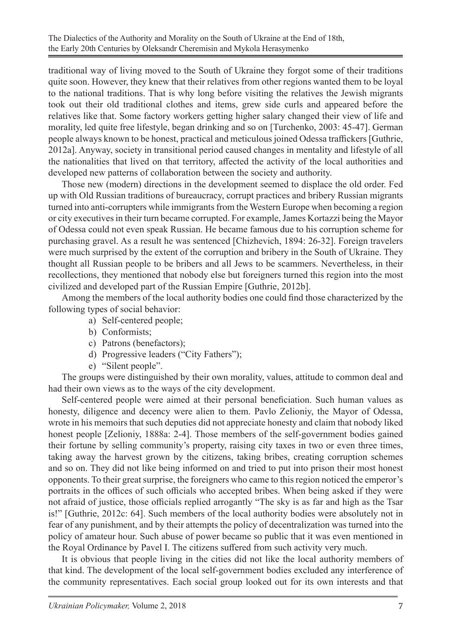traditional way of living moved to the South of Ukraine they forgot some of their traditions quite soon. However, they knew that their relatives from other regions wanted them to be loyal to the national traditions. That is why long before visiting the relatives the Jewish migrants took out their old traditional clothes and items, grew side curls and appeared before the relatives like that. Some factory workers getting higher salary changed their view of life and morality, led quite free lifestyle, began drinking and so on [Turchenko, 2003: 45-47]. German people always known to be honest, practical and meticulous joined Odessa traffickers [Guthrie, 2012a]. Anyway, society in transitional period caused changes in mentality and lifestyle of all the nationalities that lived on that territory, affected the activity of the local authorities and developed new patterns of collaboration between the society and authority.

Those new (modern) directions in the development seemed to displace the old order. Fed up with Old Russian traditions of bureaucracy, corrupt practices and bribery Russian migrants turned into anti-corrupters while immigrants from the Western Europe when becoming a region or city executives in their turn became corrupted. For example, James Kortazzi being the Mayor of Odessa could not even speak Russian. He became famous due to his corruption scheme for purchasing gravel. As a result he was sentenced [Chizhevich, 1894: 26-32]. Foreign travelers were much surprised by the extent of the corruption and bribery in the South of Ukraine. They thought all Russian people to be bribers and all Jews to be scammers. Nevertheless, in their recollections, they mentioned that nobody else but foreigners turned this region into the most civilized and developed part of the Russian Empire [Guthrie, 2012b].

Among the members of the local authority bodies one could find those characterized by the following types of social behavior:

- a) Self-centered people;
- b) Conformists;
- c) Patrons (benefactors);
- d) Progressive leaders ("City Fathers");
- e) "Silent people".

The groups were distinguished by their own morality, values, attitude to common deal and had their own views as to the ways of the city development.

Self-centered people were aimed at their personal beneficiation. Such human values as honesty, diligence and decency were alien to them. Pavlo Zelioniy, the Mayor of Odessa, wrote in his memoirs that such deputies did not appreciate honesty and claim that nobody liked honest people [Zelioniy, 1888a: 2-4]. Those members of the self-government bodies gained their fortune by selling community's property, raising city taxes in two or even three times, taking away the harvest grown by the citizens, taking bribes, creating corruption schemes and so on. They did not like being informed on and tried to put into prison their most honest opponents. To their great surprise, the foreigners who came to this region noticed the emperor's portraits in the offices of such officials who accepted bribes. When being asked if they were not afraid of justice, those officials replied arrogantly "The sky is as far and high as the Tsar is!" [Guthrie, 2012c: 64]. Such members of the local authority bodies were absolutely not in fear of any punishment, and by their attempts the policy of decentralization was turned into the policy of amateur hour. Such abuse of power became so public that it was even mentioned in the Royal Ordinance by Pavel I. The citizens suffered from such activity very much.

It is obvious that people living in the cities did not like the local authority members of that kind. The development of the local self-government bodies excluded any interference of the community representatives. Each social group looked out for its own interests and that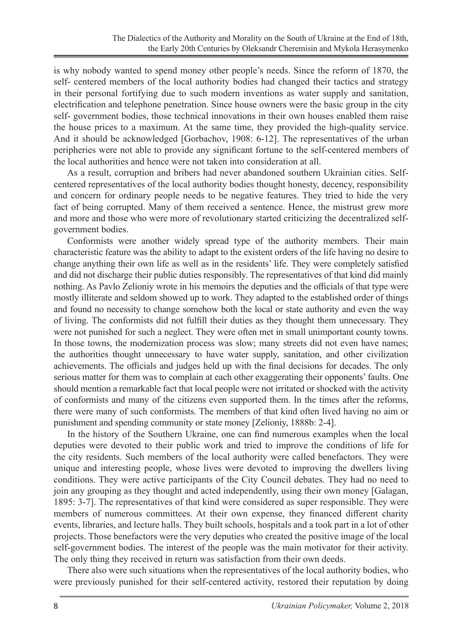is why nobody wanted to spend money other people's needs. Since the reform of 1870, the self- centered members of the local authority bodies had changed their tactics and strategy in their personal fortifying due to such modern inventions as water supply and sanitation, electrification and telephone penetration. Since house owners were the basic group in the city self- government bodies, those technical innovations in their own houses enabled them raise the house prices to a maximum. At the same time, they provided the high-quality service. And it should be acknowledged [Gorbachov, 1908: 6-12]. The representatives of the urban peripheries were not able to provide any significant fortune to the self-centered members of the local authorities and hence were not taken into consideration at all.

As a result, corruption and bribers had never abandoned southern Ukrainian cities. Selfcentered representatives of the local authority bodies thought honesty, decency, responsibility and concern for ordinary people needs to be negative features. They tried to hide the very fact of being corrupted. Many of them received a sentence. Hence, the mistrust grew more and more and those who were more of revolutionary started criticizing the decentralized selfgovernment bodies.

Conformists were another widely spread type of the authority members. Their main characteristic feature was the ability to adapt to the existent orders of the life having no desire to change anything their own life as well as in the residents' life. They were completely satisfied and did not discharge their public duties responsibly. The representatives of that kind did mainly nothing. As Pavlo Zelioniy wrote in his memoirs the deputies and the officials of that type were mostly illiterate and seldom showed up to work. They adapted to the established order of things and found no necessity to change somehow both the local or state authority and even the way of living. The conformists did not fulfill their duties as they thought them unnecessary. They were not punished for such a neglect. They were often met in small unimportant county towns. In those towns, the modernization process was slow; many streets did not even have names; the authorities thought unnecessary to have water supply, sanitation, and other civilization achievements. The officials and judges held up with the final decisions for decades. The only serious matter for them was to complain at each other exaggerating their opponents' faults. One should mention a remarkable fact that local people were not irritated or shocked with the activity of conformists and many of the citizens even supported them. In the times after the reforms, there were many of such conformists. The members of that kind often lived having no aim or punishment and spending community or state money [Zelioniy, 1888b: 2-4].

In the history of the Southern Ukraine, one can find numerous examples when the local deputies were devoted to their public work and tried to improve the conditions of life for the city residents. Such members of the local authority were called benefactors. They were unique and interesting people, whose lives were devoted to improving the dwellers living conditions. They were active participants of the City Council debates. They had no need to join any grouping as they thought and acted independently, using their own money [Galagan, 1895: 3-7]. The representatives of that kind were considered as super responsible. They were members of numerous committees. At their own expense, they financed different charity events, libraries, and lecture halls. They built schools, hospitals and a took part in a lot of other projects. Those benefactors were the very deputies who created the positive image of the local self-government bodies. The interest of the people was the main motivator for their activity. The only thing they received in return was satisfaction from their own deeds.

There also were such situations when the representatives of the local authority bodies, who were previously punished for their self-centered activity, restored their reputation by doing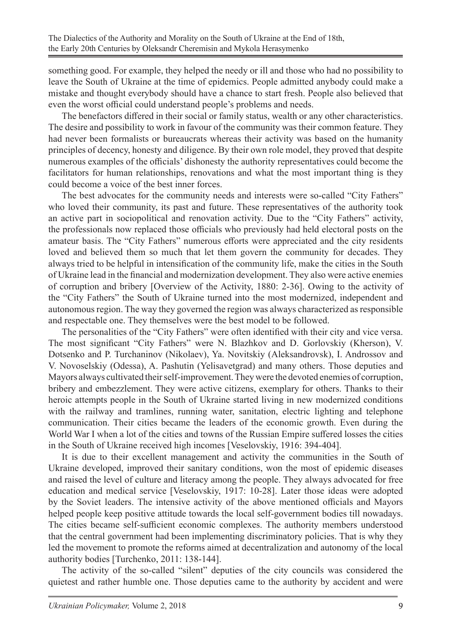something good. For example, they helped the needy or ill and those who had no possibility to leave the South of Ukraine at the time of epidemics. People admitted anybody could make a mistake and thought everybody should have a chance to start fresh. People also believed that even the worst official could understand people's problems and needs.

The benefactors differed in their social or family status, wealth or any other characteristics. The desire and possibility to work in favour of the community was their common feature. They had never been formalists or bureaucrats whereas their activity was based on the humanity principles of decency, honesty and diligence. By their own role model, they proved that despite numerous examples of the officials' dishonesty the authority representatives could become the facilitators for human relationships, renovations and what the most important thing is they could become a voice of the best inner forces.

The best advocates for the community needs and interests were so-called "City Fathers" who loved their community, its past and future. These representatives of the authority took an active part in sociopolitical and renovation activity. Due to the "City Fathers" activity, the professionals now replaced those officials who previously had held electoral posts on the amateur basis. The "City Fathers" numerous efforts were appreciated and the city residents loved and believed them so much that let them govern the community for decades. They always tried to be helpful in intensification of the community life, make the cities in the South of Ukraine lead in the financial and modernization development. They also were active enemies of corruption and bribery [Overview of the Activity, 1880: 2-36]. Owing to the activity of the "City Fathers" the South of Ukraine turned into the most modernized, independent and autonomous region. The way they governed the region was always characterized as responsible and respectable one. They themselves were the best model to be followed.

The personalities of the "City Fathers" were often identified with their city and vice versa. The most significant "City Fathers" were N. Blazhkov and D. Gorlovskiy (Kherson), V. Dotsenko and P. Turchaninov (Nikolaev), Ya. Novitskiy (Aleksandrovsk), I. Androssov and V. Novoselskiy (Odessa), A. Pashutin (Yelisavetgrad) and many others. Those deputies and Mayors always cultivated their self-improvement. They were the devoted enemies of corruption, bribery and embezzlement. They were active citizens, exemplary for others. Thanks to their heroic attempts people in the South of Ukraine started living in new modernized conditions with the railway and tramlines, running water, sanitation, electric lighting and telephone communication. Their cities became the leaders of the economic growth. Even during the World War I when a lot of the cities and towns of the Russian Empire suffered losses the cities in the South of Ukraine received high incomes [Veselovskiy, 1916: 394-404].

It is due to their excellent management and activity the communities in the South of Ukraine developed, improved their sanitary conditions, won the most of epidemic diseases and raised the level of culture and literacy among the people. They always advocated for free education and medical service [Veselovskiy, 1917: 10-28]. Later those ideas were adopted by the Soviet leaders. The intensive activity of the above mentioned officials and Mayors helped people keep positive attitude towards the local self-government bodies till nowadays. The cities became self-sufficient economic complexes. The authority members understood that the central government had been implementing discriminatory policies. That is why they led the movement to promote the reforms aimed at decentralization and autonomy of the local authority bodies [Turchenko, 2011: 138-144].

The activity of the so-called "silent" deputies of the city councils was considered the quietest and rather humble one. Those deputies came to the authority by accident and were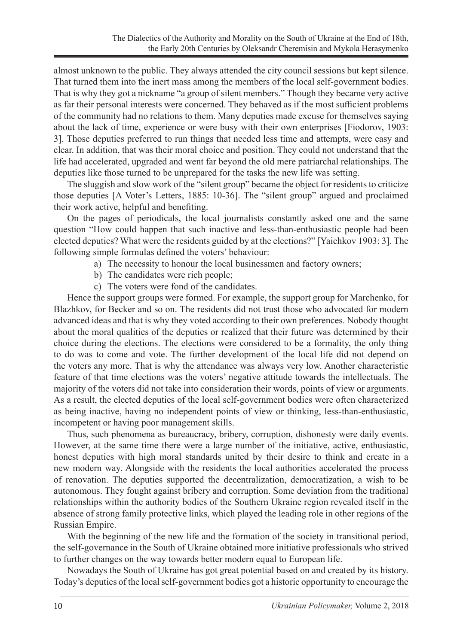almost unknown to the public. They always attended the city council sessions but kept silence. That turned them into the inert mass among the members of the local self-government bodies. That is why they got a nickname "a group of silent members." Though they became very active as far their personal interests were concerned. They behaved as if the most sufficient problems of the community had no relations to them. Many deputies made excuse for themselves saying about the lack of time, experience or were busy with their own enterprises [Fiodorov, 1903: 3]. Those deputies preferred to run things that needed less time and attempts, were easy and clear. In addition, that was their moral choice and position. They could not understand that the life had accelerated, upgraded and went far beyond the old mere patriarchal relationships. The deputies like those turned to be unprepared for the tasks the new life was setting.

The sluggish and slow work of the "silent group" became the object for residents to criticize those deputies [A Voter's Letters, 1885: 10-36]. The "silent group" argued and proclaimed their work active, helpful and benefiting.

On the pages of periodicals, the local journalists constantly asked one and the same question "How could happen that such inactive and less-than-enthusiastic people had been elected deputies? What were the residents guided by at the elections?" [Yaichkov 1903: 3]. The following simple formulas defined the voters' behaviour:

- a) The necessity to honour the local businessmen and factory owners;
- b) The candidates were rich people;
- c) The voters were fond of the candidates.

Hence the support groups were formed. For example, the support group for Marchenko, for Blazhkov, for Becker and so on. The residents did not trust those who advocated for modern advanced ideas and that is why they voted according to their own preferences. Nobody thought about the moral qualities of the deputies or realized that their future was determined by their choice during the elections. The elections were considered to be a formality, the only thing to do was to come and vote. The further development of the local life did not depend on the voters any more. That is why the attendance was always very low. Another characteristic feature of that time elections was the voters' negative attitude towards the intellectuals. The majority of the voters did not take into consideration their words, points of view or arguments. As a result, the elected deputies of the local self-government bodies were often characterized as being inactive, having no independent points of view or thinking, less-than-enthusiastic, incompetent or having poor management skills.

Thus, such phenomena as bureaucracy, bribery, corruption, dishonesty were daily events. However, at the same time there were a large number of the initiative, active, enthusiastic, honest deputies with high moral standards united by their desire to think and create in a new modern way. Alongside with the residents the local authorities accelerated the process of renovation. The deputies supported the decentralization, democratization, a wish to be autonomous. They fought against bribery and corruption. Some deviation from the traditional relationships within the authority bodies of the Southern Ukraine region revealed itself in the absence of strong family protective links, which played the leading role in other regions of the Russian Empire.

With the beginning of the new life and the formation of the society in transitional period, the self-governance in the South of Ukraine obtained more initiative professionals who strived to further changes on the way towards better modern equal to European life.

Nowadays the South of Ukraine has got great potential based on and created by its history. Today's deputies of the local self-government bodies got a historic opportunity to encourage the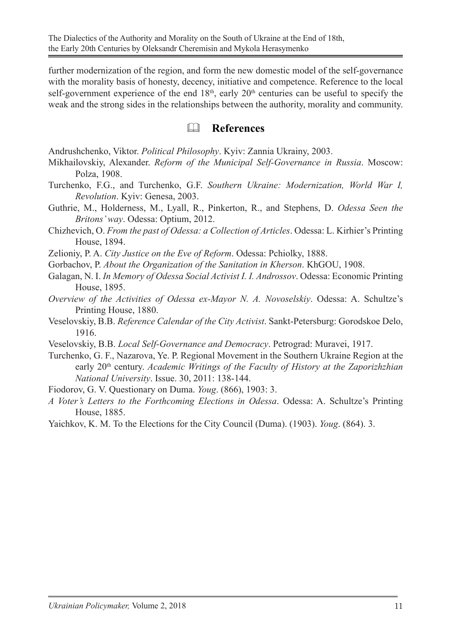further modernization of the region, and form the new domestic model of the self-governance with the morality basis of honesty, decency, initiative and competence. Reference to the local self-government experience of the end  $18<sup>th</sup>$ , early  $20<sup>th</sup>$  centuries can be useful to specify the weak and the strong sides in the relationships between the authority, morality and community.

### **References**

Andrushchenko, Viktor. *Political Philosophy*. Kyiv: Zannia Ukrainy, 2003.

- Mikhailovskiy, Alexander. *Reform of the Municipal Self-Governance in Russia*. Moscow: Polza, 1908.
- Turchenko, F.G., and Turchenko, G.F. *Southern Ukraine: Modernization, World War I, Revolution*. Kyiv: Genesa, 2003.
- Guthrie, M., Holderness, M., Lyall, R., Pinkerton, R., and Stephens, D. *Odessa Seen the Britons' way*. Odessa: Optium, 2012.
- Chizhevich, O. *From the past of Odessa: a Collection of Articles*. Odessa: L. Kirhier's Printing House, 1894.

Zelioniy, P. A. *City Justice on the Eve of Reform*. Odessa: Pchiolky, 1888.

- Gorbachov, P. *About the Organization of the Sanitation in Kherson*. KhGOU, 1908.
- Galagan, N. I. *In Memory of Odessa Social Activist I. I. Androssov*. Odessa: Economic Printing House, 1895.
- *Overview of the Activities of Odessa ex-Mayor N. A. Novoselskiy*. Odessa: A. Schultze's Printing House, 1880.
- Veselovskiy, B.B. *Reference Calendar of the City Activist*. Sankt-Petersburg: Gorodskoe Delo, 1916.
- Veselovskiy, B.B. *Local Self-Governance and Democracy*. Petrograd: Muravei, 1917.
- Turchenko, G. F., Nazarova, Ye. P. Regional Movement in the Southern Ukraine Region at the early 20<sup>th</sup> century. *Academic Writings of the Faculty of History at the Zaporizhzhian National University*. Issue. 30, 2011: 138-144.

Fiodorov, G. V. Questionary on Duma. *Youg*. (866), 1903: 3.

- *A Voter's Letters to the Forthcoming Elections in Odessa*. Odessa: A. Schultze's Printing House, 1885.
- Yaichkov, K. M. To the Elections for the City Council (Duma). (1903). *Youg*. (864). 3.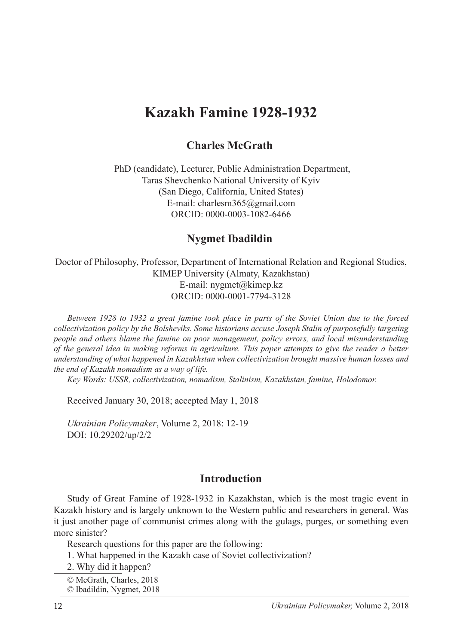# **Kazakh Famine 1928-1932**

#### **Charles McGrath**

 PhD (candidate), Lecturer, Public Administration Department, Taras Shevchenko National University of Kyiv (San Diego, California, United States) E-mail: charlesm365@gmail.com ORCID: 0000-0003-1082-6466

#### **Nygmet Ibadildin**<sup>2</sup>

Doctor of Philosophy, Professor, Department of International Relation and Regional Studies, KIMEP University (Almaty, Kazakhstan) E-mail: nygmet@kimep.kz ORCID: 0000-0001-7794-3128

*Between 1928 to 1932 a great famine took place in parts of the Soviet Union due to the forced collectivization policy by the Bolsheviks. Some historians accuse Joseph Stalin of purposefully targeting people and others blame the famine on poor management, policy errors, and local misunderstanding of the general idea in making reforms in agriculture. This paper attempts to give the reader a better understanding of what happened in Kazakhstan when collectivization brought massive human losses and the end of Kazakh nomadism as a way of life.*

*Key Words: USSR, collectivization, nomadism, Stalinism, Kazakhstan, famine, Holodomor.*

Received January 30, 2018; accepted May 1, 2018

*Ukrainian Policymaker*, Volume 2, 2018: 12-19 DOI: 10.29202/up/2/2

#### **Introduction**

Study of Great Famine of 1928-1932 in Kazakhstan, which is the most tragic event in Kazakh history and is largely unknown to the Western public and researchers in general. Was it just another page of communist crimes along with the gulags, purges, or something even more sinister?

Research questions for this paper are the following:

1. What happened in the Kazakh case of Soviet collectivization?

2. Why did it happen?

<sup>©</sup> McGrath, Charles, 2018

<sup>©</sup> Ibadildin, Nygmet, 2018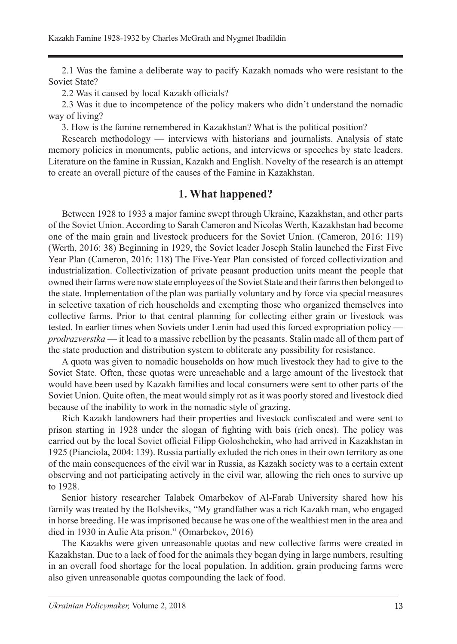2.1 Was the famine a deliberate way to pacify Kazakh nomads who were resistant to the Soviet State?

2.2 Was it caused by local Kazakh officials?

2.3 Was it due to incompetence of the policy makers who didn't understand the nomadic way of living?

3. How is the famine remembered in Kazakhstan? What is the political position?

Research methodology — interviews with historians and journalists. Analysis of state memory policies in monuments, public actions, and interviews or speeches by state leaders. Literature on the famine in Russian, Kazakh and English. Novelty of the research is an attempt to create an overall picture of the causes of the Famine in Kazakhstan.

#### **1. What happened?**

Between 1928 to 1933 a major famine swept through Ukraine, Kazakhstan, and other parts of the Soviet Union. According to Sarah Cameron and Nicolas Werth, Kazakhstan had become one of the main grain and livestock producers for the Soviet Union. (Cameron, 2016: 119) (Werth, 2016: 38) Beginning in 1929, the Soviet leader Joseph Stalin launched the First Five Year Plan (Cameron, 2016: 118) The Five-Year Plan consisted of forced collectivization and industrialization. Collectivization of private peasant production units meant the people that owned their farms were now state employees of the Soviet State and their farms then belonged to the state. Implementation of the plan was partially voluntary and by force via special measures in selective taxation of rich households and exempting those who organized themselves into collective farms. Prior to that central planning for collecting either grain or livestock was tested. In earlier times when Soviets under Lenin had used this forced expropriation policy *prodrazverstka* — it lead to a massive rebellion by the peasants. Stalin made all of them part of the state production and distribution system to obliterate any possibility for resistance.

A quota was given to nomadic households on how much livestock they had to give to the Soviet State. Often, these quotas were unreachable and a large amount of the livestock that would have been used by Kazakh families and local consumers were sent to other parts of the Soviet Union. Quite often, the meat would simply rot as it was poorly stored and livestock died because of the inability to work in the nomadic style of grazing.

Rich Kazakh landowners had their properties and livestock confiscated and were sent to prison starting in 1928 under the slogan of fighting with bais (rich ones). The policy was carried out by the local Soviet official Filipp Goloshchekin, who had arrived in Kazakhstan in 1925 (Pianciola, 2004: 139). Russia partially exluded the rich ones in their own territory as one of the main consequences of the civil war in Russia, as Kazakh society was to a certain extent observing and not participating actively in the civil war, allowing the rich ones to survive up to 1928.

Senior history researcher Talabek Omarbekov of Al-Farab University shared how his family was treated by the Bolsheviks, "My grandfather was a rich Kazakh man, who engaged in horse breeding. He was imprisoned because he was one of the wealthiest men in the area and died in 1930 in Aulie Ata prison." (Omarbekov, 2016)

The Kazakhs were given unreasonable quotas and new collective farms were created in Kazakhstan. Due to a lack of food for the animals they began dying in large numbers, resulting in an overall food shortage for the local population. In addition, grain producing farms were also given unreasonable quotas compounding the lack of food.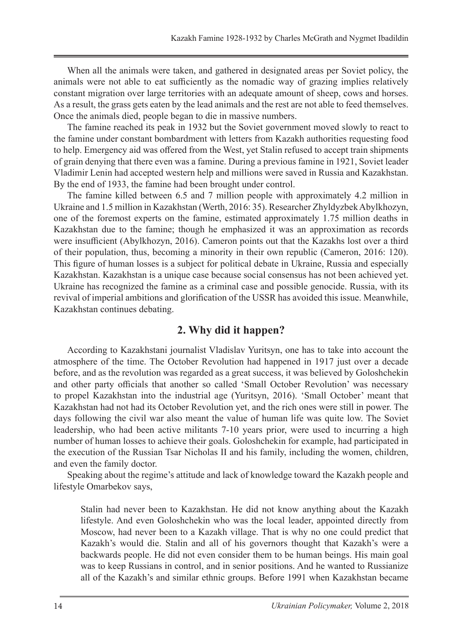When all the animals were taken, and gathered in designated areas per Soviet policy, the animals were not able to eat sufficiently as the nomadic way of grazing implies relatively constant migration over large territories with an adequate amount of sheep, cows and horses. As a result, the grass gets eaten by the lead animals and the rest are not able to feed themselves. Once the animals died, people began to die in massive numbers.

The famine reached its peak in 1932 but the Soviet government moved slowly to react to the famine under constant bombardment with letters from Kazakh authorities requesting food to help. Emergency aid was offered from the West, yet Stalin refused to accept train shipments of grain denying that there even was a famine. During a previous famine in 1921, Soviet leader Vladimir Lenin had accepted western help and millions were saved in Russia and Kazakhstan. By the end of 1933, the famine had been brought under control.

The famine killed between 6.5 and 7 million people with approximately 4.2 million in Ukraine and 1.5 million in Kazakhstan (Werth, 2016: 35). Researcher Zhyldyzbek Abylkhozyn, one of the foremost experts on the famine, estimated approximately 1.75 million deaths in Kazakhstan due to the famine; though he emphasized it was an approximation as records were insufficient (Abylkhozyn, 2016). Cameron points out that the Kazakhs lost over a third of their population, thus, becoming a minority in their own republic (Cameron, 2016: 120). This figure of human losses is a subject for political debate in Ukraine, Russia and especially Kazakhstan. Kazakhstan is a unique case because social consensus has not been achieved yet. Ukraine has recognized the famine as a criminal case and possible genocide. Russia, with its revival of imperial ambitions and glorification of the USSR has avoided this issue. Meanwhile, Kazakhstan continues debating.

### **2. Why did it happen?**

According to Kazakhstani journalist Vladislav Yuritsyn, one has to take into account the atmosphere of the time. The October Revolution had happened in 1917 just over a decade before, and as the revolution was regarded as a great success, it was believed by Goloshchekin and other party officials that another so called 'Small October Revolution' was necessary to propel Kazakhstan into the industrial age (Yuritsyn, 2016). 'Small October' meant that Kazakhstan had not had its October Revolution yet, and the rich ones were still in power. The days following the civil war also meant the value of human life was quite low. The Soviet leadership, who had been active militants 7-10 years prior, were used to incurring a high number of human losses to achieve their goals. Goloshchekin for example, had participated in the execution of the Russian Tsar Nicholas II and his family, including the women, children, and even the family doctor.

Speaking about the regime's attitude and lack of knowledge toward the Kazakh people and lifestyle Omarbekov says,

Stalin had never been to Kazakhstan. He did not know anything about the Kazakh lifestyle. And even Goloshchekin who was the local leader, appointed directly from Moscow, had never been to a Kazakh village. That is why no one could predict that Kazakh's would die. Stalin and all of his governors thought that Kazakh's were a backwards people. He did not even consider them to be human beings. His main goal was to keep Russians in control, and in senior positions. And he wanted to Russianize all of the Kazakh's and similar ethnic groups. Before 1991 when Kazakhstan became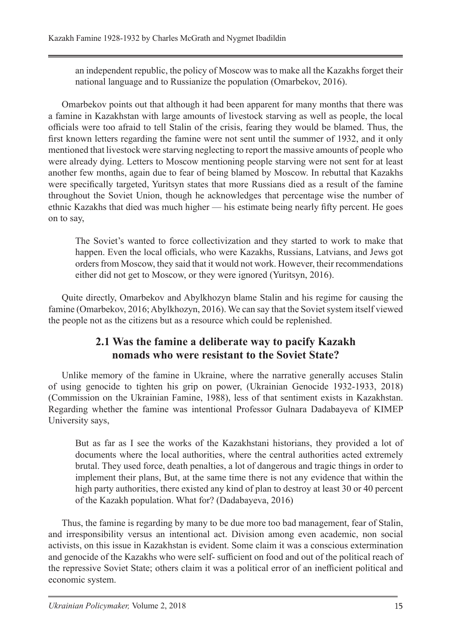an independent republic, the policy of Moscow was to make all the Kazakhs forget their national language and to Russianize the population (Omarbekov, 2016).

Omarbekov points out that although it had been apparent for many months that there was a famine in Kazakhstan with large amounts of livestock starving as well as people, the local officials were too afraid to tell Stalin of the crisis, fearing they would be blamed. Thus, the first known letters regarding the famine were not sent until the summer of 1932, and it only mentioned that livestock were starving neglecting to report the massive amounts of people who were already dying. Letters to Moscow mentioning people starving were not sent for at least another few months, again due to fear of being blamed by Moscow. In rebuttal that Kazakhs were specifically targeted, Yuritsyn states that more Russians died as a result of the famine throughout the Soviet Union, though he acknowledges that percentage wise the number of ethnic Kazakhs that died was much higher — his estimate being nearly fifty percent. He goes on to say,

The Soviet's wanted to force collectivization and they started to work to make that happen. Even the local officials, who were Kazakhs, Russians, Latvians, and Jews got orders from Moscow, they said that it would not work. However, their recommendations either did not get to Moscow, or they were ignored (Yuritsyn, 2016).

Quite directly, Omarbekov and Abylkhozyn blame Stalin and his regime for causing the famine (Omarbekov, 2016; Abylkhozyn, 2016). We can say that the Soviet system itself viewed the people not as the citizens but as a resource which could be replenished.

# **2.1 Was the famine a deliberate way to pacify Kazakh nomads who were resistant to the Soviet State?**

Unlike memory of the famine in Ukraine, where the narrative generally accuses Stalin of using genocide to tighten his grip on power, (Ukrainian Genocide 1932-1933, 2018) (Commission on the Ukrainian Famine, 1988), less of that sentiment exists in Kazakhstan. Regarding whether the famine was intentional Professor Gulnara Dadabayeva of KIMEP University says,

But as far as I see the works of the Kazakhstani historians, they provided a lot of documents where the local authorities, where the central authorities acted extremely brutal. They used force, death penalties, a lot of dangerous and tragic things in order to implement their plans, But, at the same time there is not any evidence that within the high party authorities, there existed any kind of plan to destroy at least 30 or 40 percent of the Kazakh population. What for? (Dadabayeva, 2016)

Thus, the famine is regarding by many to be due more too bad management, fear of Stalin, and irresponsibility versus an intentional act. Division among even academic, non social activists, on this issue in Kazakhstan is evident. Some claim it was a conscious extermination and genocide of the Kazakhs who were self- sufficient on food and out of the political reach of the repressive Soviet State; others claim it was a political error of an inefficient political and economic system.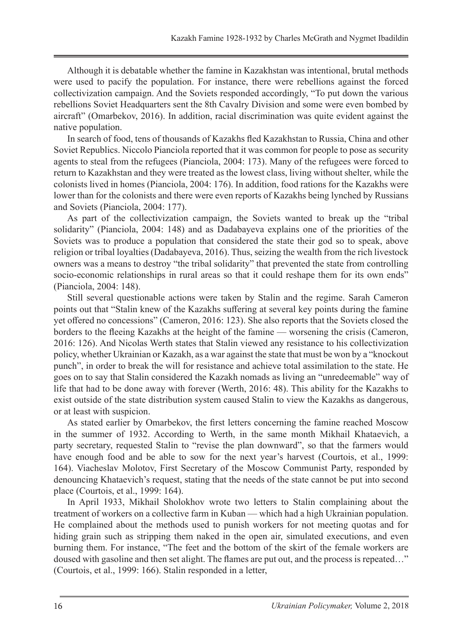Although it is debatable whether the famine in Kazakhstan was intentional, brutal methods were used to pacify the population. For instance, there were rebellions against the forced collectivization campaign. And the Soviets responded accordingly, "To put down the various rebellions Soviet Headquarters sent the 8th Cavalry Division and some were even bombed by aircraft" (Omarbekov, 2016). In addition, racial discrimination was quite evident against the native population.

In search of food, tens of thousands of Kazakhs fled Kazakhstan to Russia, China and other Soviet Republics. Niccolo Pianciola reported that it was common for people to pose as security agents to steal from the refugees (Pianciola, 2004: 173). Many of the refugees were forced to return to Kazakhstan and they were treated as the lowest class, living without shelter, while the colonists lived in homes (Pianciola, 2004: 176). In addition, food rations for the Kazakhs were lower than for the colonists and there were even reports of Kazakhs being lynched by Russians and Soviets (Pianciola, 2004: 177).

As part of the collectivization campaign, the Soviets wanted to break up the "tribal solidarity" (Pianciola, 2004: 148) and as Dadabayeva explains one of the priorities of the Soviets was to produce a population that considered the state their god so to speak, above religion or tribal loyalties (Dadabayeva, 2016). Thus, seizing the wealth from the rich livestock owners was a means to destroy "the tribal solidarity" that prevented the state from controlling socio-economic relationships in rural areas so that it could reshape them for its own ends" (Pianciola, 2004: 148).

Still several questionable actions were taken by Stalin and the regime. Sarah Cameron points out that "Stalin knew of the Kazakhs suffering at several key points during the famine yet offered no concessions" (Cameron, 2016: 123). She also reports that the Soviets closed the borders to the fleeing Kazakhs at the height of the famine — worsening the crisis (Cameron, 2016: 126). And Nicolas Werth states that Stalin viewed any resistance to his collectivization policy, whether Ukrainian or Kazakh, as a war against the state that must be won by a "knockout punch", in order to break the will for resistance and achieve total assimilation to the state. He goes on to say that Stalin considered the Kazakh nomads as living an "unredeemable" way of life that had to be done away with forever (Werth, 2016: 48). This ability for the Kazakhs to exist outside of the state distribution system caused Stalin to view the Kazakhs as dangerous, or at least with suspicion.

As stated earlier by Omarbekov, the first letters concerning the famine reached Moscow in the summer of 1932. According to Werth, in the same month Mikhail Khataevich, a party secretary, requested Stalin to "revise the plan downward", so that the farmers would have enough food and be able to sow for the next year's harvest (Courtois, et al., 1999: 164). Viacheslav Molotov, First Secretary of the Moscow Communist Party, responded by denouncing Khataevich's request, stating that the needs of the state cannot be put into second place (Courtois, et al., 1999: 164).

In April 1933, Mikhail Sholokhov wrote two letters to Stalin complaining about the treatment of workers on a collective farm in Kuban — which had a high Ukrainian population. He complained about the methods used to punish workers for not meeting quotas and for hiding grain such as stripping them naked in the open air, simulated executions, and even burning them. For instance, "The feet and the bottom of the skirt of the female workers are doused with gasoline and then set alight. The flames are put out, and the process is repeated…" (Courtois, et al., 1999: 166). Stalin responded in a letter,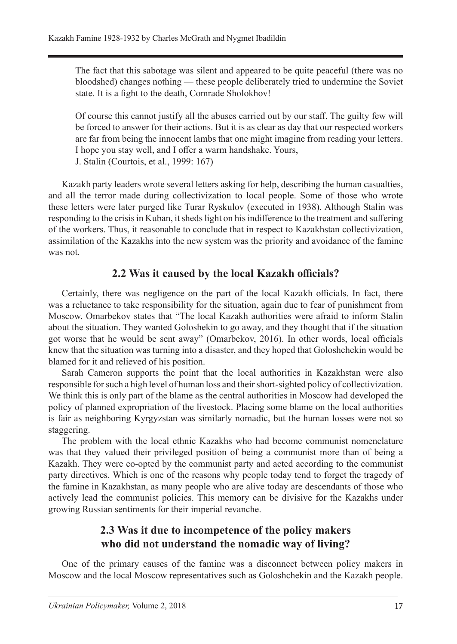The fact that this sabotage was silent and appeared to be quite peaceful (there was no bloodshed) changes nothing — these people deliberately tried to undermine the Soviet state. It is a fight to the death, Comrade Sholokhov!

Of course this cannot justify all the abuses carried out by our staff. The guilty few will be forced to answer for their actions. But it is as clear as day that our respected workers are far from being the innocent lambs that one might imagine from reading your letters. I hope you stay well, and I offer a warm handshake. Yours, J. Stalin (Courtois, et al., 1999: 167)

Kazakh party leaders wrote several letters asking for help, describing the human casualties, and all the terror made during collectivization to local people. Some of those who wrote these letters were later purged like Turar Ryskulov (executed in 1938). Although Stalin was responding to the crisis in Kuban, it sheds light on his indifference to the treatment and suffering of the workers. Thus, it reasonable to conclude that in respect to Kazakhstan collectivization, assimilation of the Kazakhs into the new system was the priority and avoidance of the famine was not.

### **2.2 Was it caused by the local Kazakh officials?**

Certainly, there was negligence on the part of the local Kazakh officials. In fact, there was a reluctance to take responsibility for the situation, again due to fear of punishment from Moscow. Omarbekov states that "The local Kazakh authorities were afraid to inform Stalin about the situation. They wanted Goloshekin to go away, and they thought that if the situation got worse that he would be sent away" (Omarbekov, 2016). In other words, local officials knew that the situation was turning into a disaster, and they hoped that Goloshchekin would be blamed for it and relieved of his position.

Sarah Cameron supports the point that the local authorities in Kazakhstan were also responsible for such a high level of human loss and their short-sighted policy of collectivization. We think this is only part of the blame as the central authorities in Moscow had developed the policy of planned expropriation of the livestock. Placing some blame on the local authorities is fair as neighboring Kyrgyzstan was similarly nomadic, but the human losses were not so staggering.

The problem with the local ethnic Kazakhs who had become communist nomenclature was that they valued their privileged position of being a communist more than of being a Kazakh. They were co-opted by the communist party and acted according to the communist party directives. Which is one of the reasons why people today tend to forget the tragedy of the famine in Kazakhstan, as many people who are alive today are descendants of those who actively lead the communist policies. This memory can be divisive for the Kazakhs under growing Russian sentiments for their imperial revanche.

# **2.3 Was it due to incompetence of the policy makers who did not understand the nomadic way of living?**

One of the primary causes of the famine was a disconnect between policy makers in Moscow and the local Moscow representatives such as Goloshchekin and the Kazakh people.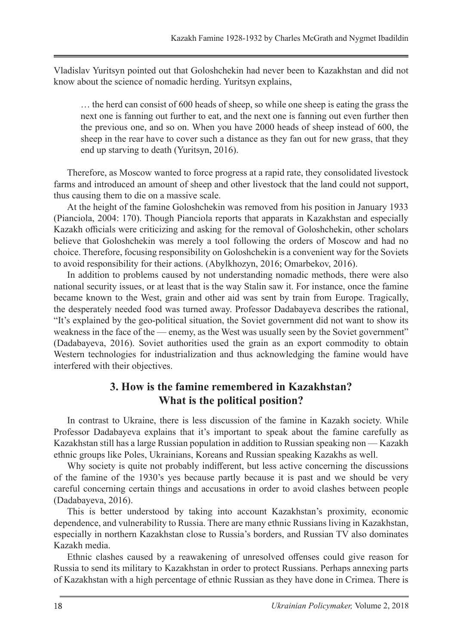Vladislav Yuritsyn pointed out that Goloshchekin had never been to Kazakhstan and did not know about the science of nomadic herding. Yuritsyn explains,

… the herd can consist of 600 heads of sheep, so while one sheep is eating the grass the next one is fanning out further to eat, and the next one is fanning out even further then the previous one, and so on. When you have 2000 heads of sheep instead of 600, the sheep in the rear have to cover such a distance as they fan out for new grass, that they end up starving to death (Yuritsyn, 2016).

Therefore, as Moscow wanted to force progress at a rapid rate, they consolidated livestock farms and introduced an amount of sheep and other livestock that the land could not support, thus causing them to die on a massive scale.

At the height of the famine Goloshchekin was removed from his position in January 1933 (Pianciola, 2004: 170). Though Pianciola reports that apparats in Kazakhstan and especially Kazakh officials were criticizing and asking for the removal of Goloshchekin, other scholars believe that Goloshchekin was merely a tool following the orders of Moscow and had no choice. Therefore, focusing responsibility on Goloshchekin is a convenient way for the Soviets to avoid responsibility for their actions. (Abylkhozyn, 2016; Omarbekov, 2016).

In addition to problems caused by not understanding nomadic methods, there were also national security issues, or at least that is the way Stalin saw it. For instance, once the famine became known to the West, grain and other aid was sent by train from Europe. Tragically, the desperately needed food was turned away. Professor Dadabayeva describes the rational, "It's explained by the geo-political situation, the Soviet government did not want to show its weakness in the face of the — enemy, as the West was usually seen by the Soviet government" (Dadabayeva, 2016). Soviet authorities used the grain as an export commodity to obtain Western technologies for industrialization and thus acknowledging the famine would have interfered with their objectives.

### **3. How is the famine remembered in Kazakhstan? What is the political position?**

In contrast to Ukraine, there is less discussion of the famine in Kazakh society. While Professor Dadabayeva explains that it's important to speak about the famine carefully as Kazakhstan still has a large Russian population in addition to Russian speaking non — Kazakh ethnic groups like Poles, Ukrainians, Koreans and Russian speaking Kazakhs as well.

Why society is quite not probably indifferent, but less active concerning the discussions of the famine of the 1930's yes because partly because it is past and we should be very careful concerning certain things and accusations in order to avoid clashes between people (Dadabayeva, 2016).

This is better understood by taking into account Kazakhstan's proximity, economic dependence, and vulnerability to Russia. There are many ethnic Russians living in Kazakhstan, especially in northern Kazakhstan close to Russia's borders, and Russian TV also dominates Kazakh media.

Ethnic clashes caused by a reawakening of unresolved offenses could give reason for Russia to send its military to Kazakhstan in order to protect Russians. Perhaps annexing parts of Kazakhstan with a high percentage of ethnic Russian as they have done in Crimea. There is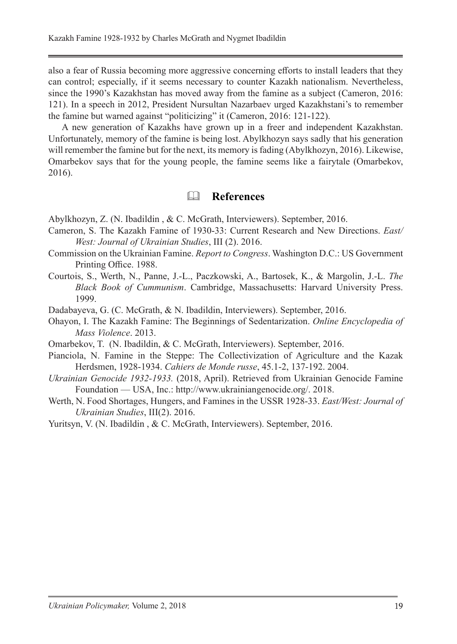also a fear of Russia becoming more aggressive concerning efforts to install leaders that they can control; especially, if it seems necessary to counter Kazakh nationalism. Nevertheless, since the 1990's Kazakhstan has moved away from the famine as a subject (Cameron, 2016: 121). In a speech in 2012, President Nursultan Nazarbaev urged Kazakhstani's to remember the famine but warned against "politicizing" it (Cameron, 2016: 121-122).

A new generation of Kazakhs have grown up in a freer and independent Kazakhstan. Unfortunately, memory of the famine is being lost. Abylkhozyn says sadly that his generation will remember the famine but for the next, its memory is fading (Abylkhozyn, 2016). Likewise, Omarbekov says that for the young people, the famine seems like a fairytale (Omarbekov, 2016).

#### **References**

Abylkhozyn, Z. (N. Ibadildin , & C. McGrath, Interviewers). September, 2016.

- Cameron, S. The Kazakh Famine of 1930-33: Current Research and New Directions. *East/ West: Journal of Ukrainian Studies*, III (2). 2016.
- Commission on the Ukrainian Famine. *Report to Congress*. Washington D.C.: US Government Printing Office. 1988.
- Courtois, S., Werth, N., Panne, J.-L., Paczkowski, A., Bartosek, K., & Margolin, J.-L. *The Black Book of Cummunism*. Cambridge, Massachusetts: Harvard University Press. 1999.
- Dadabayeva, G. (C. McGrath, & N. Ibadildin, Interviewers). September, 2016.
- Ohayon, I. The Kazakh Famine: The Beginnings of Sedentarization. *Online Encyclopedia of Mass Violence*. 2013.
- Omarbekov, T. (N. Ibadildin, & C. McGrath, Interviewers). September, 2016.
- Pianciola, N. Famine in the Steppe: The Collectivization of Agriculture and the Kazak Herdsmen, 1928-1934. *Cahiers de Monde russe*, 45.1-2, 137-192. 2004.
- *Ukrainian Genocide 1932-1933.* (2018, April). Retrieved from Ukrainian Genocide Famine Foundation — USA, Inc.: http://www.ukrainiangenocide.org/. 2018.
- Werth, N. Food Shortages, Hungers, and Famines in the USSR 1928-33. *East/West: Journal of Ukrainian Studies*, III(2). 2016.
- Yuritsyn, V. (N. Ibadildin , & C. McGrath, Interviewers). September, 2016.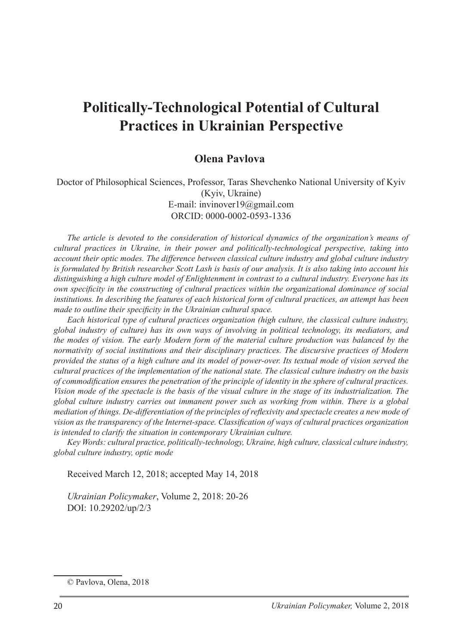# **Politically-Technological Potential of Cultural Practices in Ukrainian Perspective**

#### **Olena Pavlova**<sup>1</sup>

Doctor of Philosophical Sciences, Professor, Taras Shevchenko National University of Kyiv (Kyiv, Ukraine) E-mail: invinover19@gmail.com ORCID: 0000-0002-0593-1336

*The article is devoted to the consideration of historical dynamics of the organization's means of cultural practices in Ukraine, in their power and politically-technological perspective, taking into account their optic modes. The difference between classical culture industry and global culture industry is formulated by British researcher Scott Lash is basis of our analysis. It is also taking into account his distinguishing a high culture model of Enlightenment in contrast to a cultural industry. Everyone has its own specificity in the constructing of cultural practices within the organizational dominance of social institutions. In describing the features of each historical form of cultural practices, an attempt has been made to outline their specificity in the Ukrainian cultural space.*

*Each historical type of cultural practices organization (high culture, the classical culture industry, global industry of culture) has its own ways of involving in political technology, its mediators, and the modes of vision. The early Modern form of the material culture production was balanced by the normativity of social institutions and their disciplinary practices. The discursive practices of Modern provided the status of a high culture and its model of power-over. Its textual mode of vision served the cultural practices of the implementation of the national state. The classical culture industry on the basis of commodification ensures the penetration of the principle of identity in the sphere of cultural practices. Vision mode of the spectacle is the basis of the visual culture in the stage of its industrialization. The global culture industry carries out immanent power such as working from within. There is a global mediation of things. De-differentiation of the principles of reflexivity and spectacle creates a new mode of vision as the transparency of the Internet-space. Classification of ways of cultural practices organization is intended to clarify the situation in contemporary Ukrainian culture.*

*Key Words: cultural practice, politically-technology, Ukraine, high culture, classical culture industry, global culture industry, optic mode*

Received March 12, 2018; accepted May 14, 2018

*Ukrainian Policymaker*, Volume 2, 2018: 20-26 DOI: 10.29202/up/2/3

<sup>©</sup> Pavlova, Olena, 2018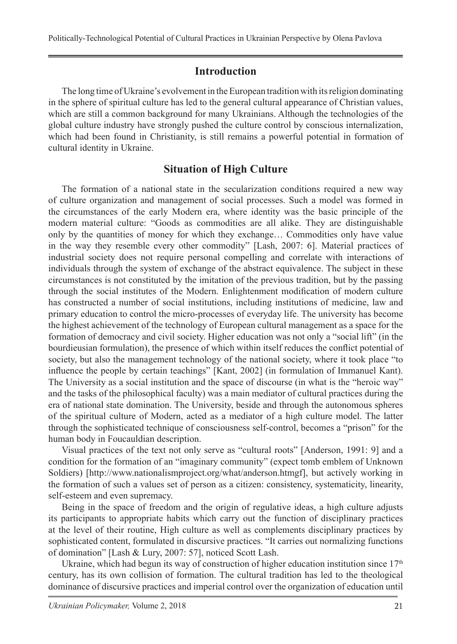#### **Introduction**

The long time of Ukraine's evolvement in the European tradition with its religion dominating in the sphere of spiritual culture has led to the general cultural appearance of Christian values, which are still a common background for many Ukrainians. Although the technologies of the global culture industry have strongly pushed the culture control by conscious internalization, which had been found in Christianity, is still remains a powerful potential in formation of cultural identity in Ukraine.

#### **Situation of High Culture**

The formation of a national state in the secularization conditions required a new way of culture organization and management of social processes. Such a model was formed in the circumstances of the early Modern era, where identity was the basic principle of the modern material culture: "Goods as commodities are all alike. They are distinguishable only by the quantities of money for which they exchange… Commodities only have value in the way they resemble every other commodity" [Lash, 2007: 6]. Material practices of industrial society does not require personal compelling and correlate with interactions of individuals through the system of exchange of the abstract equivalence. The subject in these circumstances is not constituted by the imitation of the previous tradition, but by the passing through the social institutes of the Modern. Enlightenment modification of modern culture has constructed a number of social institutions, including institutions of medicine, law and primary education to control the micro-processes of everyday life. The university has become the highest achievement of the technology of European cultural management as a space for the formation of democracy and civil society. Higher education was not only a "social lift" (in the bourdieusian formulation), the presence of which within itself reduces the conflict potential of society, but also the management technology of the national society, where it took place "to influence the people by certain teachings" [Kant, 2002] (in formulation of Immanuel Kant). The University as a social institution and the space of discourse (in what is the "heroic way" and the tasks of the philosophical faculty) was a main mediator of cultural practices during the era of national state domination. The University, beside and through the autonomous spheres of the spiritual culture of Modern, acted as a mediator of a high culture model. The latter through the sophisticated technique of consciousness self-control, becomes a "prison" for the human body in Foucauldian description.

Visual practices of the text not only serve as "cultural roots" [Anderson, 1991: 9] and a condition for the formation of an "imaginary community" (expect tomb emblem of Unknown Soldiers) [http://www.nationalismproject.org/what/anderson.htmgf], but actively working in the formation of such a values set of person as a citizen: consistency, systematicity, linearity, self-esteem and even supremacy.

Being in the space of freedom and the origin of regulative ideas, a high culture adjusts its participants to appropriate habits which carry out the function of disciplinary practices at the level of their routine, High culture as well as complements disciplinary practices by sophisticated content, formulated in discursive practices. "It carries out normalizing functions of domination" [Lash & Lury, 2007: 57], noticed Scott Lash.

Ukraine, which had begun its way of construction of higher education institution since  $17<sup>th</sup>$ century, has its own collision of formation. The cultural tradition has led to the theological dominance of discursive practices and imperial control over the organization of education until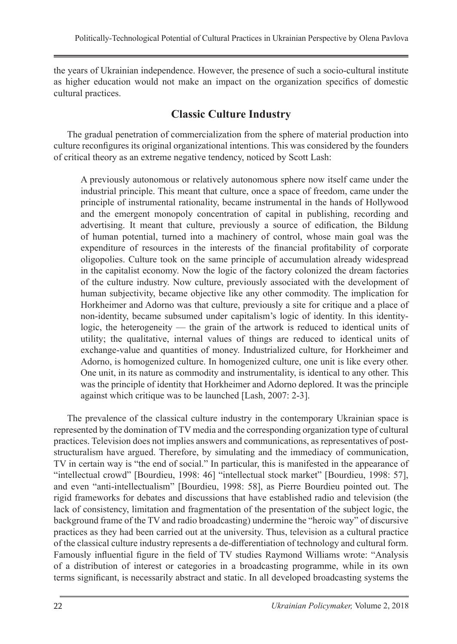the years of Ukrainian independence. However, the presence of such a socio-cultural institute as higher education would not make an impact on the organization specifics of domestic cultural practices.

# **Classic Culture Industry**

The gradual penetration of commercialization from the sphere of material production into culture reconfigures its original organizational intentions. This was considered by the founders of critical theory as an extreme negative tendency, noticed by Scott Lash:

A previously autonomous or relatively autonomous sphere now itself came under the industrial principle. This meant that culture, once a space of freedom, came under the principle of instrumental rationality, became instrumental in the hands of Hollywood and the emergent monopoly concentration of capital in publishing, recording and advertising. It meant that culture, previously a source of edification, the Bildung of human potential, turned into a machinery of control, whose main goal was the expenditure of resources in the interests of the financial profitability of corporate oligopolies. Culture took on the same principle of accumulation already widespread in the capitalist economy. Now the logic of the factory colonized the dream factories of the culture industry. Now culture, previously associated with the development of human subjectivity, became objective like any other commodity. The implication for Horkheimer and Adorno was that culture, previously a site for critique and a place of non-identity, became subsumed under capitalism's logic of identity. In this identitylogic, the heterogeneity — the grain of the artwork is reduced to identical units of utility; the qualitative, internal values of things are reduced to identical units of exchange-value and quantities of money. Industrialized culture, for Horkheimer and Adorno, is homogenized culture. In homogenized culture, one unit is like every other. One unit, in its nature as commodity and instrumentality, is identical to any other. This was the principle of identity that Horkheimer and Adorno deplored. It was the principle against which critique was to be launched [Lash, 2007: 2-3].

The prevalence of the classical culture industry in the contemporary Ukrainian space is represented by the domination of TV media and the corresponding organization type of cultural practices. Television does not implies answers and communications, as representatives of poststructuralism have argued. Therefore, by simulating and the immediacy of communication, TV in certain way is "the end of social." In particular, this is manifested in the appearance of "intellectual crowd" [Bourdieu, 1998: 46] "intellectual stock market" [Bourdieu, 1998: 57], and even "anti-intellectualism" [Bourdieu, 1998: 58], as Pierre Bourdieu pointed out. The rigid frameworks for debates and discussions that have established radio and television (the lack of consistency, limitation and fragmentation of the presentation of the subject logic, the background frame of the TV and radio broadcasting) undermine the "heroic way" of discursive practices as they had been carried out at the university. Thus, television as a cultural practice of the classical culture industry represents a de-differentiation of technology and cultural form. Famously influential figure in the field of TV studies Raymond Williams wrote: "Analysis of a distribution of interest or categories in a broadcasting programme, while in its own terms significant, is necessarily abstract and static. In all developed broadcasting systems the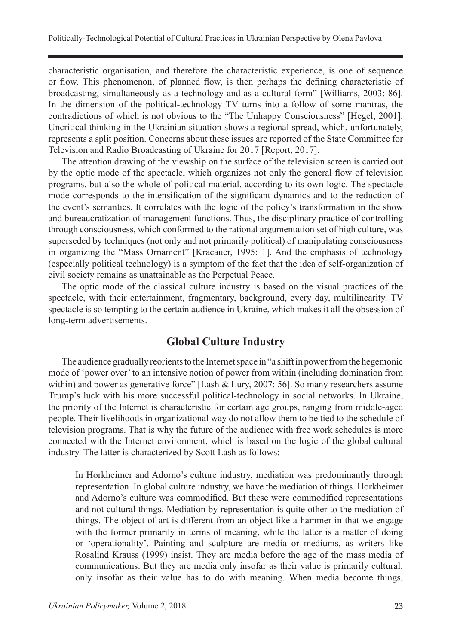characteristic organisation, and therefore the characteristic experience, is one of sequence or flow. This phenomenon, of planned flow, is then perhaps the defining characteristic of broadcasting, simultaneously as a technology and as a cultural form" [Williams, 2003: 86]. In the dimension of the political-technology TV turns into a follow of some mantras, the contradictions of which is not obvious to the "The Unhappy Consciousness" [Hegel, 2001]. Uncritical thinking in the Ukrainian situation shows a regional spread, which, unfortunately, represents a split position. Concerns about these issues are reported of the State Committee for Television and Radio Broadcasting of Ukraine for 2017 [Report, 2017].

The attention drawing of the viewship on the surface of the television screen is carried out by the optic mode of the spectacle, which organizes not only the general flow of television programs, but also the whole of political material, according to its own logic. The spectacle mode corresponds to the intensification of the significant dynamics and to the reduction of the event's semantics. It correlates with the logic of the policy's transformation in the show and bureaucratization of management functions. Thus, the disciplinary practice of controlling through consciousness, which conformed to the rational argumentation set of high culture, was superseded by techniques (not only and not primarily political) of manipulating consciousness in organizing the "Mass Ornament" [Kracauer, 1995: 1]. And the emphasis of technology (especially political technology) is a symptom of the fact that the idea of self-organization of civil society remains as unattainable as the Perpetual Peace.

The optic mode of the classical culture industry is based on the visual practices of the spectacle, with their entertainment, fragmentary, background, every day, multilinearity. TV spectacle is so tempting to the certain audience in Ukraine, which makes it all the obsession of long-term advertisements.

### **Global Culture Industry**

The audience gradually reorients to the Internet space in "a shift in power from the hegemonic mode of 'power over' to an intensive notion of power from within (including domination from within) and power as generative force" [Lash & Lury, 2007: 56]. So many researchers assume Trump's luck with his more successful political-technology in social networks. In Ukraine, the priority of the Internet is characteristic for certain age groups, ranging from middle-aged people. Their livelihoods in organizational way do not allow them to be tied to the schedule of television programs. That is why the future of the audience with free work schedules is more connected with the Internet environment, which is based on the logic of the global cultural industry. The latter is characterized by Scott Lash as follows:

In Horkheimer and Adorno's culture industry, mediation was predominantly through representation. In global culture industry, we have the mediation of things. Horkheimer and Adorno's culture was commodified. But these were commodified representations and not cultural things. Mediation by representation is quite other to the mediation of things. The object of art is different from an object like a hammer in that we engage with the former primarily in terms of meaning, while the latter is a matter of doing or 'operationality'. Painting and sculpture are media or mediums, as writers like Rosalind Krauss (1999) insist. They are media before the age of the mass media of communications. But they are media only insofar as their value is primarily cultural: only insofar as their value has to do with meaning. When media become things,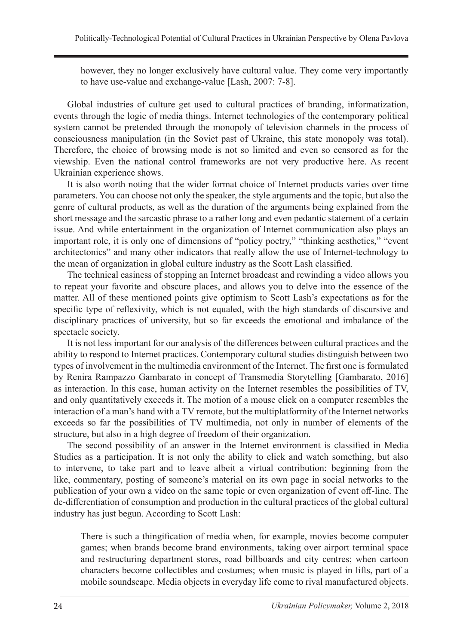however, they no longer exclusively have cultural value. They come very importantly to have use-value and exchange-value [Lash, 2007: 7-8].

Global industries of culture get used to cultural practices of branding, informatization, events through the logic of media things. Internet technologies of the contemporary political system cannot be pretended through the monopoly of television channels in the process of consciousness manipulation (in the Soviet past of Ukraine, this state monopoly was total). Therefore, the choice of browsing mode is not so limited and even so censored as for the viewship. Even the national control frameworks are not very productive here. As recent Ukrainian experience shows.

It is also worth noting that the wider format choice of Internet products varies over time parameters. You can choose not only the speaker, the style arguments and the topic, but also the genre of cultural products, as well as the duration of the arguments being explained from the short message and the sarcastic phrase to a rather long and even pedantic statement of a certain issue. And while entertainment in the organization of Internet communication also plays an important role, it is only one of dimensions of "policy poetry," "thinking aesthetics," "event architectonics" and many other indicators that really allow the use of Internet-technology to the mean of organization in global culture industry as the Scott Lash classified.

The technical easiness of stopping an Internet broadcast and rewinding a video allows you to repeat your favorite and obscure places, and allows you to delve into the essence of the matter. All of these mentioned points give optimism to Scott Lash's expectations as for the specific type of reflexivity, which is not equaled, with the high standards of discursive and disciplinary practices of university, but so far exceeds the emotional and imbalance of the spectacle society.

It is not less important for our analysis of the differences between cultural practices and the ability to respond to Internet practices. Contemporary cultural studies distinguish between two types of involvement in the multimedia environment of the Internet. The first one is formulated by Renira Rampazzo Gambarato in concept of Transmedia Storytelling [Gambarato, 2016] as interaction. In this case, human activity on the Internet resembles the possibilities of TV, and only quantitatively exceeds it. The motion of a mouse click on a computer resembles the interaction of a man's hand with a TV remote, but the multiplatformity of the Internet networks exceeds so far the possibilities of TV multimedia, not only in number of elements of the structure, but also in a high degree of freedom of their organization.

The second possibility of an answer in the Internet environment is classified in Media Studies as a participation. It is not only the ability to click and watch something, but also to intervene, to take part and to leave albeit a virtual contribution: beginning from the like, commentary, posting of someone's material on its own page in social networks to the publication of your own a video on the same topic or even organization of event off-line. The de-differentiation of consumption and production in the cultural practices of the global cultural industry has just begun. According to Scott Lash:

There is such a thingification of media when, for example, movies become computer games; when brands become brand environments, taking over airport terminal space and restructuring department stores, road billboards and city centres; when cartoon characters become collectibles and costumes; when music is played in lifts, part of a mobile soundscape. Media objects in everyday life come to rival manufactured objects.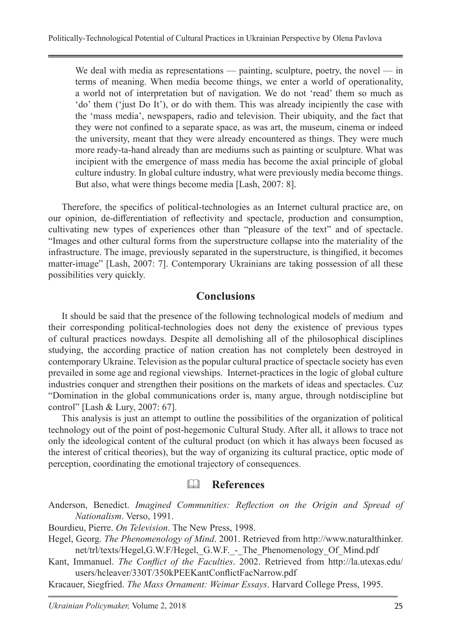We deal with media as representations — painting, sculpture, poetry, the novel — in terms of meaning. When media become things, we enter a world of operationality, a world not of interpretation but of navigation. We do not 'read' them so much as 'do' them ('just Do It'), or do with them. This was already incipiently the case with the 'mass media', newspapers, radio and television. Their ubiquity, and the fact that they were not confined to a separate space, as was art, the museum, cinema or indeed the university, meant that they were already encountered as things. They were much more ready-ta-hand already than are mediums such as painting or sculpture. What was incipient with the emergence of mass media has become the axial principle of global culture industry. In global culture industry, what were previously media become things. But also, what were things become media [Lash, 2007: 8].

Therefore, the specifics of political-technologies as an Internet cultural practice are, on our opinion, de-differentiation of reflectivity and spectacle, production and consumption, cultivating new types of experiences other than "pleasure of the text" and of spectacle. "Images and other cultural forms from the superstructure collapse into the materiality of the infrastructure. The image, previously separated in the superstructure, is thingified, it becomes matter-image" [Lash, 2007: 7]. Contemporary Ukrainians are taking possession of all these possibilities very quickly.

#### **Conclusions**

It should be said that the presence of the following technological models of medium and their corresponding political-technologies does not deny the existence of previous types of cultural practices nowdays. Despite all demolishing all of the philosophical disciplines studying, the according practice of nation creation has not completely been destroyed in contemporary Ukraine. Television as the popular cultural practice of spectacle society has even prevailed in some age and regional viewships. Internet-practices in the logic of global culture industries conquer and strengthen their positions on the markets of ideas and spectacles. Cuz "Domination in the global communications order is, many argue, through notdiscipline but control" [Lash & Lury, 2007: 67].

This analysis is just an attempt to outline the possibilities of the organization of political technology out of the point of post-hegemonic Cultural Study. After all, it allows to trace not only the ideological content of the cultural product (on which it has always been focused as the interest of critical theories), but the way of organizing its cultural practice, optic mode of perception, coordinating the emotional trajectory of consequences.

### **References**

- Anderson, Benedict. *Imagined Communities: Reflection on the Origin and Spread of Nationalism*. Verso, 1991.
- Bourdieu, Pierre. *On Television*. The New Press, 1998.
- Hegel, Georg. *The Phenomenology of Mind*. 2001. Retrieved from http://www.naturalthinker. net/trl/texts/Hegel,G.W.F/Hegel, G.W.F. - The Phenomenology Of Mind.pdf
- Kant, Immanuel. *The Conflict of the Faculties*. 2002. Retrieved from http://la.utexas.edu/ users/hcleaver/330T/350kPEEKantConflictFacNarrow.pdf
- Kracauer, Siegfried. *The Mass Ornament: Weimar Essays*. Harvard College Press, 1995.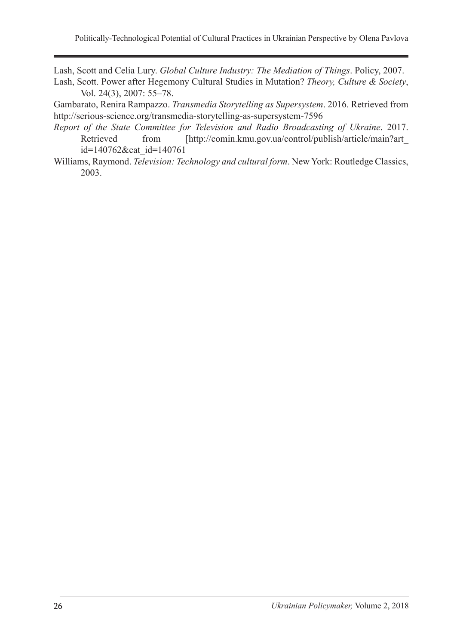Lash, Scott and Celia Lury. *Global Culture Industry: The Mediation of Things*. Policy, 2007.

Lash, Scott. Power after Hegemony Cultural Studies in Mutation? *Theory, Culture & Society*, Vol. 24(3), 2007: 55–78.

Gambarato, Renira Rampazzo. *Transmedia Storytelling as Supersystem*. 2016. Retrieved from http://serious-science.org/transmedia-storytelling-as-supersystem-7596

- *Report of the State Committee for Television and Radio Broadcasting of Ukraine*. 2017. Retrieved from [http://comin.kmu.gov.ua/control/publish/article/main?art id=140762&cat\_id=140761
- Williams, Raymond. *Television: Technology and cultural form*. New York: Routledge Classics, 2003.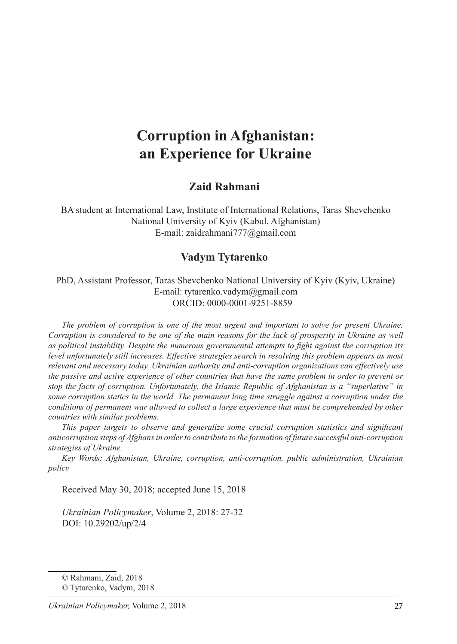# **Corruption in Afghanistan: an Experience for Ukraine**

#### **Zaid Rahmani**

BA student at International Law, Institute of International Relations, Taras Shevchenko National University of Kyiv (Kabul, Afghanistan) E-mail: zaidrahmani777@gmail.com

#### **Vadym Tytarenko**

PhD, Assistant Professor, Taras Shevchenko National University of Kyiv (Kyiv, Ukraine) E-mail: tytarenko.vadym@gmail.com ORCID: 0000-0001-9251-8859

*The problem of corruption is one of the most urgent and important to solve for present Ukraine. Corruption is considered to be one of the main reasons for the lack of prosperity in Ukraine as well as political instability. Despite the numerous governmental attempts to fight against the corruption its level unfortunately still increases. Effective strategies search in resolving this problem appears as most relevant and necessary today. Ukrainian authority and anti-corruption organizations can effectively use the passive and active experience of other countries that have the same problem in order to prevent or stop the facts of corruption. Unfortunately, the Islamic Republic of Afghanistan is a "superlative" in some corruption statics in the world. The permanent long time struggle against a corruption under the conditions of permanent war allowed to collect a large experience that must be comprehended by other countries with similar problems.*

*This paper targets to observe and generalize some crucial corruption statistics and significant anticorruption steps of Afghans in order to contribute to the formation of future successful anti-corruption strategies of Ukraine.*

*Key Words: Afghanistan, Ukraine, corruption, anti-corruption, public administration, Ukrainian policy*

Received May 30, 2018; accepted June 15, 2018

*Ukrainian Policymaker*, Volume 2, 2018: 27-32 DOI: 10.29202/up/2/4

<sup>©</sup> Rahmani, Zaid, 2018

<sup>©</sup> Tytarenko, Vadym, 2018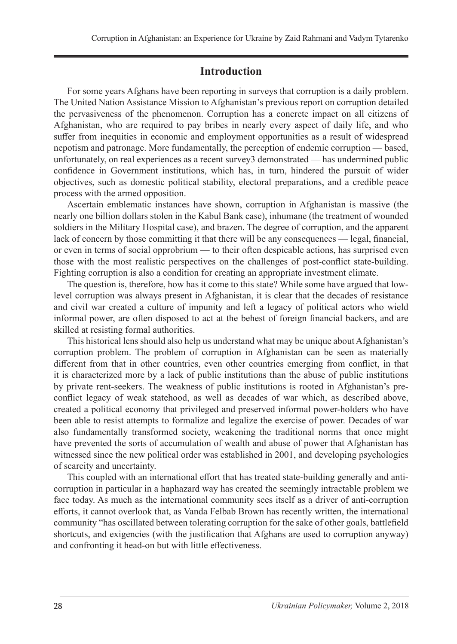### **Introduction**

For some years Afghans have been reporting in surveys that corruption is a daily problem. The United Nation Assistance Mission to Afghanistan's previous report on corruption detailed the pervasiveness of the phenomenon. Corruption has a concrete impact on all citizens of Afghanistan, who are required to pay bribes in nearly every aspect of daily life, and who suffer from inequities in economic and employment opportunities as a result of widespread nepotism and patronage. More fundamentally, the perception of endemic corruption — based, unfortunately, on real experiences as a recent survey3 demonstrated — has undermined public confidence in Government institutions, which has, in turn, hindered the pursuit of wider objectives, such as domestic political stability, electoral preparations, and a credible peace process with the armed opposition.

Ascertain emblematic instances have shown, corruption in Afghanistan is massive (the nearly one billion dollars stolen in the Kabul Bank case), inhumane (the treatment of wounded soldiers in the Military Hospital case), and brazen. The degree of corruption, and the apparent lack of concern by those committing it that there will be any consequences — legal, financial, or even in terms of social opprobrium — to their often despicable actions, has surprised even those with the most realistic perspectives on the challenges of post-conflict state-building. Fighting corruption is also a condition for creating an appropriate investment climate.

The question is, therefore, how has it come to this state? While some have argued that lowlevel corruption was always present in Afghanistan, it is clear that the decades of resistance and civil war created a culture of impunity and left a legacy of political actors who wield informal power, are often disposed to act at the behest of foreign financial backers, and are skilled at resisting formal authorities.

This historical lens should also help us understand what may be unique about Afghanistan's corruption problem. The problem of corruption in Afghanistan can be seen as materially different from that in other countries, even other countries emerging from conflict, in that it is characterized more by a lack of public institutions than the abuse of public institutions by private rent-seekers. The weakness of public institutions is rooted in Afghanistan's preconflict legacy of weak statehood, as well as decades of war which, as described above, created a political economy that privileged and preserved informal power-holders who have been able to resist attempts to formalize and legalize the exercise of power. Decades of war also fundamentally transformed society, weakening the traditional norms that once might have prevented the sorts of accumulation of wealth and abuse of power that Afghanistan has witnessed since the new political order was established in 2001, and developing psychologies of scarcity and uncertainty.

This coupled with an international effort that has treated state-building generally and anticorruption in particular in a haphazard way has created the seemingly intractable problem we face today. As much as the international community sees itself as a driver of anti-corruption efforts, it cannot overlook that, as Vanda Felbab Brown has recently written, the international community "has oscillated between tolerating corruption for the sake of other goals, battlefield shortcuts, and exigencies (with the justification that Afghans are used to corruption anyway) and confronting it head-on but with little effectiveness.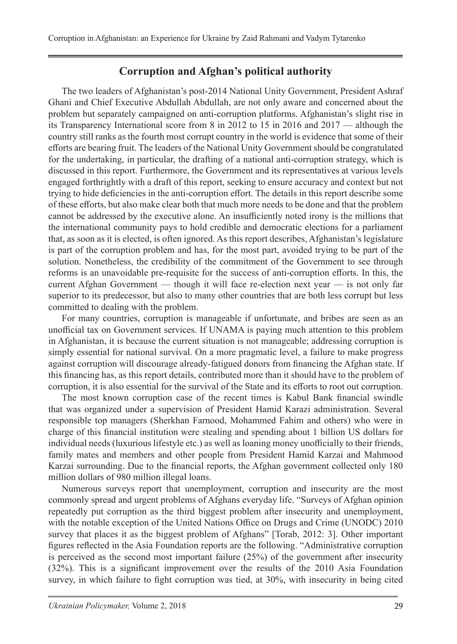# **Corruption and Afghan's political authority**

The two leaders of Afghanistan's post-2014 National Unity Government, President Ashraf Ghani and Chief Executive Abdullah Abdullah, are not only aware and concerned about the problem but separately campaigned on anti-corruption platforms. Afghanistan's slight rise in its Transparency International score from 8 in 2012 to 15 in 2016 and 2017 — although the country still ranks as the fourth most corrupt country in the world is evidence that some of their efforts are bearing fruit. The leaders of the National Unity Government should be congratulated for the undertaking, in particular, the drafting of a national anti-corruption strategy, which is discussed in this report. Furthermore, the Government and its representatives at various levels engaged forthrightly with a draft of this report, seeking to ensure accuracy and context but not trying to hide deficiencies in the anti-corruption effort. The details in this report describe some of these efforts, but also make clear both that much more needs to be done and that the problem cannot be addressed by the executive alone. An insufficiently noted irony is the millions that the international community pays to hold credible and democratic elections for a parliament that, as soon as it is elected, is often ignored. As this report describes, Afghanistan's legislature is part of the corruption problem and has, for the most part, avoided trying to be part of the solution. Nonetheless, the credibility of the commitment of the Government to see through reforms is an unavoidable pre-requisite for the success of anti-corruption efforts. In this, the current Afghan Government — though it will face re-election next year — is not only far superior to its predecessor, but also to many other countries that are both less corrupt but less committed to dealing with the problem.

For many countries, corruption is manageable if unfortunate, and bribes are seen as an unofficial tax on Government services. If UNAMA is paying much attention to this problem in Afghanistan, it is because the current situation is not manageable; addressing corruption is simply essential for national survival. On a more pragmatic level, a failure to make progress against corruption will discourage already-fatigued donors from financing the Afghan state. If this financing has, as this report details, contributed more than it should have to the problem of corruption, it is also essential for the survival of the State and its efforts to root out corruption.

The most known corruption case of the recent times is Kabul Bank financial swindle that was organized under a supervision of President Hamid Karazi administration. Several responsible top managers (Sherkhan Farnood, Mohammed Fahim and others) who were in charge of this financial institution were stealing and spending about 1 billion US dollars for individual needs (luxurious lifestyle etc.) as well as loaning money unofficially to their friends, family mates and members and other people from President Hamid Karzai and Mahmood Karzai surrounding. Due to the financial reports, the Afghan government collected only 180 million dollars of 980 million illegal loans.

Numerous surveys report that unemployment, corruption and insecurity are the most commonly spread and urgent problems of Afghans everyday life. "Surveys of Afghan opinion repeatedly put corruption as the third biggest problem after insecurity and unemployment, with the notable exception of the United Nations Office on Drugs and Crime (UNODC) 2010 survey that places it as the biggest problem of Afghans" [Torab, 2012: 3]. Other important figures reflected in the Asia Foundation reports are the following. "Administrative corruption is perceived as the second most important failure (25%) of the government after insecurity (32%). This is a significant improvement over the results of the 2010 Asia Foundation survey, in which failure to fight corruption was tied, at 30%, with insecurity in being cited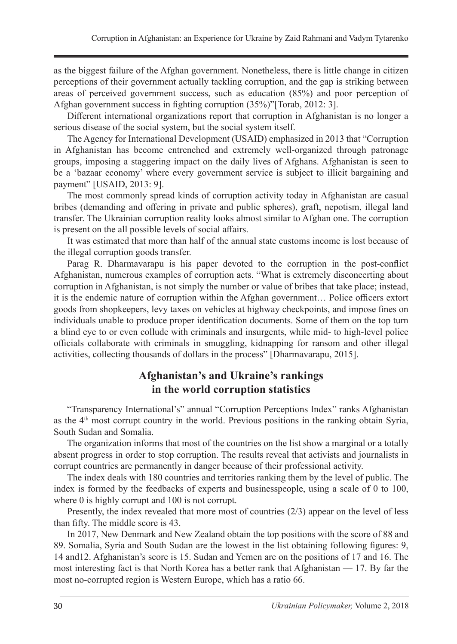as the biggest failure of the Afghan government. Nonetheless, there is little change in citizen perceptions of their government actually tackling corruption, and the gap is striking between areas of perceived government success, such as education (85%) and poor perception of Afghan government success in fighting corruption (35%)"[Torab, 2012: 3].

Different international organizations report that corruption in Afghanistan is no longer a serious disease of the social system, but the social system itself.

The Agency for International Development (USAID) emphasized in 2013 that "Corruption in Afghanistan has become entrenched and extremely well-organized through patronage groups, imposing a staggering impact on the daily lives of Afghans. Afghanistan is seen to be a 'bazaar economy' where every government service is subject to illicit bargaining and payment" [USAID, 2013: 9].

The most commonly spread kinds of corruption activity today in Afghanistan are casual bribes (demanding and offering in private and public spheres), graft, nepotism, illegal land transfer. The Ukrainian corruption reality looks almost similar to Afghan one. The corruption is present on the all possible levels of social affairs.

It was estimated that more than half of the annual state customs income is lost because of the illegal corruption goods transfer.

Parag R. Dharmavarapu is his paper devoted to the corruption in the post-conflict Afghanistan, numerous examples of corruption acts. "What is extremely disconcerting about corruption in Afghanistan, is not simply the number or value of bribes that take place; instead, it is the endemic nature of corruption within the Afghan government… Police officers extort goods from shopkeepers, levy taxes on vehicles at highway checkpoints, and impose fines on individuals unable to produce proper identification documents. Some of them on the top turn a blind eye to or even collude with criminals and insurgents, while mid- to high-level police officials collaborate with criminals in smuggling, kidnapping for ransom and other illegal activities, collecting thousands of dollars in the process" [Dharmavarapu, 2015].

# **Afghanistan's and Ukraine's rankings in the world corruption statistics**

"Transparency International's" annual "Corruption Perceptions Index" ranks Afghanistan as the 4th most corrupt country in the world. Previous positions in the ranking obtain Syria, South Sudan and Somalia.

The organization informs that most of the countries on the list show a marginal or a totally absent progress in order to stop corruption. The results reveal that activists and journalists in corrupt countries are permanently in danger because of their professional activity.

The index deals with 180 countries and territories ranking them by the level of public. The index is formed by the feedbacks of experts and businesspeople, using a scale of 0 to 100, where 0 is highly corrupt and 100 is not corrupt.

Presently, the index revealed that more most of countries (2/3) appear on the level of less than fifty. The middle score is 43.

In 2017, New Denmark and New Zealand obtain the top positions with the score of 88 and 89. Somalia, Syria and South Sudan are the lowest in the list obtaining following figures: 9, 14 and12. Afghanistan's score is 15. Sudan and Yemen are on the positions of 17 and 16. The most interesting fact is that North Korea has a better rank that Afghanistan — 17. By far the most no-corrupted region is Western Europe, which has a ratio 66.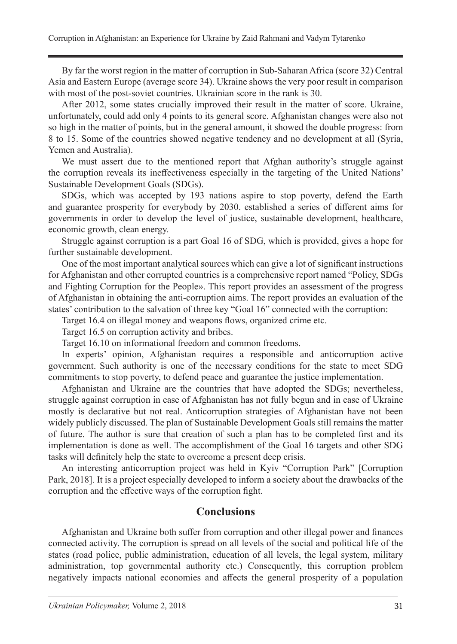By far the worst region in the matter of corruption in Sub-Saharan Africa (score 32) Central Asia and Eastern Europe (average score 34). Ukraine shows the very poor result in comparison with most of the post-soviet countries. Ukrainian score in the rank is 30.

After 2012, some states crucially improved their result in the matter of score. Ukraine, unfortunately, could add only 4 points to its general score. Afghanistan changes were also not so high in the matter of points, but in the general amount, it showed the double progress: from 8 to 15. Some of the countries showed negative tendency and no development at all (Syria, Yemen and Australia).

We must assert due to the mentioned report that Afghan authority's struggle against the corruption reveals its ineffectiveness especially in the targeting of the United Nations' Sustainable Development Goals (SDGs).

SDGs, which was accepted by 193 nations aspire to stop poverty, defend the Earth and guarantee prosperity for everybody by 2030. established a series of different aims for governments in order to develop the level of justice, sustainable development, healthcare, economic growth, clean energy.

Struggle against corruption is a part Goal 16 of SDG, which is provided, gives a hope for further sustainable development.

One of the most important analytical sources which can give a lot of significant instructions for Afghanistan and other corrupted countries is a comprehensive report named "Policy, SDGs and Fighting Corruption for the People». This report provides an assessment of the progress of Afghanistan in obtaining the anti-corruption aims. The report provides an evaluation of the states' contribution to the salvation of three key "Goal 16" connected with the corruption:

Target 16.4 on illegal money and weapons flows, organized crime etc.

Target 16.5 on corruption activity and bribes.

Target 16.10 on informational freedom and common freedoms.

In experts' opinion, Afghanistan requires a responsible and anticorruption active government. Such authority is one of the necessary conditions for the state to meet SDG commitments to stop poverty, to defend peace and guarantee the justice implementation.

Afghanistan and Ukraine are the countries that have adopted the SDGs; nevertheless, struggle against corruption in case of Afghanistan has not fully begun and in case of Ukraine mostly is declarative but not real. Anticorruption strategies of Afghanistan have not been widely publicly discussed. The plan of Sustainable Development Goals still remains the matter of future. The author is sure that creation of such a plan has to be completed first and its implementation is done as well. The accomplishment of the Goal 16 targets and other SDG tasks will definitely help the state to overcome a present deep crisis.

An interesting anticorruption project was held in Kyiv "Corruption Park" [Corruption Park, 2018]. It is a project especially developed to inform a society about the drawbacks of the corruption and the effective ways of the corruption fight.

#### **Conclusions**

Afghanistan and Ukraine both suffer from corruption and other illegal power and finances connected activity. The corruption is spread on all levels of the social and political life of the states (road police, public administration, education of all levels, the legal system, military administration, top governmental authority etc.) Consequently, this corruption problem negatively impacts national economies and affects the general prosperity of a population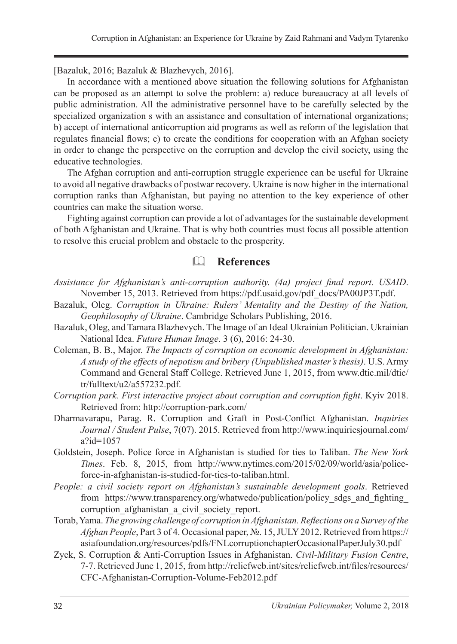[Bazaluk, 2016; Bazaluk & Blazhevych, 2016].

In accordance with a mentioned above situation the following solutions for Afghanistan can be proposed as an attempt to solve the problem: a) reduce bureaucracy at all levels of public administration. All the administrative personnel have to be carefully selected by the specialized organization s with an assistance and consultation of international organizations; b) accept of international anticorruption aid programs as well as reform of the legislation that regulates financial flows; c) to create the conditions for cooperation with an Afghan society in order to change the perspective on the corruption and develop the civil society, using the educative technologies.

The Afghan corruption and anti-corruption struggle experience can be useful for Ukraine to avoid all negative drawbacks of postwar recovery. Ukraine is now higher in the international corruption ranks than Afghanistan, but paying no attention to the key experience of other countries can make the situation worse.

Fighting against corruption can provide a lot of advantages for the sustainable development of both Afghanistan and Ukraine. That is why both countries must focus all possible attention to resolve this crucial problem and obstacle to the prosperity.

# **References**

- *Assistance for Afghanistan's anti-corruption authority. (4a) project final report. USAID*. November 15, 2013. Retrieved from https://pdf.usaid.gov/pdf\_docs/PA00JP3T.pdf.
- Bazaluk, Oleg. *Corruption in Ukraine: Rulers' Mentality and the Destiny of the Nation, Geophilosophy of Ukraine*. Cambridge Scholars Publishing, 2016.
- Bazaluk, Oleg, and Tamara Blazhevych. The Image of an Ideal Ukrainian Politician. Ukrainian National Idea. *Future Human Image*. 3 (6), 2016: 24-30.
- Coleman, B. B., Major. *The Impacts of corruption on economic development in Afghanistan: A study of the effects of nepotism and bribery (Unpublished master's thesis)*. U.S. Army Command and General Staff College. Retrieved June 1, 2015, from www.dtic.mil/dtic/ tr/fulltext/u2/a557232.pdf.
- *Corruption park. First interactive project about corruption and corruption fight*. Kyiv 2018. Retrieved from: http://corruption-park.com/
- Dharmavarapu, Parag. R. Corruption and Graft in Post-Conflict Afghanistan. *Inquiries Journal / Student Pulse*, 7(07). 2015. Retrieved from http://www.inquiriesjournal.com/ a?id=1057
- Goldstein, Joseph. Police force in Afghanistan is studied for ties to Taliban. *The New York Times*. Feb. 8, 2015, from http://www.nytimes.com/2015/02/09/world/asia/policeforce-in-afghanistan-is-studied-for-ties-to-taliban.html.
- *People: a civil society report on Afghanistan's sustainable development goals*. Retrieved from https://www.transparency.org/whatwedo/publication/policy\_sdgs\_and\_fighting\_ corruption afghanistan a civil society report.
- Torab, Yama. *The growing challenge of corruption in Afghanistan. Reflections on a Survey of the Afghan People*, Part 3 of 4. Occasional paper, №. 15, JULY 2012. Retrieved from https:// asiafoundation.org/resources/pdfs/FNLcorruptionchapterOccasionalPaperJuly30.pdf
- Zyck, S. Corruption & Anti-Corruption Issues in Afghanistan. *Civil-Military Fusion Centre*, 7-7. Retrieved June 1, 2015, from http://reliefweb.int/sites/reliefweb.int/files/resources/ CFC-Afghanistan-Corruption-Volume-Feb2012.pdf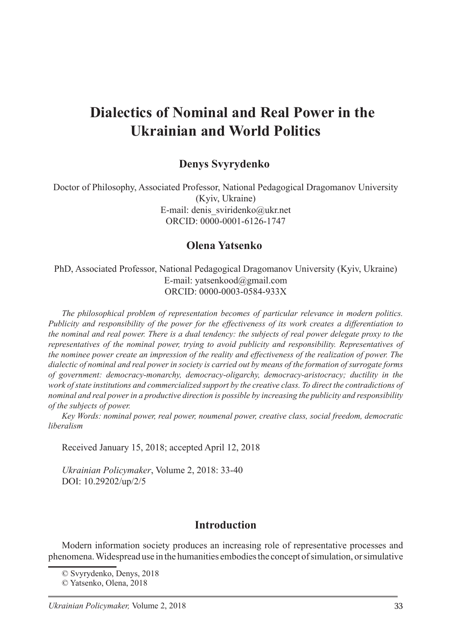# **Dialectics of Nominal and Real Power in the Ukrainian and World Politics**

#### **Denys Svyrydenko**

Doctor of Philosophy, Associated Professor, National Pedagogical Dragomanov University (Kyiv, Ukraine) E-mail: denis\_sviridenko@ukr.net ORCID: 0000-0001-6126-1747

#### **Olena Yatsenko**<sup>2</sup>

PhD, Associated Professor, National Pedagogical Dragomanov University (Kyiv, Ukraine) E-mail: yatsenkood@gmail.com ORCID: 0000-0003-0584-933X

*The philosophical problem of representation becomes of particular relevance in modern politics. Publicity and responsibility of the power for the effectiveness of its work creates a differentiation to the nominal and real power. There is a dual tendency: the subjects of real power delegate proxy to the representatives of the nominal power, trying to avoid publicity and responsibility. Representatives of the nominee power create an impression of the reality and effectiveness of the realization of power. The dialectic of nominal and real power in society is carried out by means of the formation of surrogate forms of government: democracy-monarchy, democracy-oligarchy, democracy-aristocracy; ductility in the*  work of state institutions and commercialized support by the creative class. To direct the contradictions of *nominal and real power in a productive direction is possible by increasing the publicity and responsibility of the subjects of power.*

*Key Words: nominal power, real power, noumenal power, creative class, social freedom, democratic liberalism*

Received January 15, 2018; accepted April 12, 2018

*Ukrainian Policymaker*, Volume 2, 2018: 33-40 DOI: 10.29202/up/2/5

#### **Introduction**

Modern information society produces an increasing role of representative processes and phenomena. Widespread use in the humanities embodies the concept of simulation, or simulative

<sup>©</sup> Svyrydenko, Denys, 2018

<sup>©</sup> Yatsenko, Olena, 2018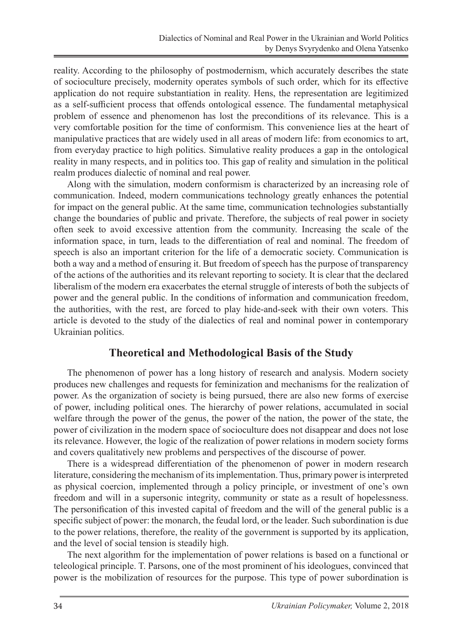reality. According to the philosophy of postmodernism, which accurately describes the state of socioculture precisely, modernity operates symbols of such order, which for its effective application do not require substantiation in reality. Hens, the representation are legitimized as a self-sufficient process that offends ontological essence. The fundamental metaphysical problem of essence and phenomenon has lost the preconditions of its relevance. This is a very comfortable position for the time of conformism. This convenience lies at the heart of manipulative practices that are widely used in all areas of modern life: from economics to art, from everyday practice to high politics. Simulative reality produces a gap in the ontological reality in many respects, and in politics too. This gap of reality and simulation in the political realm produces dialectic of nominal and real power.

Along with the simulation, modern conformism is characterized by an increasing role of communication. Indeed, modern communications technology greatly enhances the potential for impact on the general public. At the same time, communication technologies substantially change the boundaries of public and private. Therefore, the subjects of real power in society often seek to avoid excessive attention from the community. Increasing the scale of the information space, in turn, leads to the differentiation of real and nominal. The freedom of speech is also an important criterion for the life of a democratic society. Communication is both a way and a method of ensuring it. But freedom of speech has the purpose of transparency of the actions of the authorities and its relevant reporting to society. It is clear that the declared liberalism of the modern era exacerbates the eternal struggle of interests of both the subjects of power and the general public. In the conditions of information and communication freedom, the authorities, with the rest, are forced to play hide-and-seek with their own voters. This article is devoted to the study of the dialectics of real and nominal power in contemporary Ukrainian politics.

#### **Theoretical and Methodological Basis of the Study**

The phenomenon of power has a long history of research and analysis. Modern society produces new challenges and requests for feminization and mechanisms for the realization of power. As the organization of society is being pursued, there are also new forms of exercise of power, including political ones. The hierarchy of power relations, accumulated in social welfare through the power of the genus, the power of the nation, the power of the state, the power of civilization in the modern space of socioculture does not disappear and does not lose its relevance. However, the logic of the realization of power relations in modern society forms and covers qualitatively new problems and perspectives of the discourse of power.

There is a widespread differentiation of the phenomenon of power in modern research literature, considering the mechanism of its implementation. Thus, primary power is interpreted as physical coercion, implemented through a policy principle, or investment of one's own freedom and will in a supersonic integrity, community or state as a result of hopelessness. The personification of this invested capital of freedom and the will of the general public is a specific subject of power: the monarch, the feudal lord, or the leader. Such subordination is due to the power relations, therefore, the reality of the government is supported by its application, and the level of social tension is steadily high.

The next algorithm for the implementation of power relations is based on a functional or teleological principle. T. Parsons, one of the most prominent of his ideologues, convinced that power is the mobilization of resources for the purpose. This type of power subordination is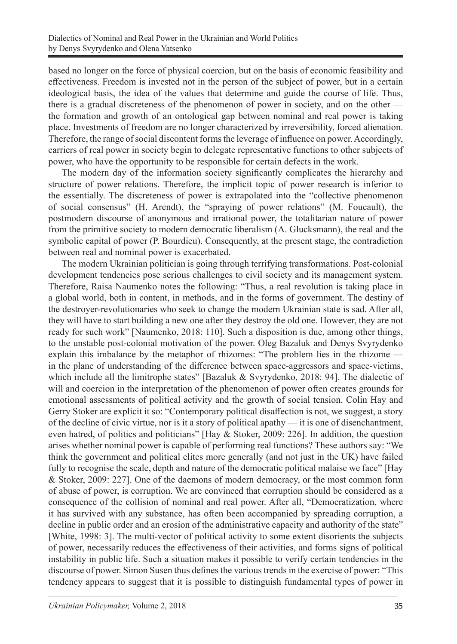based no longer on the force of physical coercion, but on the basis of economic feasibility and effectiveness. Freedom is invested not in the person of the subject of power, but in a certain ideological basis, the idea of the values that determine and guide the course of life. Thus, there is a gradual discreteness of the phenomenon of power in society, and on the other the formation and growth of an ontological gap between nominal and real power is taking place. Investments of freedom are no longer characterized by irreversibility, forced alienation. Therefore, the range of social discontent forms the leverage of influence on power. Accordingly, carriers of real power in society begin to delegate representative functions to other subjects of power, who have the opportunity to be responsible for certain defects in the work.

The modern day of the information society significantly complicates the hierarchy and structure of power relations. Therefore, the implicit topic of power research is inferior to the essentially. The discreteness of power is extrapolated into the "collective phenomenon of social consensus" (H. Arendt), the "spraying of power relations" (M. Foucault), the postmodern discourse of anonymous and irrational power, the totalitarian nature of power from the primitive society to modern democratic liberalism (A. Glucksmann), the real and the symbolic capital of power (P. Bourdieu). Consequently, at the present stage, the contradiction between real and nominal power is exacerbated.

The modern Ukrainian politician is going through terrifying transformations. Post-colonial development tendencies pose serious challenges to civil society and its management system. Therefore, Raisa Naumenko notes the following: "Thus, a real revolution is taking place in a global world, both in content, in methods, and in the forms of government. The destiny of the destroyer-revolutionaries who seek to change the modern Ukrainian state is sad. After all, they will have to start building a new one after they destroy the old one. However, they are not ready for such work" [Naumenko, 2018: 110]. Such a disposition is due, among other things, to the unstable post-colonial motivation of the power. Oleg Bazaluk and Denys Svyrydenko explain this imbalance by the metaphor of rhizomes: "The problem lies in the rhizome in the plane of understanding of the difference between space-aggressors and space-victims, which include all the limitrophe states" [Bazaluk & Svyrydenko, 2018: 94]. The dialectic of will and coercion in the interpretation of the phenomenon of power often creates grounds for emotional assessments of political activity and the growth of social tension. Colin Hay and Gerry Stoker are explicit it so: "Contemporary political disaffection is not, we suggest, a story of the decline of civic virtue, nor is it a story of political apathy — it is one of disenchantment, even hatred, of politics and politicians" [Hay & Stoker, 2009: 226]. In addition, the question arises whether nominal power is capable of performing real functions? These authors say: "We think the government and political elites more generally (and not just in the UK) have failed fully to recognise the scale, depth and nature of the democratic political malaise we face" [Hay & Stoker, 2009: 227]. One of the daemons of modern democracy, or the most common form of abuse of power, is corruption. We are convinced that corruption should be considered as a consequence of the collision of nominal and real power. After all, "Democratization, where it has survived with any substance, has often been accompanied by spreading corruption, a decline in public order and an erosion of the administrative capacity and authority of the state" [White, 1998: 3]. The multi-vector of political activity to some extent disorients the subjects of power, necessarily reduces the effectiveness of their activities, and forms signs of political instability in public life. Such a situation makes it possible to verify certain tendencies in the discourse of power. Simon Susen thus defines the various trends in the exercise of power: "This tendency appears to suggest that it is possible to distinguish fundamental types of power in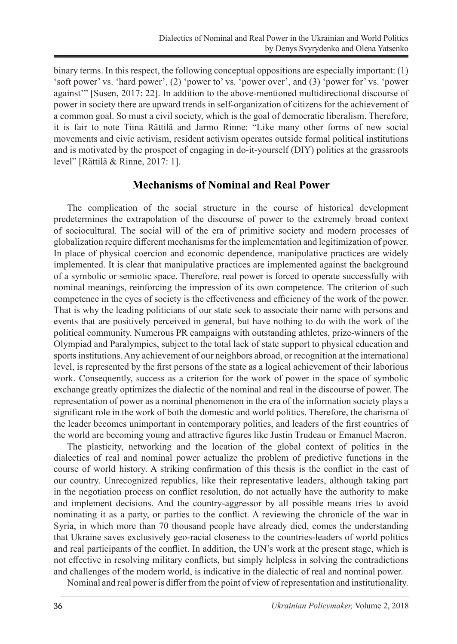binary terms. In this respect, the following conceptual oppositions are especially important: (1) 'soft power' vs. 'hard power', (2) 'power to' vs. 'power over', and (3) 'power for' vs. 'power against'" [Susen, 2017: 22]. In addition to the above-mentioned multidirectional discourse of power in society there are upward trends in self-organization of citizens for the achievement of a common goal. So must a civil society, which is the goal of democratic liberalism. Therefore, it is fair to note Tiina Rättilä and Jarmo Rinne: "Like many other forms of new social movements and civic activism, resident activism operates outside formal political institutions and is motivated by the prospect of engaging in do-it-yourself (DIY) politics at the grassroots level" [Rättilä & Rinne, 2017: 1].

#### **Mechanisms of Nominal and Real Power**

The complication of the social structure in the course of historical development predetermines the extrapolation of the discourse of power to the extremely broad context of sociocultural. The social will of the era of primitive society and modern processes of globalization require different mechanisms for the implementation and legitimization of power. In place of physical coercion and economic dependence, manipulative practices are widely implemented. It is clear that manipulative practices are implemented against the background of a symbolic or semiotic space. Therefore, real power is forced to operate successfully with nominal meanings, reinforcing the impression of its own competence. The criterion of such competence in the eyes of society is the effectiveness and efficiency of the work of the power. That is why the leading politicians of our state seek to associate their name with persons and events that are positively perceived in general, but have nothing to do with the work of the political community. Numerous PR campaigns with outstanding athletes, prize-winners of the Olympiad and Paralympics, subject to the total lack of state support to physical education and sports institutions. Any achievement of our neighbors abroad, or recognition at the international level, is represented by the first persons of the state as a logical achievement of their laborious work. Consequently, success as a criterion for the work of power in the space of symbolic exchange greatly optimizes the dialectic of the nominal and real in the discourse of power. The representation of power as a nominal phenomenon in the era of the information society plays a significant role in the work of both the domestic and world politics. Therefore, the charisma of the leader becomes unimportant in contemporary politics, and leaders of the first countries of the world are becoming young and attractive figures like Justin Trudeau or Emanuel Macron.

The plasticity, networking and the location of the global context of politics in the dialectics of real and nominal power actualize the problem of predictive functions in the course of world history. A striking confirmation of this thesis is the conflict in the east of our country. Unrecognized republics, like their representative leaders, although taking part in the negotiation process on conflict resolution, do not actually have the authority to make and implement decisions. And the country-aggressor by all possible means tries to avoid nominating it as a party, or parties to the conflict. A reviewing the chronicle of the war in Syria, in which more than 70 thousand people have already died, comes the understanding that Ukraine saves exclusively geo-racial closeness to the countries-leaders of world politics and real participants of the conflict. In addition, the UN's work at the present stage, which is not effective in resolving military conflicts, but simply helpless in solving the contradictions and challenges of the modern world, is indicative in the dialectic of real and nominal power.

Nominal and real power is differ from the point of view of representation and institutionality.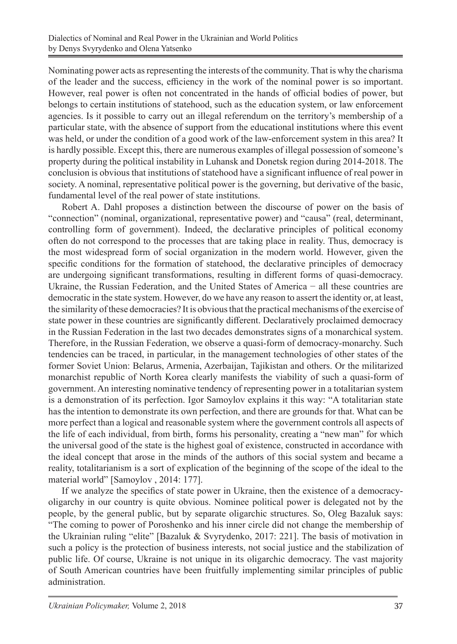Nominating power acts as representing the interests of the community. That is why the charisma of the leader and the success, efficiency in the work of the nominal power is so important. However, real power is often not concentrated in the hands of official bodies of power, but belongs to certain institutions of statehood, such as the education system, or law enforcement agencies. Is it possible to carry out an illegal referendum on the territory's membership of a particular state, with the absence of support from the educational institutions where this event was held, or under the condition of a good work of the law-enforcement system in this area? It is hardly possible. Except this, there are numerous examples of illegal possession of someone's property during the political instability in Luhansk and Donetsk region during 2014-2018. The conclusion is obvious that institutions of statehood have a significant influence of real power in society. A nominal, representative political power is the governing, but derivative of the basic, fundamental level of the real power of state institutions.

Robert A. Dahl proposes a distinction between the discourse of power on the basis of "connection" (nominal, organizational, representative power) and "causa" (real, determinant, controlling form of government). Indeed, the declarative principles of political economy often do not correspond to the processes that are taking place in reality. Thus, democracy is the most widespread form of social organization in the modern world. However, given the specific conditions for the formation of statehood, the declarative principles of democracy are undergoing significant transformations, resulting in different forms of quasi-democracy. Ukraine, the Russian Federation, and the United States of America − all these countries are democratic in the state system. However, do we have any reason to assert the identity or, at least, the similarity of these democracies? It is obvious that the practical mechanisms of the exercise of state power in these countries are significantly different. Declaratively proclaimed democracy in the Russian Federation in the last two decades demonstrates signs of a monarchical system. Therefore, in the Russian Federation, we observe a quasi-form of democracy-monarchy. Such tendencies can be traced, in particular, in the management technologies of other states of the former Soviet Union: Belarus, Armenia, Azerbaijan, Tajikistan and others. Or the militarized monarchist republic of North Korea clearly manifests the viability of such a quasi-form of government. An interesting nominative tendency of representing power in a totalitarian system is a demonstration of its perfection. Igor Samoylov explains it this way: "A totalitarian state has the intention to demonstrate its own perfection, and there are grounds for that. What can be more perfect than a logical and reasonable system where the government controls all aspects of the life of each individual, from birth, forms his personality, creating a "new man" for which the universal good of the state is the highest goal of existence, constructed in accordance with the ideal concept that arose in the minds of the authors of this social system and became a reality, totalitarianism is a sort of explication of the beginning of the scope of the ideal to the material world" [Samoylov , 2014: 177].

If we analyze the specifics of state power in Ukraine, then the existence of a democracyoligarchy in our country is quite obvious. Nominee political power is delegated not by the people, by the general public, but by separate oligarchic structures. So, Oleg Bazaluk says: "The coming to power of Poroshenko and his inner circle did not change the membership of the Ukrainian ruling "elite" [Bazaluk & Svyrydenko, 2017: 221]. The basis of motivation in such a policy is the protection of business interests, not social justice and the stabilization of public life. Of course, Ukraine is not unique in its oligarchic democracy. The vast majority of South American countries have been fruitfully implementing similar principles of public administration.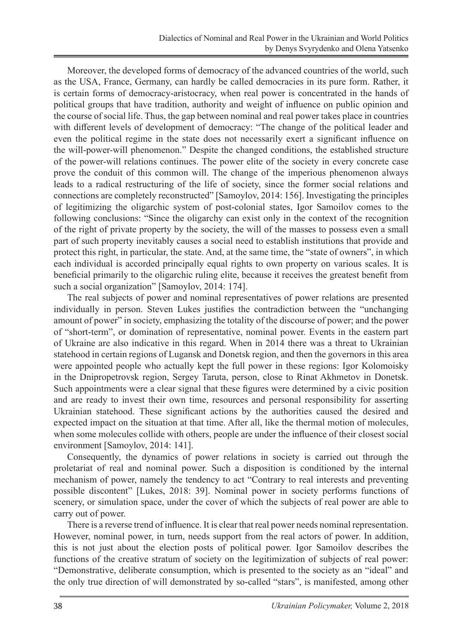Moreover, the developed forms of democracy of the advanced countries of the world, such as the USA, France, Germany, can hardly be called democracies in its pure form. Rather, it is certain forms of democracy-aristocracy, when real power is concentrated in the hands of political groups that have tradition, authority and weight of influence on public opinion and the course of social life. Thus, the gap between nominal and real power takes place in countries with different levels of development of democracy: "The change of the political leader and even the political regime in the state does not necessarily exert a significant influence on the will-power-will phenomenon." Despite the changed conditions, the established structure of the power-will relations continues. The power elite of the society in every concrete case prove the conduit of this common will. The change of the imperious phenomenon always leads to a radical restructuring of the life of society, since the former social relations and connections are completely reconstructed" [Samoylov, 2014: 156]. Investigating the principles of legitimizing the oligarchic system of post-colonial states, Igor Samoilov comes to the following conclusions: "Since the oligarchy can exist only in the context of the recognition of the right of private property by the society, the will of the masses to possess even a small part of such property inevitably causes a social need to establish institutions that provide and protect this right, in particular, the state. And, at the same time, the "state of owners", in which each individual is accorded principally equal rights to own property on various scales. It is beneficial primarily to the oligarchic ruling elite, because it receives the greatest benefit from such a social organization" [Samoylov, 2014: 174].

The real subjects of power and nominal representatives of power relations are presented individually in person. Steven Lukes justifies the contradiction between the "unchanging amount of power" in society, emphasizing the totality of the discourse of power; and the power of "short-term", or domination of representative, nominal power. Events in the eastern part of Ukraine are also indicative in this regard. When in 2014 there was a threat to Ukrainian statehood in certain regions of Lugansk and Donetsk region, and then the governors in this area were appointed people who actually kept the full power in these regions: Igor Kolomoisky in the Dnipropetrovsk region, Sergey Taruta, person, close to Rinat Akhmetov in Donetsk. Such appointments were a clear signal that these figures were determined by a civic position and are ready to invest their own time, resources and personal responsibility for asserting Ukrainian statehood. These significant actions by the authorities caused the desired and expected impact on the situation at that time. After all, like the thermal motion of molecules, when some molecules collide with others, people are under the influence of their closest social environment [Samoylov, 2014: 141].

Consequently, the dynamics of power relations in society is carried out through the proletariat of real and nominal power. Such a disposition is conditioned by the internal mechanism of power, namely the tendency to act "Contrary to real interests and preventing possible discontent" [Lukes, 2018: 39]. Nominal power in society performs functions of scenery, or simulation space, under the cover of which the subjects of real power are able to carry out of power.

There is a reverse trend of influence. It is clear that real power needs nominal representation. However, nominal power, in turn, needs support from the real actors of power. In addition, this is not just about the election posts of political power. Igor Samoilov describes the functions of the creative stratum of society on the legitimization of subjects of real power: "Demonstrative, deliberate consumption, which is presented to the society as an "ideal" and the only true direction of will demonstrated by so-called "stars", is manifested, among other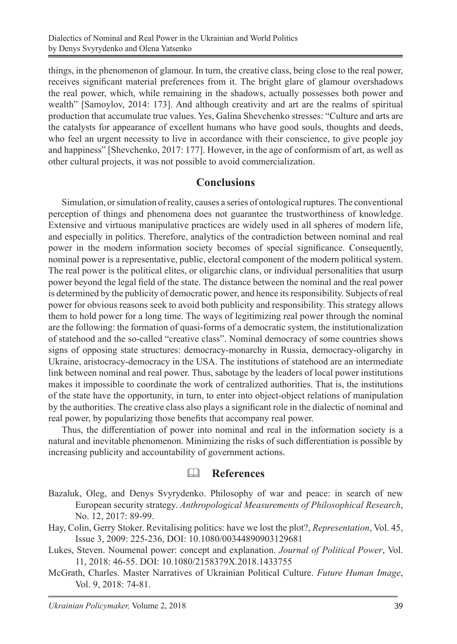things, in the phenomenon of glamour. In turn, the creative class, being close to the real power, receives significant material preferences from it. The bright glare of glamour overshadows the real power, which, while remaining in the shadows, actually possesses both power and wealth" [Samoylov, 2014: 173]. And although creativity and art are the realms of spiritual production that accumulate true values. Yes, Galina Shevchenko stresses: "Culture and arts are the catalysts for appearance of excellent humans who have good souls, thoughts and deeds, who feel an urgent necessity to live in accordance with their conscience, to give people joy and happiness" [Shevchenko, 2017: 177]. However, in the age of conformism of art, as well as other cultural projects, it was not possible to avoid commercialization.

#### **Conclusions**

Simulation, or simulation of reality, causes a series of ontological ruptures. The conventional perception of things and phenomena does not guarantee the trustworthiness of knowledge. Extensive and virtuous manipulative practices are widely used in all spheres of modern life, and especially in politics. Therefore, analytics of the contradiction between nominal and real power in the modern information society becomes of special significance. Consequently, nominal power is a representative, public, electoral component of the modern political system. The real power is the political elites, or oligarchic clans, or individual personalities that usurp power beyond the legal field of the state. The distance between the nominal and the real power is determined by the publicity of democratic power, and hence its responsibility. Subjects of real power for obvious reasons seek to avoid both publicity and responsibility. This strategy allows them to hold power for a long time. The ways of legitimizing real power through the nominal are the following: the formation of quasi-forms of a democratic system, the institutionalization of statehood and the so-called "creative class". Nominal democracy of some countries shows signs of opposing state structures: democracy-monarchy in Russia, democracy-oligarchy in Ukraine, aristocracy-democracy in the USA. The institutions of statehood are an intermediate link between nominal and real power. Thus, sabotage by the leaders of local power institutions makes it impossible to coordinate the work of centralized authorities. That is, the institutions of the state have the opportunity, in turn, to enter into object-object relations of manipulation by the authorities. The creative class also plays a significant role in the dialectic of nominal and real power, by popularizing those benefits that accompany real power.

Thus, the differentiation of power into nominal and real in the information society is a natural and inevitable phenomenon. Minimizing the risks of such differentiation is possible by increasing publicity and accountability of government actions.

#### **References**

- Bazaluk, Oleg, and Denys Svyrydenko. Philosophy of war and peace: in search of new European security strategy. *Anthropological Measurements of Philosophical Research*, No. 12, 2017: 89-99.
- Hay, Colin, Gerry Stoker. Revitalising politics: have we lost the plot?, *Representation*, Vol. 45, Issue 3, 2009: 225-236, DOI: 10.1080/00344890903129681
- Lukes, Steven. Noumenal power: concept and explanation. *Journal of Political Power*, Vol. 11, 2018: 46-55. DOI: 10.1080/2158379X.2018.1433755
- McGrath, Charles. Master Narratives of Ukrainian Political Culture. *Future Human Image*, Vol. 9, 2018: 74-81.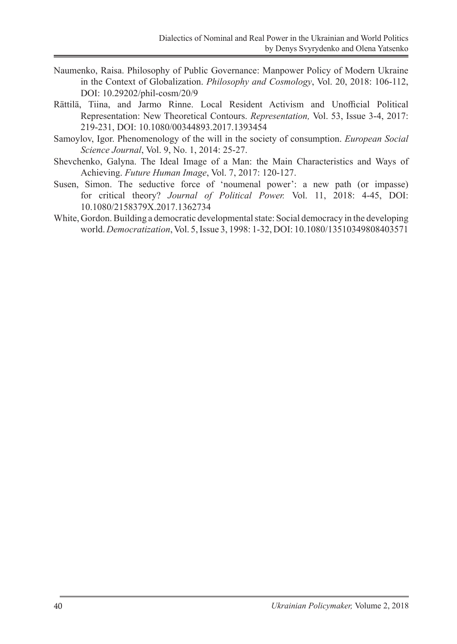- Naumenko, Raisa. Philosophy of Public Governance: Manpower Policy of Modern Ukraine in the Context of Globalization. *Philosophy and Cosmology*, Vol. 20, 2018: 106-112, DOI: 10.29202/phil-cosm/20/9
- Rättilä, Tiina, and Jarmo Rinne. Local Resident Activism and Unofficial Political Representation: New Theoretical Contours. *Representation,* Vol. 53, Issue 3-4, 2017: 219-231, DOI: 10.1080/00344893.2017.1393454
- Samoylov, Igor. Phenomenology of the will in the society of consumption. *European Social Science Journal*, Vol. 9, No. 1, 2014: 25-27.
- Shevchenko, Galyna. The Ideal Image of a Man: the Main Characteristics and Ways of Achieving. *Future Human Image*, Vol. 7, 2017: 120-127.
- Susen, Simon. The seductive force of 'noumenal power': a new path (or impasse) for critical theory? *Journal of Political Power.* Vol. 11, 2018: 4-45, DOI: 10.1080/2158379X.2017.1362734
- White, Gordon. Building a democratic developmental state: Social democracy in the developing world. *Democratization*, Vol. 5, Issue 3, 1998: 1-32, DOI: 10.1080/13510349808403571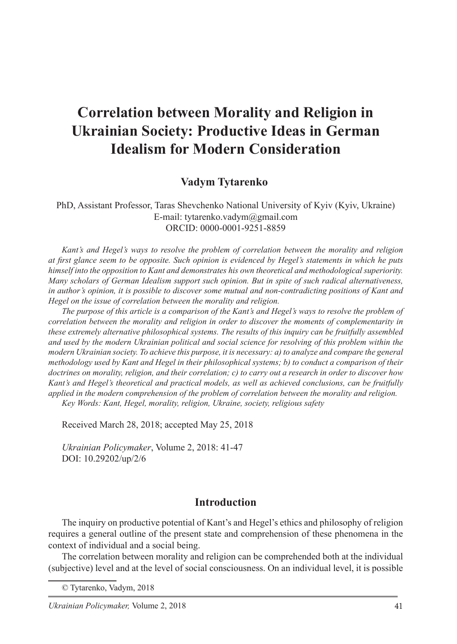# **Correlation between Morality and Religion in Ukrainian Society: Productive Ideas in German Idealism for Modern Consideration**

#### **Vadym Tytarenko**

PhD, Assistant Professor, Taras Shevchenko National University of Kyiv (Kyiv, Ukraine) E-mail: tytarenko.vadym@gmail.com ORCID: 0000-0001-9251-8859

*Kant's and Hegel's ways to resolve the problem of correlation between the morality and religion at first glance seem to be opposite. Such opinion is evidenced by Hegel's statements in which he puts himself into the opposition to Kant and demonstrates his own theoretical and methodological superiority. Many scholars of German Idealism support such opinion. But in spite of such radical alternativeness, in author's opinion, it is possible to discover some mutual and non-contradicting positions of Kant and Hegel on the issue of correlation between the morality and religion.* 

*The purpose of this article is a comparison of the Kant's and Hegel's ways to resolve the problem of correlation between the morality and religion in order to discover the moments of complementarity in these extremely alternative philosophical systems. The results of this inquiry can be fruitfully assembled and used by the modern Ukrainian political and social science for resolving of this problem within the modern Ukrainian society. To achieve this purpose, it is necessary: a) to analyze and compare the general methodology used by Kant and Hegel in their philosophical systems; b) to conduct a comparison of their doctrines on morality, religion, and their correlation; c) to carry out a research in order to discover how Kant's and Hegel's theoretical and practical models, as well as achieved conclusions, can be fruitfully applied in the modern comprehension of the problem of correlation between the morality and religion. Key Words: Kant, Hegel, morality, religion, Ukraine, society, religious safety*

Received March 28, 2018; accepted May 25, 2018

*Ukrainian Policymaker*, Volume 2, 2018: 41-47 DOI: 10.29202/up/2/6

#### **Introduction**

The inquiry on productive potential of Kant's and Hegel's ethics and philosophy of religion requires a general outline of the present state and comprehension of these phenomena in the context of individual and a social being.

The correlation between morality and religion can be comprehended both at the individual (subjective) level and at the level of social consciousness. On an individual level, it is possible

<sup>©</sup> Tytarenko, Vadym, 2018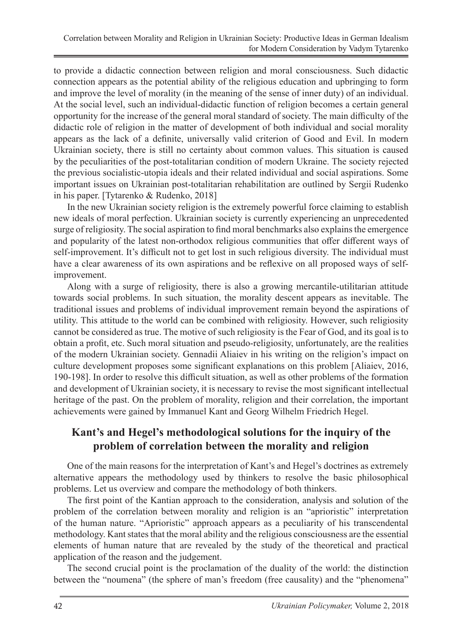to provide a didactic connection between religion and moral consciousness. Such didactic connection appears as the potential ability of the religious education and upbringing to form and improve the level of morality (in the meaning of the sense of inner duty) of an individual. At the social level, such an individual-didactic function of religion becomes a certain general opportunity for the increase of the general moral standard of society. The main difficulty of the didactic role of religion in the matter of development of both individual and social morality appears as the lack of a definite, universally valid criterion of Good and Evil. In modern Ukrainian society, there is still no certainty about common values. This situation is caused by the peculiarities of the post-totalitarian condition of modern Ukraine. The society rejected the previous socialistic-utopia ideals and their related individual and social aspirations. Some important issues on Ukrainian post-totalitarian rehabilitation are outlined by Sergii Rudenko in his paper. [Tytarenko & Rudenko, 2018]

In the new Ukrainian society religion is the extremely powerful force claiming to establish new ideals of moral perfection. Ukrainian society is currently experiencing an unprecedented surge of religiosity. The social aspiration to find moral benchmarks also explains the emergence and popularity of the latest non-orthodox religious communities that offer different ways of self-improvement. It's difficult not to get lost in such religious diversity. The individual must have a clear awareness of its own aspirations and be reflexive on all proposed ways of selfimprovement.

Along with a surge of religiosity, there is also a growing mercantile-utilitarian attitude towards social problems. In such situation, the morality descent appears as inevitable. The traditional issues and problems of individual improvement remain beyond the aspirations of utility. This attitude to the world can be combined with religiosity. However, such religiosity cannot be considered as true. The motive of such religiosity is the Fear of God, and its goal is to obtain a profit, etc. Such moral situation and pseudo-religiosity, unfortunately, are the realities of the modern Ukrainian society. Gennadii Aliaiev in his writing on the religion's impact on culture development proposes some significant explanations on this problem [Aliaiev, 2016, 190-198]. In order to resolve this difficult situation, as well as other problems of the formation and development of Ukrainian society, it is necessary to revise the most significant intellectual heritage of the past. On the problem of morality, religion and their correlation, the important achievements were gained by Immanuel Kant and Georg Wilhelm Friedrich Hegel.

### **Kant's and Hegel's methodological solutions for the inquiry of the problem of correlation between the morality and religion**

One of the main reasons for the interpretation of Kant's and Hegel's doctrines as extremely alternative appears the methodology used by thinkers to resolve the basic philosophical problems. Let us overview and compare the methodology of both thinkers.

The first point of the Kantian approach to the consideration, analysis and solution of the problem of the correlation between morality and religion is an "aprioristic" interpretation of the human nature. "Aprioristic" approach appears as a peculiarity of his transcendental methodology. Kant states that the moral ability and the religious consciousness are the essential elements of human nature that are revealed by the study of the theoretical and practical application of the reason and the judgement.

The second crucial point is the proclamation of the duality of the world: the distinction between the "noumena" (the sphere of man's freedom (free causality) and the "phenomena"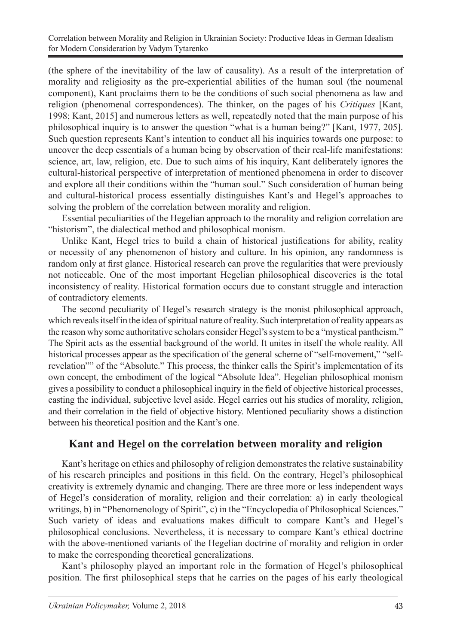(the sphere of the inevitability of the law of causality). As a result of the interpretation of morality and religiosity as the pre-experiential abilities of the human soul (the noumenal component), Kant proclaims them to be the conditions of such social phenomena as law and religion (phenomenal correspondences). The thinker, on the pages of his *Critiques* [Kant, 1998; Kant, 2015] and numerous letters as well, repeatedly noted that the main purpose of his philosophical inquiry is to answer the question "what is a human being?" [Kant, 1977, 205]. Such question represents Kant's intention to conduct all his inquiries towards one purpose: to uncover the deep essentials of a human being by observation of their real-life manifestations: science, art, law, religion, etc. Due to such aims of his inquiry, Kant deliberately ignores the cultural-historical perspective of interpretation of mentioned phenomena in order to discover and explore all their conditions within the "human soul." Such consideration of human being and cultural-historical process essentially distinguishes Kant's and Hegel's approaches to solving the problem of the correlation between morality and religion.

Essential peculiarities of the Hegelian approach to the morality and religion correlation are "historism", the dialectical method and philosophical monism.

Unlike Kant, Hegel tries to build a chain of historical justifications for ability, reality or necessity of any phenomenon of history and culture. In his opinion, any randomness is random only at first glance. Historical research can prove the regularities that were previously not noticeable. One of the most important Hegelian philosophical discoveries is the total inconsistency of reality. Historical formation occurs due to constant struggle and interaction of contradictory elements.

The second peculiarity of Hegel's research strategy is the monist philosophical approach, which reveals itself in the idea of spiritual nature of reality. Such interpretation of reality appears as the reason why some authoritative scholars consider Hegel's system to be a "mystical pantheism." The Spirit acts as the essential background of the world. It unites in itself the whole reality. All historical processes appear as the specification of the general scheme of "self-movement," "selfrevelation"" of the "Absolute." This process, the thinker calls the Spirit's implementation of its own concept, the embodiment of the logical "Absolute Idea". Hegelian philosophical monism gives a possibility to conduct a philosophical inquiry in the field of objective historical processes, casting the individual, subjective level aside. Hegel carries out his studies of morality, religion, and their correlation in the field of objective history. Mentioned peculiarity shows a distinction between his theoretical position and the Kant's one.

### **Kant and Hegel on the correlation between morality and religion**

Kant's heritage on ethics and philosophy of religion demonstrates the relative sustainability of his research principles and positions in this field. On the contrary, Hegel's philosophical creativity is extremely dynamic and changing. There are three more or less independent ways of Hegel's consideration of morality, religion and their correlation: a) in early theological writings, b) in "Phenomenology of Spirit", c) in the "Encyclopedia of Philosophical Sciences." Such variety of ideas and evaluations makes difficult to compare Kant's and Hegel's philosophical conclusions. Nevertheless, it is necessary to compare Kant's ethical doctrine with the above-mentioned variants of the Hegelian doctrine of morality and religion in order to make the corresponding theoretical generalizations.

Kant's philosophy played an important role in the formation of Hegel's philosophical position. The first philosophical steps that he carries on the pages of his early theological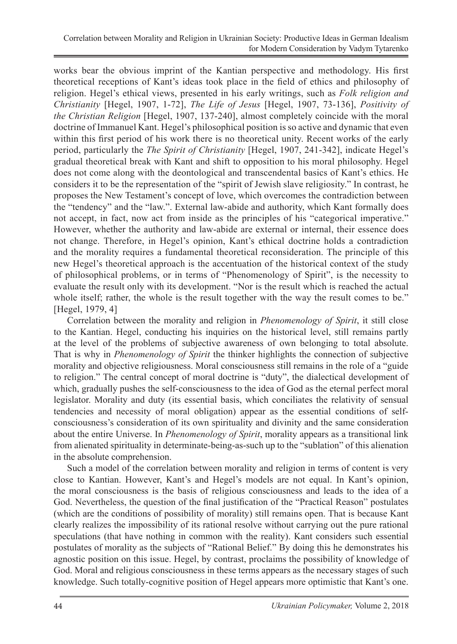works bear the obvious imprint of the Kantian perspective and methodology. His first theoretical receptions of Kant's ideas took place in the field of ethics and philosophy of religion. Hegel's ethical views, presented in his early writings, such as *Folk religion and Christianity* [Hegel, 1907, 1-72], *The Life of Jesus* [Hegel, 1907, 73-136], *Positivity of the Christian Religion* [Hegel, 1907, 137-240], almost completely coincide with the moral doctrine of Immanuel Kant. Hegel's philosophical position is so active and dynamic that even within this first period of his work there is no theoretical unity. Recent works of the early period, particularly the *The Spirit of Christianity* [Hegel, 1907, 241-342], indicate Hegel's gradual theoretical break with Kant and shift to opposition to his moral philosophy. Hegel does not come along with the deontological and transcendental basics of Kant's ethics. He considers it to be the representation of the "spirit of Jewish slave religiosity." In contrast, he proposes the New Testament's concept of love, which overcomes the contradiction between the "tendency" and the "law.". External law-abide and authority, which Kant formally does not accept, in fact, now act from inside as the principles of his "categorical imperative." However, whether the authority and law-abide are external or internal, their essence does not change. Therefore, in Hegel's opinion, Kant's ethical doctrine holds a contradiction and the morality requires a fundamental theoretical reconsideration. The principle of this new Hegel's theoretical approach is the accentuation of the historical context of the study of philosophical problems, or in terms of "Phenomenology of Spirit", is the necessity to evaluate the result only with its development. "Nor is the result which is reached the actual whole itself; rather, the whole is the result together with the way the result comes to be." [Hegel, 1979, 4]

Correlation between the morality and religion in *Phenomenology of Spirit*, it still close to the Kantian. Hegel, conducting his inquiries on the historical level, still remains partly at the level of the problems of subjective awareness of own belonging to total absolute. That is why in *Phenomenology of Spirit* the thinker highlights the connection of subjective morality and objective religiousness. Moral consciousness still remains in the role of a "guide to religion." The central concept of moral doctrine is "duty", the dialectical development of which, gradually pushes the self-consciousness to the idea of God as the eternal perfect moral legislator. Morality and duty (its essential basis, which conciliates the relativity of sensual tendencies and necessity of moral obligation) appear as the essential conditions of selfconsciousness's consideration of its own spirituality and divinity and the same consideration about the entire Universe. In *Phenomenology of Spirit*, morality appears as a transitional link from alienated spirituality in determinate-being-as-such up to the "sublation" of this alienation in the absolute comprehension.

Such a model of the correlation between morality and religion in terms of content is very close to Kantian. However, Kant's and Hegel's models are not equal. In Kant's opinion, the moral consciousness is the basis of religious consciousness and leads to the idea of a God. Nevertheless, the question of the final justification of the "Practical Reason" postulates (which are the conditions of possibility of morality) still remains open. That is because Kant clearly realizes the impossibility of its rational resolve without carrying out the pure rational speculations (that have nothing in common with the reality). Kant considers such essential postulates of morality as the subjects of "Rational Belief." By doing this he demonstrates his agnostic position on this issue. Hegel, by contrast, proclaims the possibility of knowledge of God. Moral and religious consciousness in these terms appears as the necessary stages of such knowledge. Such totally-cognitive position of Hegel appears more optimistic that Kant's one.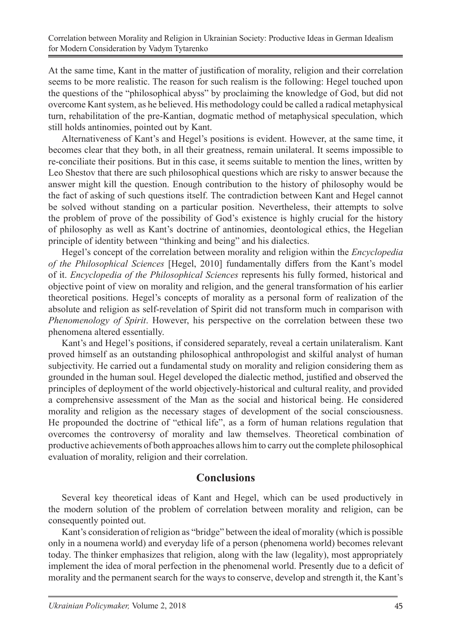At the same time, Kant in the matter of justification of morality, religion and their correlation seems to be more realistic. The reason for such realism is the following: Hegel touched upon the questions of the "philosophical abyss" by proclaiming the knowledge of God, but did not overcome Kant system, as he believed. His methodology could be called a radical metaphysical turn, rehabilitation of the pre-Kantian, dogmatic method of metaphysical speculation, which still holds antinomies, pointed out by Kant.

Alternativeness of Kant's and Hegel's positions is evident. However, at the same time, it becomes clear that they both, in all their greatness, remain unilateral. It seems impossible to re-conciliate their positions. But in this case, it seems suitable to mention the lines, written by Leo Shestov that there are such philosophical questions which are risky to answer because the answer might kill the question. Enough contribution to the history of philosophy would be the fact of asking of such questions itself. The contradiction between Kant and Hegel cannot be solved without standing on a particular position. Nevertheless, their attempts to solve the problem of prove of the possibility of God's existence is highly crucial for the history of philosophy as well as Kant's doctrine of antinomies, deontological ethics, the Hegelian principle of identity between "thinking and being" and his dialectics.

Hegel's concept of the correlation between morality and religion within the *Encyclopedia of the Philosophical Sciences* [Hegel, 2010] fundamentally differs from the Kant's model of it. *Encyclopedia of the Philosophical Sciences* represents his fully formed, historical and objective point of view on morality and religion, and the general transformation of his earlier theoretical positions. Hegel's concepts of morality as a personal form of realization of the absolute and religion as self-revelation of Spirit did not transform much in comparison with *Phenomenology of Spirit*. However, his perspective on the correlation between these two phenomena altered essentially.

Kant's and Hegel's positions, if considered separately, reveal a certain unilateralism. Kant proved himself as an outstanding philosophical anthropologist and skilful analyst of human subjectivity. He carried out a fundamental study on morality and religion considering them as grounded in the human soul. Hegel developed the dialectic method, justified and observed the principles of deployment of the world objectively-historical and cultural reality, and provided a comprehensive assessment of the Man as the social and historical being. He considered morality and religion as the necessary stages of development of the social consciousness. He propounded the doctrine of "ethical life", as a form of human relations regulation that overcomes the controversy of morality and law themselves. Theoretical combination of productive achievements of both approaches allows him to carry out the complete philosophical evaluation of morality, religion and their correlation.

#### **Conclusions**

Several key theoretical ideas of Kant and Hegel, which can be used productively in the modern solution of the problem of correlation between morality and religion, can be consequently pointed out.

Kant's consideration of religion as "bridge" between the ideal of morality (which is possible only in a noumena world) and everyday life of a person (phenomena world) becomes relevant today. The thinker emphasizes that religion, along with the law (legality), most appropriately implement the idea of moral perfection in the phenomenal world. Presently due to a deficit of morality and the permanent search for the ways to conserve, develop and strength it, the Kant's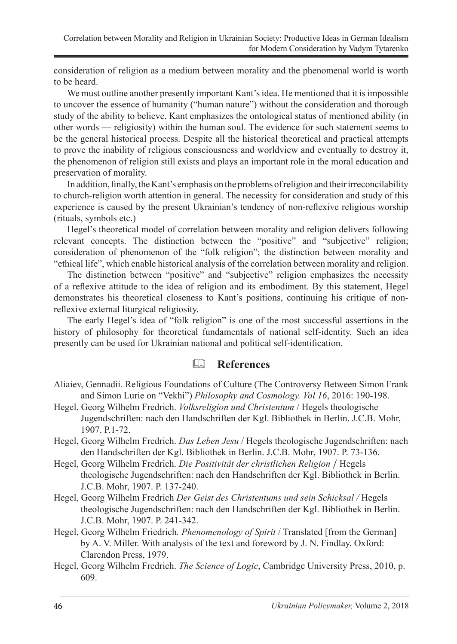consideration of religion as a medium between morality and the phenomenal world is worth to be heard.

We must outline another presently important Kant's idea. He mentioned that it is impossible to uncover the essence of humanity ("human nature") without the consideration and thorough study of the ability to believe. Kant emphasizes the ontological status of mentioned ability (in other words — religiosity) within the human soul. The evidence for such statement seems to be the general historical process. Despite all the historical theoretical and practical attempts to prove the inability of religious consciousness and worldview and eventually to destroy it, the phenomenon of religion still exists and plays an important role in the moral education and preservation of morality.

In addition, finally, the Kant's emphasis on the problems of religion and their irreconcilability to church-religion worth attention in general. The necessity for consideration and study of this experience is caused by the present Ukrainian's tendency of non-reflexive religious worship (rituals, symbols etc.)

Hegel's theoretical model of correlation between morality and religion delivers following relevant concepts. The distinction between the "positive" and "subjective" religion; consideration of phenomenon of the "folk religion"; the distinction between morality and "ethical life", which enable historical analysis of the correlation between morality and religion.

The distinction between "positive" and "subjective" religion emphasizes the necessity of a reflexive attitude to the idea of religion and its embodiment. By this statement, Hegel demonstrates his theoretical closeness to Kant's positions, continuing his critique of nonreflexive external liturgical religiosity.

The early Hegel's idea of "folk religion" is one of the most successful assertions in the history of philosophy for theoretical fundamentals of national self-identity. Such an idea presently can be used for Ukrainian national and political self-identification.

### **References**

- Aliaiev, Gennadii. Religious Foundations of Culture (The Controversy Between Simon Frank and Simon Lurie on "Vekhi") *Philosophy and Cosmology. Vol 16*, 2016: 190-198.
- Hegel, Georg Wilhelm Fredrich. *Volksreligion und Christentum* / Hegels theologische Jugendschriften: nach den Handschriften der Kgl. Bibliothek in Berlin. J.C.B. Mohr, 1907. P.1-72.
- Hegel, Georg Wilhelm Fredrich. *Das Leben Jesu* / Hegels theologische Jugendschriften: nach den Handschriften der Kgl. Bibliothek in Berlin. J.C.B. Mohr, 1907. P. 73-136.
- Hegel, Georg Wilhelm Fredrich. *Die Positivität der christlichen Religion* / Hegels theologische Jugendschriften: nach den Handschriften der Kgl. Bibliothek in Berlin. J.C.B. Mohr, 1907. P. 137-240.
- Hegel, Georg Wilhelm Fredrich *Der Geist des Christentums und sein Schicksal /* Hegels theologische Jugendschriften: nach den Handschriften der Kgl. Bibliothek in Berlin. J.C.B. Mohr, 1907. P. 241-342.
- Hegel, Georg Wilhelm Friedrich*. Phenomenology of Spirit* / Translated [from the German] by A. V. Miller. With analysis of the text and foreword by J. N. Findlay. Oxford: Clarendon Press, 1979.
- Hegel, Georg Wilhelm Fredrich. *The Science of Logic*, Cambridge University Press, 2010, p. 609.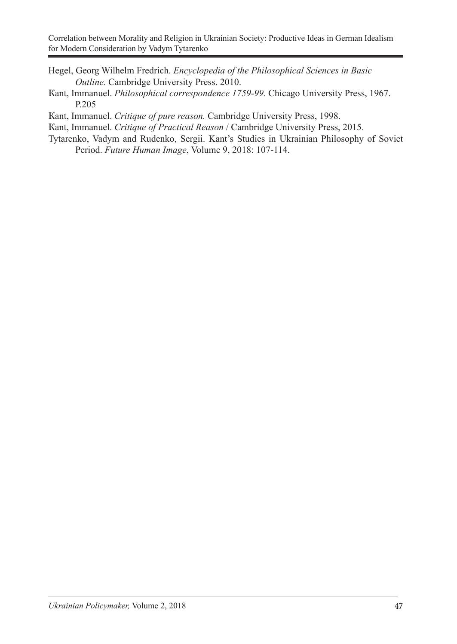- Hegel, Georg Wilhelm Fredrich. *Encyclopedia of the Philosophical Sciences in Basic Outline.* Cambridge University Press. 2010.
- Кant, Immanuel. *Philosophical correspondence 1759-99.* Chicago University Press, 1967. P.205
- Кant, Immanuel. *Critique of pure reason.* Cambridge University Press, 1998.
- Кant, Immanuel. *Critique of Practical Reason* / Cambridge University Press, 2015.
- Tytarenko, Vadym and Rudenko, Sergii. Kant's Studies in Ukrainian Philosophy of Soviet Period. *Future Human Image*, Volume 9, 2018: 107-114.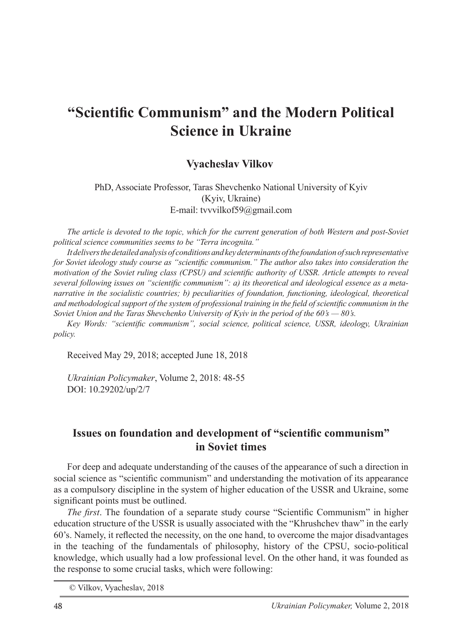# **"Scientific Communism" and the Modern Political Science in Ukraine**

#### **Vyacheslav Vilkov**

PhD, Associate Professor, Taras Shevchenko National University of Kyiv (Kyiv, Ukraine) E-mail: tvvvilkof59@gmail.com

*The article is devoted to the topic, which for the current generation of both Western and post-Soviet political science communities seems to be "Terra incognita."* 

*It delivers the detailed analysis of conditions and key determinants of the foundation of such representative for Soviet ideology study course as "scientific communism." The author also takes into consideration the motivation of the Soviet ruling class (CPSU) and scientific authority of USSR. Article attempts to reveal several following issues on "scientific communism": a) its theoretical and ideological essence as a metanarrative in the socialistic countries; b) peculiarities of foundation, functioning, ideological, theoretical and methodological support of the system of professional training in the field of scientific communism in the Soviet Union and the Taras Shevchenko University of Kyiv in the period of the 60's — 80's.*

*Key Words: "scientific communism", social science, political science, USSR, ideology, Ukrainian policy.*

Received May 29, 2018; accepted June 18, 2018

*Ukrainian Policymaker*, Volume 2, 2018: 48-55 DOI: 10.29202/up/2/7

### **Issues on foundation and development of "scientific communism" in Soviet times**

For deep and adequate understanding of the causes of the appearance of such a direction in social science as "scientific communism" and understanding the motivation of its appearance as a compulsory discipline in the system of higher education of the USSR and Ukraine, some significant points must be outlined.

*The first*. The foundation of a separate study course "Scientific Communism" in higher education structure of the USSR is usually associated with the "Khrushchev thaw" in the early 60's. Namely, it reflected the necessity, on the one hand, to overcome the major disadvantages in the teaching of the fundamentals of philosophy, history of the CPSU, socio-political knowledge, which usually had a low professional level. On the other hand, it was founded as the response to some crucial tasks, which were following:

 <sup>©</sup> Vilkov, Vyacheslav, 2018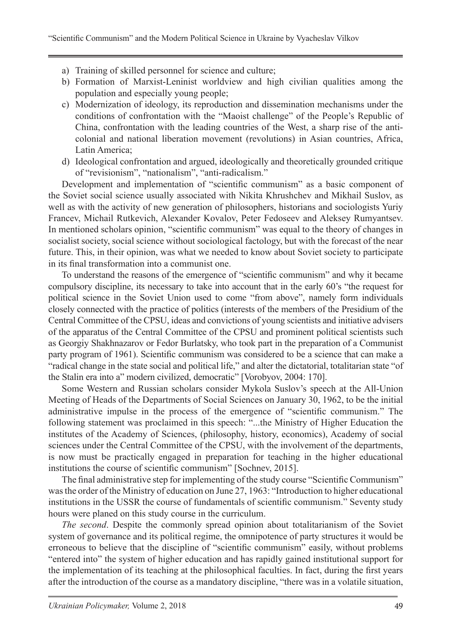- a) Training of skilled personnel for science and culture;
- b) Formation of Marxist-Leninist worldview and high civilian qualities among the population and especially young people;
- c) Modernization of ideology, its reproduction and dissemination mechanisms under the conditions of confrontation with the "Maoist challenge" of the People's Republic of China, confrontation with the leading countries of the West, a sharp rise of the anticolonial and national liberation movement (revolutions) in Asian countries, Africa, Latin America;
- d) Ideological confrontation and argued, ideologically and theoretically grounded critique of "revisionism", "nationalism", "anti-radicalism."

Development and implementation of "scientific communism" as a basic component of the Soviet social science usually associated with Nikita Khrushchev and Mikhail Suslov, as well as with the activity of new generation of philosophers, historians and sociologists Yuriy Francev, Michail Rutkevich, Alexander Kovalov, Peter Fedoseev and Aleksey Rumyantsev. In mentioned scholars opinion, "scientific communism" was equal to the theory of changes in socialist society, social science without sociological factology, but with the forecast of the near future. This, in their opinion, was what we needed to know about Soviet society to participate in its final transformation into a communist one.

To understand the reasons of the emergence of "scientific communism" and why it became compulsory discipline, its necessary to take into account that in the early 60's "the request for political science in the Soviet Union used to come "from above", namely form individuals closely connected with the practice of politics (interests of the members of the Presidium of the Central Committee of the CPSU, ideas and convictions of young scientists and initiative advisers of the apparatus of the Central Committee of the CPSU and prominent political scientists such as Georgiy Shakhnazarov or Fedor Burlatsky, who took part in the preparation of a Communist party program of 1961). Scientific communism was considered to be a science that can make a "radical change in the state social and political life," and alter the dictatorial, totalitarian state "of the Stalin era into a" modern civilized, democratic" [Vorobyov, 2004: 170].

Some Western and Russian scholars consider Mykola Suslov's speech at the All-Union Meeting of Heads of the Departments of Social Sciences on January 30, 1962, to be the initial administrative impulse in the process of the emergence of "scientific communism." The following statement was proclaimed in this speech: "...the Ministry of Higher Education the institutes of the Academy of Sciences, (philosophy, history, economics), Academy of social sciences under the Central Committee of the CPSU, with the involvement of the departments, is now must be practically engaged in preparation for teaching in the higher educational institutions the course of scientific communism" [Sochnev, 2015].

The final administrative step for implementing of the study course "Scientific Communism" was the order of the Ministry of education on June 27, 1963: "Introduction to higher educational institutions in the USSR the course of fundamentals of scientific communism." Seventy study hours were planed on this study course in the curriculum.

*The second*. Despite the commonly spread opinion about totalitarianism of the Soviet system of governance and its political regime, the omnipotence of party structures it would be erroneous to believe that the discipline of "scientific communism" easily, without problems "entered into" the system of higher education and has rapidly gained institutional support for the implementation of its teaching at the philosophical faculties. In fact, during the first years after the introduction of the course as a mandatory discipline, "there was in a volatile situation,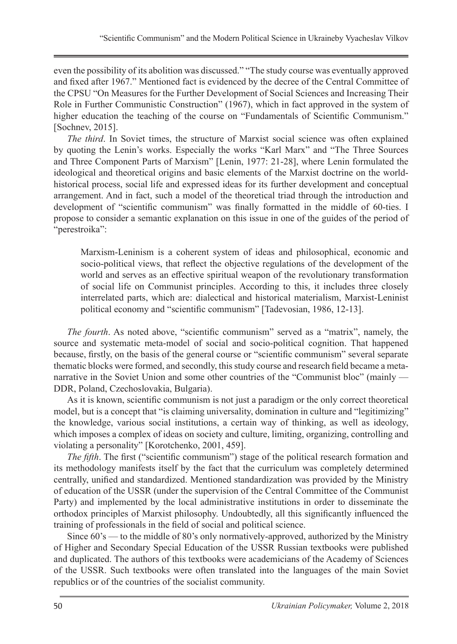even the possibility of its abolition was discussed." "The study course was eventually approved and fixed after 1967." Mentioned fact is evidenced by the decree of the Central Committee of the CPSU "On Measures for the Further Development of Social Sciences and Increasing Their Role in Further Communistic Construction" (1967), which in fact approved in the system of higher education the teaching of the course on "Fundamentals of Scientific Communism." [Sochnev, 2015].

*The third*. In Soviet times, the structure of Marxist social science was often explained by quoting the Lenin's works. Especially the works "Karl Marx" and "The Three Sources and Three Component Parts of Marxism" [Lenin, 1977: 21-28], where Lenin formulated the ideological and theoretical origins and basic elements of the Marxist doctrine on the worldhistorical process, social life and expressed ideas for its further development and conceptual arrangement. And in fact, such a model of the theoretical triad through the introduction and development of "scientific communism" was finally formatted in the middle of 60-ties. I propose to consider a semantic explanation on this issue in one of the guides of the period of "perestroika":

Marxism-Leninism is a coherent system of ideas and philosophical, economic and socio-political views, that reflect the objective regulations of the development of the world and serves as an effective spiritual weapon of the revolutionary transformation of social life on Communist principles. According to this, it includes three closely interrelated parts, which are: dialectical and historical materialism, Marxist-Leninist political economy and "scientific communism" [Tadevosian, 1986, 12-13].

*The fourth*. As noted above, "scientific communism" served as a "matrix", namely, the source and systematic meta-model of social and socio-political cognition. That happened because, firstly, on the basis of the general course or "scientific communism" several separate thematic blocks were formed, and secondly, this study course and research field became a metanarrative in the Soviet Union and some other countries of the "Communist bloc" (mainly — DDR, Poland, Czechoslovakia, Bulgaria).

As it is known, scientific communism is not just a paradigm or the only correct theoretical model, but is a concept that "is claiming universality, domination in culture and "legitimizing" the knowledge, various social institutions, a certain way of thinking, as well as ideology, which imposes a complex of ideas on society and culture, limiting, organizing, controlling and violating a personality" [Korotchenko, 2001, 459].

*The fifth*. The first ("scientific communism") stage of the political research formation and its methodology manifests itself by the fact that the curriculum was completely determined centrally, unified and standardized. Mentioned standardization was provided by the Ministry of education of the USSR (under the supervision of the Central Committee of the Communist Party) and implemented by the local administrative institutions in order to disseminate the orthodox principles of Marxist philosophy. Undoubtedly, all this significantly influenced the training of professionals in the field of social and political science.

Since 60's — to the middle of 80's only normatively-approved, authorized by the Ministry of Higher and Secondary Special Education of the USSR Russian textbooks were published and duplicated. The authors of this textbooks were academicians of the Academy of Sciences of the USSR. Such textbooks were often translated into the languages of the main Soviet republics or of the countries of the socialist community.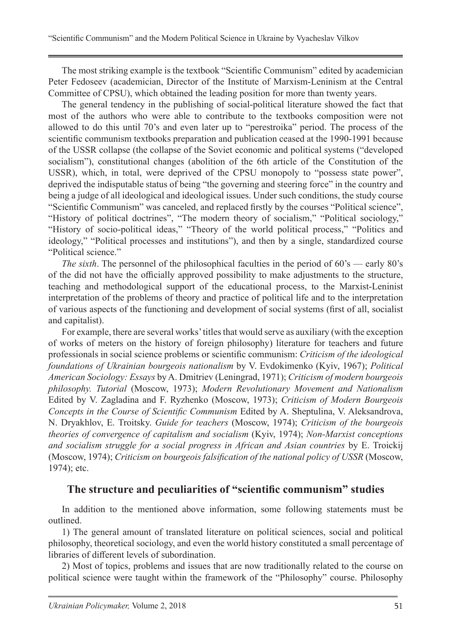The most striking example is the textbook "Scientific Communism" edited by academician Peter Fedoseev (academician, Director of the Institute of Marxism-Leninism at the Central Committee of CPSU), which obtained the leading position for more than twenty years.

The general tendency in the publishing of social-political literature showed the fact that most of the authors who were able to contribute to the textbooks composition were not allowed to do this until 70's and even later up to "perestroika" period. The process of the scientific communism textbooks preparation and publication ceased at the 1990-1991 because of the USSR collapse (the collapse of the Soviet economic and political systems ("developed socialism"), constitutional changes (abolition of the 6th article of the Constitution of the USSR), which, in total, were deprived of the CPSU monopoly to "possess state power", deprived the indisputable status of being "the governing and steering force" in the country and being a judge of all ideological and ideological issues. Under such conditions, the study course "Scientific Communism" was canceled, and replaced firstly by the courses "Political science", "History of political doctrines", "The modern theory of socialism," "Political sociology," "History of socio-political ideas," "Theory of the world political process," "Politics and ideology," "Political processes and institutions"), and then by a single, standardized course "Political science."

*The sixth*. The personnel of the philosophical faculties in the period of 60's — early 80's of the did not have the officially approved possibility to make adjustments to the structure, teaching and methodological support of the educational process, to the Marxist-Leninist interpretation of the problems of theory and practice of political life and to the interpretation of various aspects of the functioning and development of social systems (first of all, socialist and capitalist).

For example, there are several works' titles that would serve as auxiliary (with the exception of works of meters on the history of foreign philosophy) literature for teachers and future professionals in social science problems or scientific communism: *Criticism of the ideological foundations of Ukrainian bourgeois nationalism* by V. Evdokimenko (Kyiv, 1967); *Political American Sociology: Essays* by A. Dmitriev (Leningrad, 1971); *Criticism of modern bourgeois philosophy. Tutorial* (Moscow, 1973); *Modern Revolutionary Movement and Nationalism* Edited by V. Zagladina and F. Ryzhenko (Moscow, 1973); *Criticism of Modern Bourgeois Concepts in the Course of Scientific Communism* Edited by A. Sheptulina, V. Aleksandrova, N. Dryakhlov, E. Troitsky. *Guide for teachers* (Moscow, 1974); *Criticism of the bourgeois theories of convergence of capitalism and socialism* (Kyiv, 1974); *Non-Marxist conceptions and socialism struggle for a social progress in African and Asian countries* by E. Troickij (Moscow, 1974); *Criticism on bourgeois falsification of the national policy of USSR* (Moscow, 1974); etc.

### **The structure and peculiarities of "scientific communism" studies**

In addition to the mentioned above information, some following statements must be outlined.

1) The general amount of translated literature on political sciences, social and political philosophy, theoretical sociology, and even the world history constituted a small percentage of libraries of different levels of subordination.

2) Most of topics, problems and issues that are now traditionally related to the course on political science were taught within the framework of the "Philosophy" course. Philosophy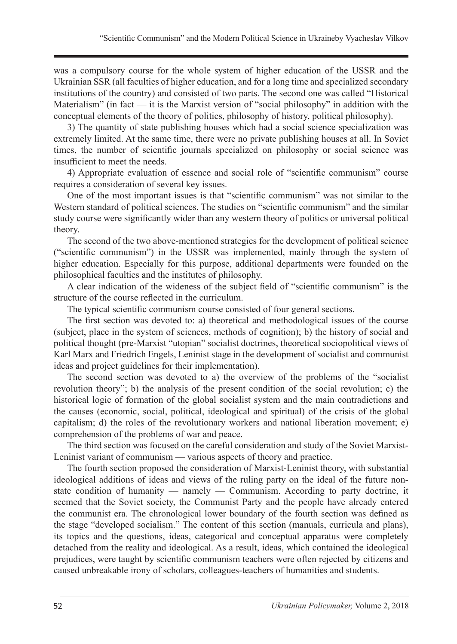was a compulsory course for the whole system of higher education of the USSR and the Ukrainian SSR (all faculties of higher education, and for a long time and specialized secondary institutions of the country) and consisted of two parts. The second one was called "Historical Materialism" (in fact — it is the Marxist version of "social philosophy" in addition with the conceptual elements of the theory of politics, philosophy of history, political philosophy).

3) The quantity of state publishing houses which had a social science specialization was extremely limited. At the same time, there were no private publishing houses at all. In Soviet times, the number of scientific journals specialized on philosophy or social science was insufficient to meet the needs.

4) Appropriate evaluation of essence and social role of "scientific communism" course requires a consideration of several key issues.

One of the most important issues is that "scientific communism" was not similar to the Western standard of political sciences. The studies on "scientific communism" and the similar study course were significantly wider than any western theory of politics or universal political theory.

The second of the two above-mentioned strategies for the development of political science ("scientific communism") in the USSR was implemented, mainly through the system of higher education. Especially for this purpose, additional departments were founded on the philosophical faculties and the institutes of philosophy.

A clear indication of the wideness of the subject field of "scientific communism" is the structure of the course reflected in the curriculum.

The typical scientific communism course consisted of four general sections.

The first section was devoted to: a) theoretical and methodological issues of the course (subject, place in the system of sciences, methods of cognition); b) the history of social and political thought (pre-Marxist "utopian" socialist doctrines, theoretical sociopolitical views of Karl Marx and Friedrich Engels, Leninist stage in the development of socialist and communist ideas and project guidelines for their implementation).

The second section was devoted to a) the overview of the problems of the "socialist revolution theory"; b) the analysis of the present condition of the social revolution; c) the historical logic of formation of the global socialist system and the main contradictions and the causes (economic, social, political, ideological and spiritual) of the crisis of the global capitalism; d) the roles of the revolutionary workers and national liberation movement; e) comprehension of the problems of war and peace.

The third section was focused on the careful consideration and study of the Soviet Marxist-Leninist variant of communism — various aspects of theory and practice.

The fourth section proposed the consideration of Marxist-Leninist theory, with substantial ideological additions of ideas and views of the ruling party on the ideal of the future nonstate condition of humanity — namely — Communism. According to party doctrine, it seemed that the Soviet society, the Communist Party and the people have already entered the communist era. The chronological lower boundary of the fourth section was defined as the stage "developed socialism." The content of this section (manuals, curricula and plans), its topics and the questions, ideas, categorical and conceptual apparatus were completely detached from the reality and ideological. As a result, ideas, which contained the ideological prejudices, were taught by scientific communism teachers were often rejected by citizens and caused unbreakable irony of scholars, colleagues-teachers of humanities and students.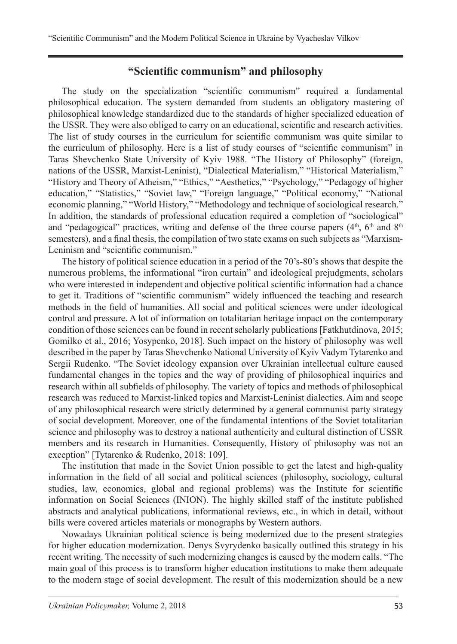### **"Scientific communism" and philosophy**

The study on the specialization "scientific communism" required a fundamental philosophical education. The system demanded from students an obligatory mastering of philosophical knowledge standardized due to the standards of higher specialized education of the USSR. They were also obliged to carry on an educational, scientific and research activities. The list of study courses in the curriculum for scientific communism was quite similar to the curriculum of philosophy. Here is a list of study courses of "scientific communism" in Taras Shevchenko State University of Kyiv 1988. "The History of Philosophy" (foreign, nations of the USSR, Marxist-Leninist), "Dialectical Materialism," "Historical Materialism," "History and Theory of Atheism," "Ethics," "Aesthetics," "Psychology," "Pedagogy of higher education," "Statistics," "Soviet law," "Foreign language," "Political economy," "National economic planning," "World History," "Methodology and technique of sociological research." In addition, the standards of professional education required a completion of "sociological" and "pedagogical" practices, writing and defense of the three course papers  $(4<sup>th</sup>, 6<sup>th</sup>$  and  $8<sup>th</sup>$ semesters), and a final thesis, the compilation of two state exams on such subjects as "Marxism-Leninism and "scientific communism."

The history of political science education in a period of the 70's-80's shows that despite the numerous problems, the informational "iron curtain" and ideological prejudgments, scholars who were interested in independent and objective political scientific information had a chance to get it. Traditions of "scientific communism" widely influenced the teaching and research methods in the field of humanities. All social and political sciences were under ideological control and pressure. A lot of information on totalitarian heritage impact on the contemporary condition of those sciences can be found in recent scholarly publications [Fatkhutdinova, 2015; Gomilko et al., 2016; Yosypenko, 2018]. Such impact on the history of philosophy was well described in the paper by Taras Shevchenko National University of Kyiv Vadym Tytarenko and Sergii Rudenko. "The Soviet ideology expansion over Ukrainian intellectual culture caused fundamental changes in the topics and the way of providing of philosophical inquiries and research within all subfields of philosophy. The variety of topics and methods of philosophical research was reduced to Marxist-linked topics and Marxist-Leninist dialectics. Aim and scope of any philosophical research were strictly determined by a general communist party strategy of social development. Moreover, one of the fundamental intentions of the Soviet totalitarian science and philosophy was to destroy a national authenticity and cultural distinction of USSR members and its research in Humanities. Consequently, History of philosophy was not an exception" [Tytarenko & Rudenko, 2018: 109].

The institution that made in the Soviet Union possible to get the latest and high-quality information in the field of all social and political sciences (philosophy, sociology, cultural studies, law, economics, global and regional problems) was the Institute for scientific information on Social Sciences (INION). The highly skilled staff of the institute published abstracts and analytical publications, informational reviews, etc., in which in detail, without bills were covered articles materials or monographs by Western authors.

Nowadays Ukrainian political science is being modernized due to the present strategies for higher education modernization. Denys Svyrydenko basically outlined this strategy in his recent writing. The necessity of such modernizing changes is caused by the modern calls. "The main goal of this process is to transform higher education institutions to make them adequate to the modern stage of social development. The result of this modernization should be a new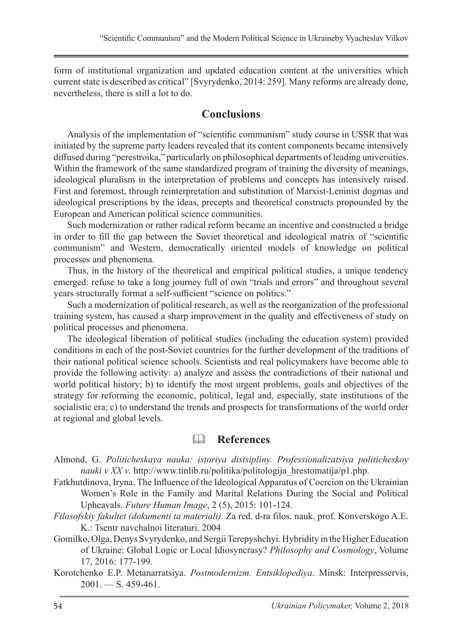form of institutional organization and updated education content at the universities which current state is described as critical" [Svyrydenko, 2014: 259]. Many reforms are already done, nevertheless, there is still a lot to do.

#### **Conclusions**

Analysis of the implementation of "scientific communism" study course in USSR that was initiated by the supreme party leaders revealed that its content components became intensively diffused during "perestroika," particularly on philosophical departments of leading universities. Within the framework of the same standardized program of training the diversity of meanings, ideological pluralism in the interpretation of problems and concepts has intensively raised. First and foremost, through reinterpretation and substitution of Marxist-Leninist dogmas and ideological prescriptions by the ideas, precepts and theoretical constructs propounded by the European and American political science communities.

Such modernization or rather radical reform became an incentive and constructed a bridge in order to fill the gap between the Soviet theoretical and ideological matrix of "scientific communism" and Western, democratically oriented models of knowledge on political processes and phenomena.

Thus, in the history of the theoretical and empirical political studies, a unique tendency emerged: refuse to take a long journey full of own "trials and errors" and throughout several years structurally format a self-sufficient "science on politics."

Such a modernization of political research, as well as the reorganization of the professional training system, has caused a sharp improvement in the quality and effectiveness of study on political processes and phenomena.

The ideological liberation of political studies (including the education system) provided conditions in each of the post-Soviet countries for the further development of the traditions of their national political science schools. Scientists and real policymakers have become able to provide the following activity: a) analyze and assess the contradictions of their national and world political history; b) to identify the most urgent problems, goals and objectives of the strategy for reforming the economic, political, legal and, especially, state institutions of the socialistic era; c) to understand the trends and prospects for transformations of the world order at regional and global levels.

# **References**

Almond, G. *Politicheskaya nauka: istoriya distsipliny. Professionalizatsiya politicheskoy nauki v XX v.* http://www.tinlib.ru/politika/politologija hrestomatija/p1.php.

Fatkhutdinova, Iryna. The Influence of the Ideological Apparatus of Coercion on the Ukrainian Women's Role in the Family and Marital Relations During the Social and Political Upheavals. *Future Human Image*, 2 (5), 2015: 101-124.

*Fіlosofskiy fakultet (dokumenti ta materіali)*. Za red. d-ra fіlos. nauk. prof. Konverskogo A.E. K.: Tsentr navchalnoi lіteraturi. 2004

Gomilko, Olga, Denys Svyrydenko, and Sergii Terepyshchyi. Hybridity in the Higher Education of Ukraine: Global Logic or Local Idiosyncrasy? *Philosophy and Cosmology*, Volume 17, 2016: 177-199.

Korotchenko E.P. Metanarratsiya. *Postmodernizm. Entsiklopediya*. Minsk: Interpresservis,  $2001. - S. 459-461.$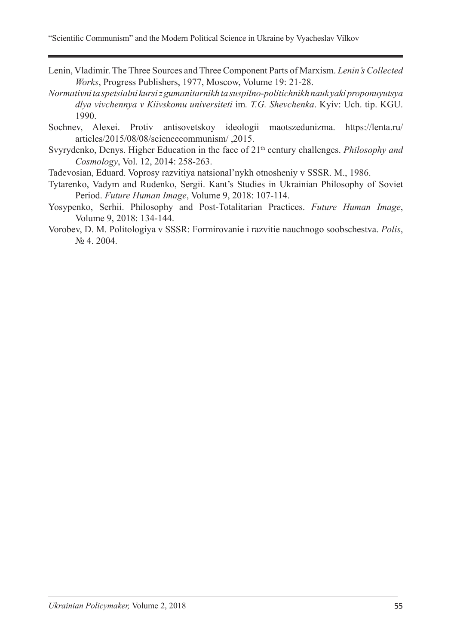"Scientific Communism" and the Modern Political Science in Ukraine by Vyacheslav Vilkov

- Lenin, Vladimir. The Three Sources and Three Component Parts of Marxism. *Lenin's Collected Works*, Progress Publishers, 1977, Moscow, Volume 19: 21-28.
- *Normativnі ta spetsіalnі kursi z gumanіtarnikh ta suspіlno-polіtichnikh nauk yakі proponuyutsya dlya vivchennya v Kiivskomu unіversitetі* іm*. T.G. Shevchenka*. Kyiv: Uch. tip. KGU. 1990.
- Sochnev, Alexei. Protiv antisovetskoy ideologii maotszedunizma. https://lenta.ru/ articles/2015/08/08/sciencecommunism/ ,2015.
- Svyrydenko, Denys. Higher Education in the face of 21<sup>th</sup> century challenges. *Philosophy and Cosmology*, Vol. 12, 2014: 258-263.
- Tadevosian, Eduard. Voprosy razvitiya natsional'nykh otnosheniy v SSSR. М., 1986.
- Tytarenko, Vadym and Rudenko, Sergii. Kant's Studies in Ukrainian Philosophy of Soviet Period. *Future Human Image*, Volume 9, 2018: 107-114.
- Yosypenko, Serhii. Philosophy and Post-Totalitarian Practices. *Future Human Image*, Volume 9, 2018: 134-144.
- Vorobev, D. M. Politologiya v SSSR: Formirovanie i razvitie nauchnogo soobschestva. *Polis*, № 4. 2004.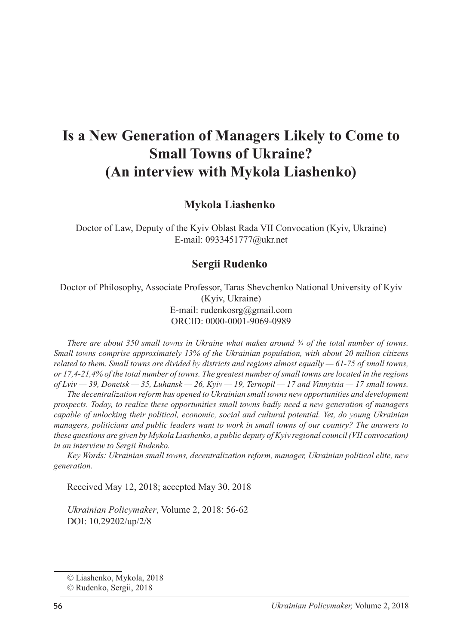# **Is a New Generation of Managers Likely to Come to Small Towns of Ukraine? (An interview with Mykola Liashenko)**

#### **Mykola Liashenko**<sup>1</sup>

Doctor of Law, Deputy of the Kyiv Oblast Rada VII Convocation (Kyiv, Ukraine) E-mail: 0933451777@ukr.net

#### **Sergii Rudenko**

Doctor of Philosophy, Associate Professor, Taras Shevchenko National University of Kyiv (Kyiv, Ukraine) E-mail: rudenkosrg@gmail.com ORCID: 0000-0001-9069-0989

*There are about 350 small towns in Ukraine what makes around ¾ of the total number of towns. Small towns comprise approximately 13% of the Ukrainian population, with about 20 million citizens related to them. Small towns are divided by districts and regions almost equally — 61-75 of small towns, or 17,4-21,4% of the total number of towns. The greatest number of small towns are located in the regions of Lviv — 39, Donetsk — 35, Luhansk — 26, Kyiv — 19, Ternopil — 17 and Vinnytsia — 17 small towns.*

*The decentralization reform has opened to Ukrainian small towns new opportunities and development prospects. Today, to realize these opportunities small towns badly need a new generation of managers capable of unlocking their political, economic, social and cultural potential. Yet, do young Ukrainian managers, politicians and public leaders want to work in small towns of our country? The answers to these questions are given by Mykola Liashenko, a public deputy of Kyiv regional council (VII convocation) in an interview to Sergii Rudenko.*

*Key Words: Ukrainian small towns, decentralization reform, manager, Ukrainian political elite, new generation.*

Received May 12, 2018; accepted May 30, 2018

*Ukrainian Policymaker*, Volume 2, 2018: 56-62 DOI: 10.29202/up/2/8

<sup>©</sup> Liashenko, Mykola, 2018

<sup>©</sup> Rudenko, Sergii, 2018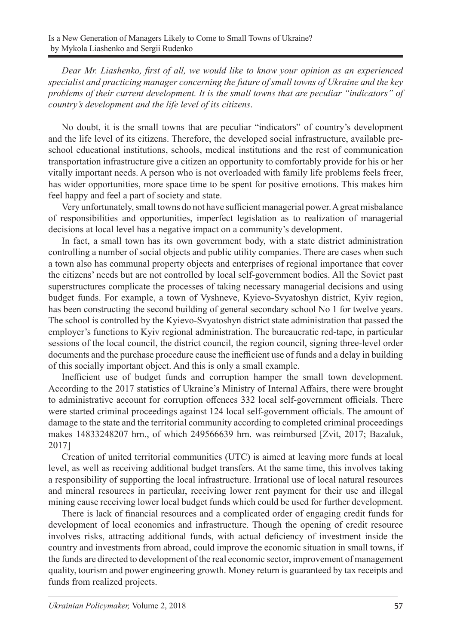*Dear Mr. Liashenko, first of all, we would like to know your opinion as an experienced specialist and practicing manager concerning the future of small towns of Ukraine and the key problems of their current development. It is the small towns that are peculiar "indicators" of country's development and the life level of its citizens*.

No doubt, it is the small towns that are peculiar "indicators" of country's development and the life level of its citizens. Therefore, the developed social infrastructure, available preschool educational institutions, schools, medical institutions and the rest of communication transportation infrastructure give a citizen an opportunity to comfortably provide for his or her vitally important needs. A person who is not overloaded with family life problems feels freer, has wider opportunities, more space time to be spent for positive emotions. This makes him feel happy and feel a part of society and state.

Very unfortunately, small towns do not have sufficient managerial power. A great misbalance of responsibilities and opportunities, imperfect legislation as to realization of managerial decisions at local level has a negative impact on a community's development.

In fact, a small town has its own government body, with a state district administration controlling a number of social objects and public utility companies. There are cases when such a town also has communal property objects and enterprises of regional importance that cover the citizens' needs but are not controlled by local self-government bodies. All the Soviet past superstructures complicate the processes of taking necessary managerial decisions and using budget funds. For example, a town of Vyshneve, Kyievo-Svyatoshyn district, Kyiv region, has been constructing the second building of general secondary school No 1 for twelve years. The school is controlled by the Kyievo-Svyatoshyn district state administration that passed the employer's functions to Kyiv regional administration. The bureaucratic red-tape, in particular sessions of the local council, the district council, the region council, signing three-level order documents and the purchase procedure cause the inefficient use of funds and a delay in building of this socially important object. And this is only a small example.

Inefficient use of budget funds and corruption hamper the small town development. According to the 2017 statistics of Ukraine's Ministry of Internal Affairs, there were brought to administrative account for corruption offences 332 local self-government officials. There were started criminal proceedings against 124 local self-government officials. The amount of damage to the state and the territorial community according to completed criminal proceedings makes 14833248207 hrn., of which 249566639 hrn. was reimbursed [Zvit, 2017; Bazaluk, 2017]

Creation of united territorial communities (UTC) is aimed at leaving more funds at local level, as well as receiving additional budget transfers. At the same time, this involves taking a responsibility of supporting the local infrastructure. Irrational use of local natural resources and mineral resources in particular, receiving lower rent payment for their use and illegal mining cause receiving lower local budget funds which could be used for further development.

There is lack of financial resources and a complicated order of engaging credit funds for development of local economics and infrastructure. Though the opening of credit resource involves risks, attracting additional funds, with actual deficiency of investment inside the country and investments from abroad, could improve the economic situation in small towns, if the funds are directed to development of the real economic sector, improvement of management quality, tourism and power engineering growth. Money return is guaranteed by tax receipts and funds from realized projects.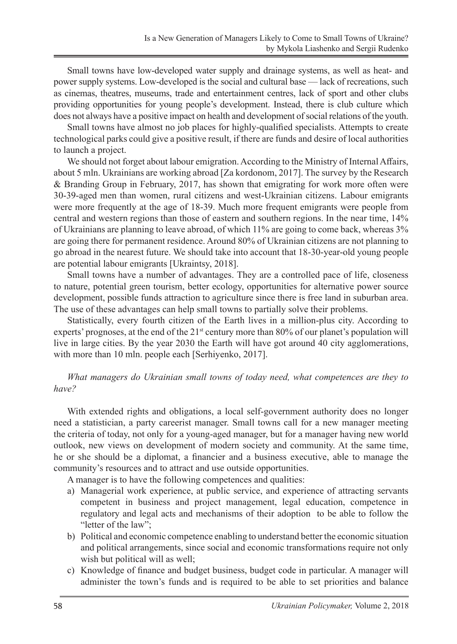Small towns have low-developed water supply and drainage systems, as well as heat- and power supply systems. Low-developed is the social and cultural base — lack of recreations, such as cinemas, theatres, museums, trade and entertainment centres, lack of sport and other clubs providing opportunities for young people's development. Instead, there is club culture which does not always have a positive impact on health and development of social relations of the youth.

Small towns have almost no job places for highly-qualified specialists. Attempts to create technological parks could give a positive result, if there are funds and desire of local authorities to launch a project.

We should not forget about labour emigration. According to the Ministry of Internal Affairs, about 5 mln. Ukrainians are working abroad [Za kordonom, 2017]. The survey by the Research & Branding Group in February, 2017, has shown that emigrating for work more often were 30-39-aged men than women, rural citizens and west-Ukrainian citizens. Labour emigrants were more frequently at the age of 18-39. Much more frequent emigrants were people from central and western regions than those of eastern and southern regions. In the near time, 14% of Ukrainians are planning to leave abroad, of which 11% are going to come back, whereas 3% are going there for permanent residence. Around 80% of Ukrainian citizens are not planning to go abroad in the nearest future. We should take into account that 18-30-year-old young people are potential labour emigrants [Ukraintsy, 2018].

Small towns have a number of advantages. They are a controlled pace of life, closeness to nature, potential green tourism, better ecology, opportunities for alternative power source development, possible funds attraction to agriculture since there is free land in suburban area. The use of these advantages can help small towns to partially solve their problems.

Statistically, every fourth citizen of the Earth lives in a million-plus city. According to experts' prognoses, at the end of the 21<sup>st</sup> century more than 80% of our planet's population will live in large cities. By the year 2030 the Earth will have got around 40 city agglomerations, with more than 10 mln. people each [Serhiyenko, 2017].

*What managers do Ukrainian small towns of today need, what competences are they to have?*

With extended rights and obligations, a local self-government authority does no longer need a statistician, a party careerist manager. Small towns call for a new manager meeting the criteria of today, not only for a young-aged manager, but for a manager having new world outlook, new views on development of modern society and community. At the same time, he or she should be a diplomat, a financier and a business executive, able to manage the community's resources and to attract and use outside opportunities.

A manager is to have the following competences and qualities:

- a) Managerial work experience, at public service, and experience of attracting servants competent in business and project management, legal education, competence in regulatory and legal acts and mechanisms of their adoption to be able to follow the "letter of the law";
- b) Political and economic competence enabling to understand better the economic situation and political arrangements, since social and economic transformations require not only wish but political will as well;
- c) Knowledge of finance and budget business, budget code in particular. A manager will administer the town's funds and is required to be able to set priorities and balance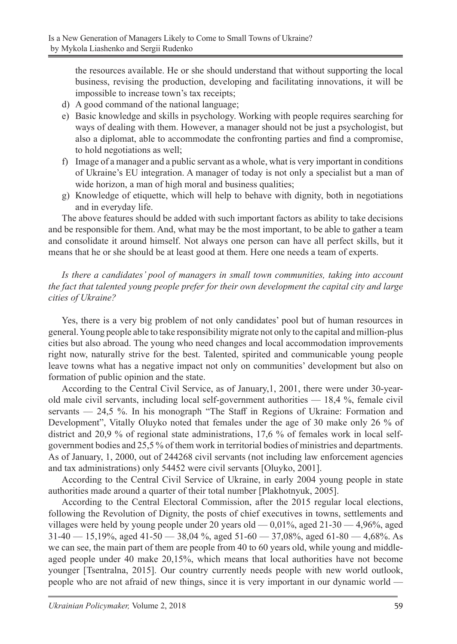the resources available. He or she should understand that without supporting the local business, revising the production, developing and facilitating innovations, it will be impossible to increase town's tax receipts;

- d) A good command of the national language;
- e) Basic knowledge and skills in psychology. Working with people requires searching for ways of dealing with them. However, a manager should not be just a psychologist, but also a diplomat, able to accommodate the confronting parties and find a compromise, to hold negotiations as well;
- f) Image of a manager and a public servant as a whole, what is very important in conditions of Ukraine's EU integration. A manager of today is not only a specialist but a man of wide horizon, a man of high moral and business qualities;
- g) Knowledge of etiquette, which will help to behave with dignity, both in negotiations and in everyday life.

The above features should be added with such important factors as ability to take decisions and be responsible for them. And, what may be the most important, to be able to gather a team and consolidate it around himself. Not always one person can have all perfect skills, but it means that he or she should be at least good at them. Here one needs a team of experts.

*Is there a candidates' pool of managers in small town communities, taking into account the fact that talented young people prefer for their own development the capital city and large cities of Ukraine?*

Yes, there is a very big problem of not only candidates' pool but of human resources in general. Young people able to take responsibility migrate not only to the capital and million-plus cities but also abroad. The young who need changes and local accommodation improvements right now, naturally strive for the best. Talented, spirited and communicable young people leave towns what has a negative impact not only on communities' development but also on formation of public opinion and the state.

According to the Central Civil Service, as of January,1, 2001, there were under 30-yearold male civil servants, including local self-government authorities — 18,4 %, female civil servants — 24,5 %. In his monograph "The Staff in Regions of Ukraine: Formation and Development", Vitally Oluyko noted that females under the age of 30 make only 26 % of district and 20,9 % of regional state administrations, 17,6 % of females work in local selfgovernment bodies and 25,5 % of them work in territorial bodies of ministries and departments. As of January, 1, 2000, out of 244268 civil servants (not including law enforcement agencies and tax administrations) only 54452 were civil servants [Oluyko, 2001].

According to the Central Civil Service of Ukraine, in early 2004 young people in state authorities made around a quarter of their total number [Plakhotnyuk, 2005].

According to the Central Electoral Commission, after the 2015 regular local elections, following the Revolution of Dignity, the posts of chief executives in towns, settlements and villages were held by young people under 20 years old  $-$  0,01%, aged 21-30  $-$  4,96%, aged  $31-40 - 15,19\%$ , aged  $41-50 - 38,04\%$ , aged  $51-60 - 37,08\%$ , aged  $61-80 - 4,68\%$ . As we can see, the main part of them are people from 40 to 60 years old, while young and middleaged people under 40 make 20,15%, which means that local authorities have not become younger [Tsentralna, 2015]. Our country currently needs people with new world outlook, people who are not afraid of new things, since it is very important in our dynamic world —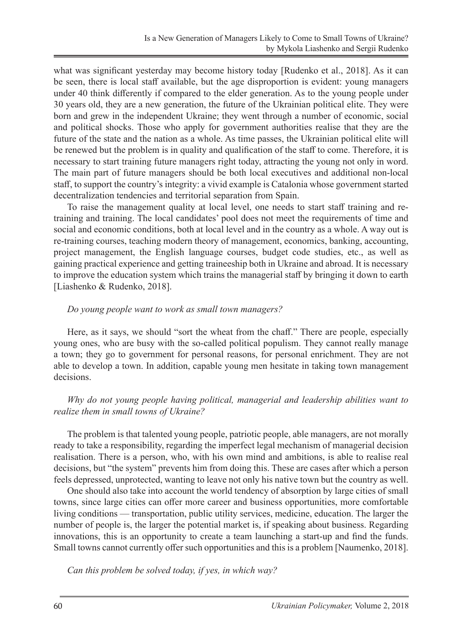what was significant yesterday may become history today [Rudenko et al., 2018]. As it can be seen, there is local staff available, but the age disproportion is evident: young managers under 40 think differently if compared to the elder generation. As to the young people under 30 years old, they are a new generation, the future of the Ukrainian political elite. They were born and grew in the independent Ukraine; they went through a number of economic, social and political shocks. Those who apply for government authorities realise that they are the future of the state and the nation as a whole. As time passes, the Ukrainian political elite will be renewed but the problem is in quality and qualification of the staff to come. Therefore, it is necessary to start training future managers right today, attracting the young not only in word. The main part of future managers should be both local executives and additional non-local staff, to support the country's integrity: a vivid example is Catalonia whose government started decentralization tendencies and territorial separation from Spain.

To raise the management quality at local level, one needs to start staff training and retraining and training. The local candidates' pool does not meet the requirements of time and social and economic conditions, both at local level and in the country as a whole. A way out is re-training courses, teaching modern theory of management, economics, banking, accounting, project management, the English language courses, budget code studies, etc., as well as gaining practical experience and getting traineeship both in Ukraine and abroad. It is necessary to improve the education system which trains the managerial staff by bringing it down to earth [Liashenko & Rudenko, 2018].

#### *Do young people want to work as small town managers?*

Here, as it says, we should "sort the wheat from the chaff." There are people, especially young ones, who are busy with the so-called political populism. They cannot really manage a town; they go to government for personal reasons, for personal enrichment. They are not able to develop a town. In addition, capable young men hesitate in taking town management decisions.

#### *Why do not young people having political, managerial and leadership abilities want to realize them in small towns of Ukraine?*

The problem is that talented young people, patriotic people, able managers, are not morally ready to take a responsibility, regarding the imperfect legal mechanism of managerial decision realisation. There is a person, who, with his own mind and ambitions, is able to realise real decisions, but "the system" prevents him from doing this. These are cases after which a person feels depressed, unprotected, wanting to leave not only his native town but the country as well.

One should also take into account the world tendency of absorption by large cities of small towns, since large cities can offer more career and business opportunities, more comfortable living conditions — transportation, public utility services, medicine, education. The larger the number of people is, the larger the potential market is, if speaking about business. Regarding innovations, this is an opportunity to create a team launching a start-up and find the funds. Small towns cannot currently offer such opportunities and this is a problem [Naumenko, 2018].

*Can this problem be solved today, if yes, in which way?*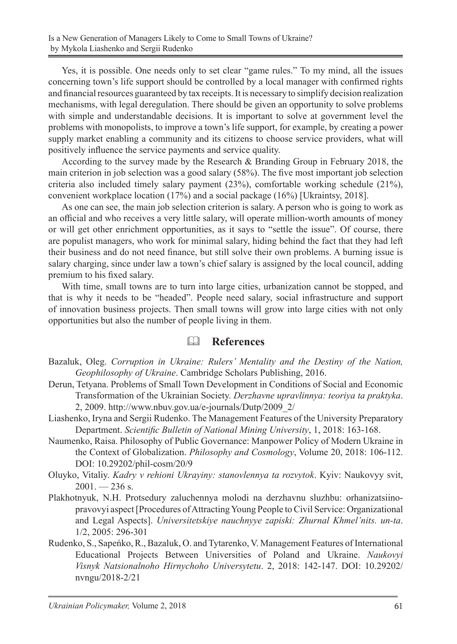Yes, it is possible. One needs only to set clear "game rules." To my mind, all the issues concerning town's life support should be controlled by a local manager with confirmed rights and financial resources guaranteed by tax receipts. It is necessary to simplify decision realization mechanisms, with legal deregulation. There should be given an opportunity to solve problems with simple and understandable decisions. It is important to solve at government level the problems with monopolists, to improve a town's life support, for example, by creating a power supply market enabling a community and its citizens to choose service providers, what will positively influence the service payments and service quality.

According to the survey made by the Research & Branding Group in February 2018, the main criterion in job selection was a good salary (58%). The five most important job selection criteria also included timely salary payment (23%), comfortable working schedule (21%), convenient workplace location (17%) and a social package (16%) [Ukraintsy, 2018].

As one can see, the main job selection criterion is salary. A person who is going to work as an official and who receives a very little salary, will operate million-worth amounts of money or will get other enrichment opportunities, as it says to "settle the issue". Of course, there are populist managers, who work for minimal salary, hiding behind the fact that they had left their business and do not need finance, but still solve their own problems. A burning issue is salary charging, since under law a town's chief salary is assigned by the local council, adding premium to his fixed salary.

With time, small towns are to turn into large cities, urbanization cannot be stopped, and that is why it needs to be "headed". People need salary, social infrastructure and support of innovation business projects. Then small towns will grow into large cities with not only opportunities but also the number of people living in them.

#### **References**

- Bazaluk, Oleg. *Corruption in Ukraine: Rulers' Mentality and the Destiny of the Nation, Geophilosophy of Ukraine*. Cambridge Scholars Publishing, 2016.
- Derun, Tetyana. Problems of Small Town Development in Conditions of Social and Economic Transformation of the Ukrainian Society. *Derzhavne upravlinnya: teoriya ta praktyka*. 2, 2009. http://www.nbuv.gov.ua/e-journals/Dutp/2009\_2/
- Liashenko, Iryna and Sergii Rudenko. The Management Features of the University Preparatory Department. *Scientific Bulletin of National Mining University*, 1, 2018: 163-168.
- Naumenko, Raisa. Philosophy of Public Governance: Manpower Policy of Modern Ukraine in the Context of Globalization. *Philosophy and Cosmology*, Volume 20, 2018: 106-112. DOI: 10.29202/phil-cosm/20/9
- Oluyko, Vitaliy. *Kadry v rehioni Ukrayiny: stanovlennya ta rozvytok*. Kyiv: Naukovyy svit,  $2001. - 236$  s.
- Plakhotnyuk, N.H. Protsedury zaluchennya molodi na derzhavnu sluzhbu: orhanizatsiinopravovyi aspect [Procedures of Attracting Young People to Civil Service: Organizational and Legal Aspects]. *Universitetskiye nauchnyye zapiski: Zhurnal Khmel'nits. un-ta*. 1/2, 2005: 296-301
- Rudenko, S., Sapeńko, R., Bazaluk, O. and Tytarenko, V. Management Features of International Educational Projects Between Universities of Poland and Ukraine. *Naukovyi Visnyk Natsionalnoho Hirnychoho Universytetu*. 2, 2018: 142-147. DOI: 10.29202/ nvngu/2018-2/21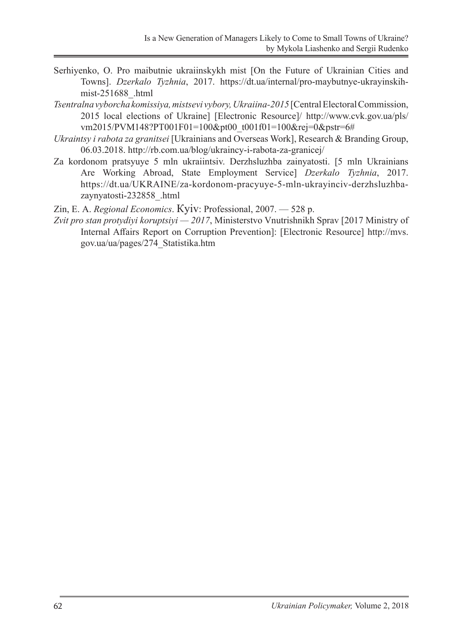- Serhiyenko, О. Pro maibutnie ukraiinskykh mist [On the Future of Ukrainian Cities and Towns]. *Dzerkalo Tyzhnia*, 2017. https://dt.ua/internal/pro-maybutnye-ukrayinskihmist-251688\_.html
- *Tsentralna vyborcha komissiya, mistsevi vybory, Ukraiina-2015* [Central Electoral Commission, 2015 local elections of Ukraine] [Electronic Resource]/ http://www.cvk.gov.ua/pls/ vm2015/PVM148?PT001F01=100&pt00\_t001f01=100&rej=0&pstr=6#
- *Ukraintsy i rabota za granitsei* [Ukrainians and Overseas Work], Research & Branding Group, 06.03.2018. http://rb.com.ua/blog/ukraincy-i-rabota-za-granicej/
- Za kordonom pratsyuye 5 mln ukraiintsiv. Derzhsluzhba zainyatosti. [5 mln Ukrainians Are Working Abroad, State Employment Service] *Dzerkalo Tyzhnia*, 2017. https://dt.ua/UKRAINE/za-kordonom-pracyuye-5-mln-ukrayinciv-derzhsluzhbazaynyatosti-232858\_.html

Zin, Е. А. *Regional Economics*. Кyiv: Professional, 2007. — 528 p.

*Zvit pro stan protydiyi koruptsiyi — 2017*, Ministerstvo Vnutrishnikh Sprav [2017 Ministry of Internal Affairs Report on Corruption Prevention]: [Electronic Resource] http://mvs. gov.ua/ua/pages/274\_Statistika.htm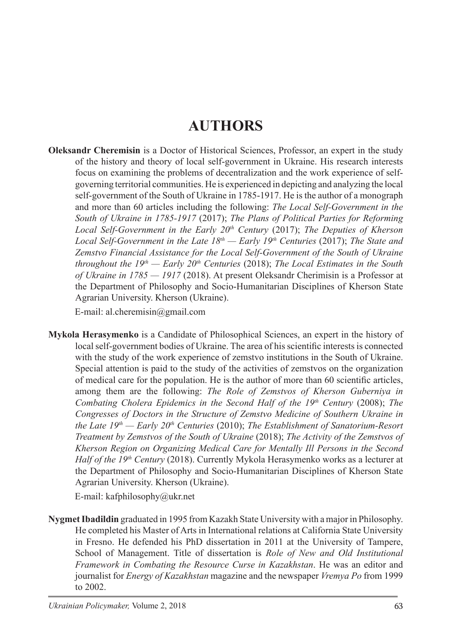# **AUTHORS**

**Oleksandr Cheremisin** is a Doctor of Historical Sciences, Professor, an expert in the study of the history and theory of local self-government in Ukraine. His research interests focus on examining the problems of decentralization and the work experience of selfgoverning territorial communities. He is experienced in depicting and analyzing the local self-government of the South of Ukraine in 1785-1917. He is the author of a monograph and more than 60 articles including the following: *The Local Self-Government in the South of Ukraine in 1785-1917* (2017); *The Plans of Political Parties for Reforming Local Self-Government in the Early 20th Century* (2017); *The Deputies of Kherson Local Self-Government in the Late 18th — Early 19th Centuries* (2017); *The State and Zemstvo Financial Assistance for the Local Self-Government of the South of Ukraine throughout the*  $19<sup>th</sup>$  *— Early 20<sup>th</sup> Centuries* (2018); *The Local Estimates in the South of Ukraine in 1785 — 1917* (2018). At present Oleksandr Cherimisin is a Professor at the Department of Philosophy and Socio-Humanitarian Disciplines of Kherson State Agrarian University. Kherson (Ukraine).

E-mail: al.cheremisin@gmail.com

**Mykola Herasymenko** is a Candidate of Philosophical Sciences, an expert in the history of local self-government bodies of Ukraine. The area of his scientific interests is connected with the study of the work experience of zemstvo institutions in the South of Ukraine. Special attention is paid to the study of the activities of zemstvos on the organization of medical care for the population. He is the author of more than 60 scientific articles, among them are the following: *The Role of Zemstvos of Kherson Guberniya in Combating Cholera Epidemics in the Second Half of the 19th Century* (2008); *The Congresses of Doctors in the Structure of Zemstvo Medicine of Southern Ukraine in the Late 19th — Early 20th Centuries* (2010); *The Establishment of Sanatorium-Resort Treatment by Zemstvos of the South of Ukraine* (2018); *The Activity of the Zemstvos of Kherson Region on Organizing Medical Care for Mentally Ill Persons in the Second Half of the 19th Century* (2018). Currently Mykola Herasymenko works as a lecturer at the Department of Philosophy and Socio-Humanitarian Disciplines of Kherson State Agrarian University. Kherson (Ukraine).

E-mail: kafphilosophy@ukr.net

**Nygmet Ibadildin** graduated in 1995 from Kazakh State University with a major in Philosophy. He completed his Master of Arts in International relations at California State University in Fresno. He defended his PhD dissertation in 2011 at the University of Tampere, School of Management. Title of dissertation is *Role of New and Old Institutional Framework in Combating the Resource Curse in Kazakhstan*. He was an editor and journalist for *Energy of Kazakhstan* magazine and the newspaper *Vremya Po* from 1999 to 2002.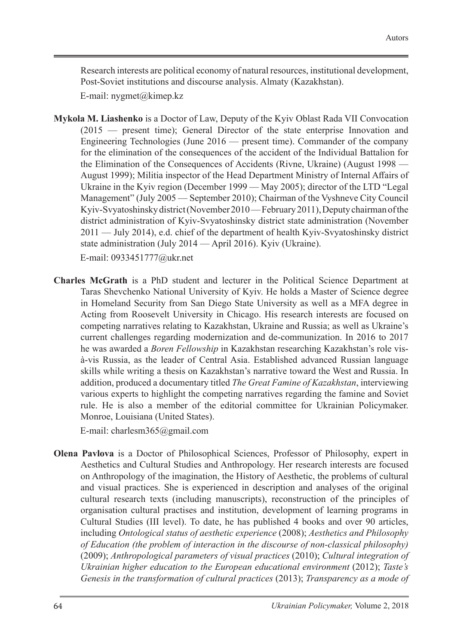Research interests are political economy of natural resources, institutional development, Post-Soviet institutions and discourse analysis. Almaty (Kazakhstan).

E-mail: nygmet@kimep.kz

**Mykola M. Liashenko** is a Doctor of Law, Deputy of the Kyiv Oblast Rada VII Convocation (2015 — present time); General Director of the state enterprise Innovation and Engineering Technologies (June 2016 — present time). Commander of the company for the elimination of the consequences of the accident of the Individual Battalion for the Elimination of the Consequences of Accidents (Rivne, Ukraine) (August 1998 — August 1999); Militia inspector of the Head Department Ministry of Internal Affairs of Ukraine in the Kyiv region (December 1999 — May 2005); director of the LTD "Legal Management" (July 2005 — September 2010); Chairman of the Vyshneve City Council Kyiv-Svyatoshinsky district (November 2010— February 2011), Deputy chairman of the district administration of Kyiv-Svyatoshinsky district state administration (November 2011 — July 2014), e.d. chief of the department of health Kyiv-Svyatoshinsky district state administration (July 2014 — April 2016). Kyiv (Ukraine).

E-mail: 0933451777@ukr.net

**Charles McGrath** is a PhD student and lecturer in the Political Science Department at Taras Shevchenko National University of Kyiv. He holds a Master of Science degree in Homeland Security from San Diego State University as well as a MFA degree in Acting from Roosevelt University in Chicago. His research interests are focused on competing narratives relating to Kazakhstan, Ukraine and Russia; as well as Ukraine's current challenges regarding modernization and de-communization. In 2016 to 2017 he was awarded a *Boren Fellowship* in Kazakhstan researching Kazakhstan's role visà-vis Russia, as the leader of Central Asia. Established advanced Russian language skills while writing a thesis on Kazakhstan's narrative toward the West and Russia. In addition, produced a documentary titled *The Great Famine of Kazakhstan*, interviewing various experts to highlight the competing narratives regarding the famine and Soviet rule. He is also a member of the editorial committee for Ukrainian Policymaker. Monroe, Louisiana (United States).

E-mail: charlesm365@gmail.com

**Olena Pavlova** is a Doctor of Philosophical Sciences, Professor of Philosophy, expert in Aesthetics and Cultural Studies and Anthropology. Her research interests are focused on Anthropology of the imagination, the History of Aesthetic, the problems of cultural and visual practices. She is experienced in description and analyses of the original cultural research texts (including manuscripts), reconstruction of the principles of organisation cultural practises and institution, development of learning programs in Cultural Studies (III level). To date, he has published 4 books and over 90 articles, including *Ontological status of aesthetic experience* (2008); *Aesthetics and Philosophy of Education (the problem of interaction in the discourse of non-classical philosophy)* (2009); *Anthropological parameters of visual practices* (2010); *Cultural integration of Ukrainian higher education to the European educational environment* (2012); *Taste's Genesis in the transformation of cultural practices* (2013); *Transparency as a mode of*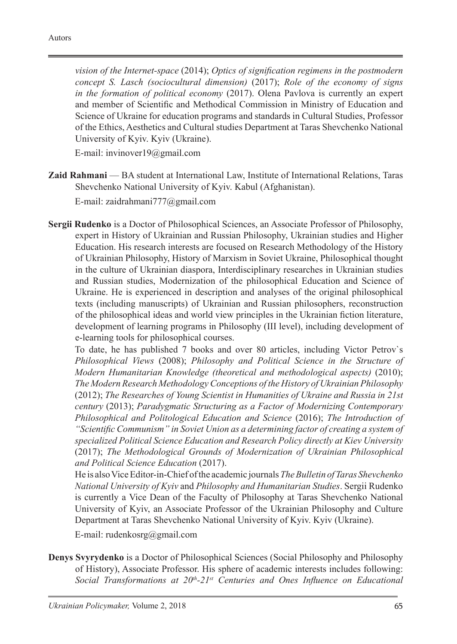*vision of the Internet-space* (2014); *Optics of signification regimens in the postmodern concept S. Lasch (sociocultural dimension)* (2017); *Role of the economy of signs in the formation of political economy* (2017). Olena Pavlova is currently an expert and member of Scientific and Methodical Commission in Ministry of Education and Science of Ukraine for education programs and standards in Cultural Studies, Professor of the Ethics, Aesthetics and Cultural studies Department at Taras Shevchenko National University of Kyiv. Kyiv (Ukraine).

E-mail: invinover19@gmail.com

**Zaid Rahmani** — BA student at International Law, Institute of International Relations, Taras Shevchenko National University of Kyiv. Kabul (Afghanistan).

E-mail: zaidrahmani777@gmail.com

**Sergii Rudenko** is a Doctor of Philosophical Sciences, an Associate Professor of Philosophy, expert in History of Ukrainian and Russian Philosophy, Ukrainian studies and Higher Education. His research interests are focused on Research Methodology of the History of Ukrainian Philosophy, History of Marxism in Soviet Ukraine, Philosophical thought in the culture of Ukrainian diaspora, Interdisciplinary researches in Ukrainian studies and Russian studies, Modernization of the philosophical Education and Science of Ukraine. He is experienced in description and analyses of the original philosophical texts (including manuscripts) of Ukrainian and Russian philosophers, reconstruction of the philosophical ideas and world view principles in the Ukrainian fiction literature, development of learning programs in Philosophy (III level), including development of e-learning tools for philosophical courses.

To date, he has published 7 books and over 80 articles, including Victor Petrov`s *Philosophical Views* (2008); *Philosophy and Political Science in the Structure of Modern Humanitarian Knowledge (theoretical and methodological aspects)* (2010); *The Modern Research Methodology Conceptions of the History of Ukrainian Philosophy*  (2012); *The Researches of Young Scientist in Humanities of Ukraine and Russia in 21st century* (2013); *Paradygmatic Structuring as a Factor of Modernizing Contemporary Philosophical and Politological Education and Science* (2016); *The Introduction of "Scientific Communism" in Soviet Union as a determining factor of creating a system of specialized Political Science Education and Research Policy directly at Kiev University*  (2017); *The Methodological Grounds of Modernization of Ukrainian Philosophical and Political Science Education* (2017).

He is also Vice Editor-in-Chief of the academic journals *The Bulletin of Taras Shevchenko National University of Kyiv* and *Philosophy and Humanitarian Studies*. Sergii Rudenko is currently a Vice Dean of the Faculty of Philosophy at Taras Shevchenko National University of Kyiv, an Associate Professor of the Ukrainian Philosophy and Culture Department at Taras Shevchenko National University of Kyiv. Kyiv (Ukraine).

E-mail: rudenkosrg@gmail.com

**Denys Svyrydenko** is a Doctor of Philosophical Sciences (Social Philosophy and Philosophy of History), Associate Professor. His sphere of academic interests includes following: *Social Transformations at 20th-21st Centuries and Ones Influence on Educational*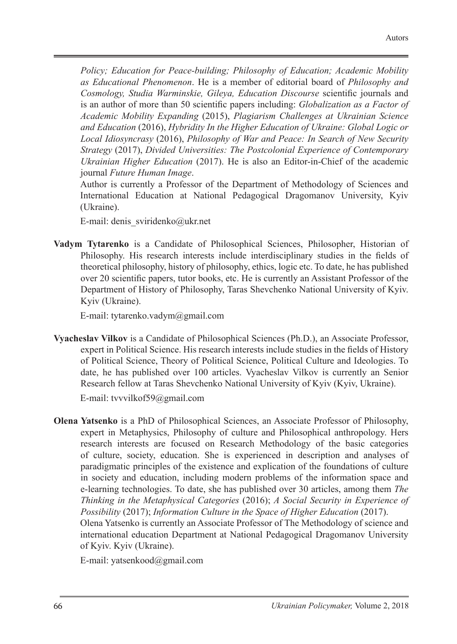*Policy; Education for Peace-building; Philosophy of Education; Academic Mobility as Educational Phenomenon*. He is a member of editorial board of *Philosophy and Cosmology, Studia Warminskie, Gileya, Education Discourse* scientific journals and is an author of more than 50 scientific papers including: *Globalization as a Factor of Academic Mobility Expanding* (2015), *Plagiarism Challenges at Ukrainian Science and Education* (2016), *Hybridity In the Higher Education of Ukraine: Global Logic or Local Idiosyncrasy* (2016), *Philosophy of War and Peace: In Search of New Security Strategy* (2017), *Divided Universities: The Postcolonial Experience of Contemporary Ukrainian Higher Education* (2017). He is also an Editor-in-Chief of the academic journal *Future Human Image*.

Author is currently a Professor of the Department of Methodology of Sciences and International Education at National Pedagogical Dragomanov University, Kyiv (Ukraine).

E-mail: denis\_sviridenko@ukr.net

**Vadym Tytarenko** is a Candidate of Philosophical Sciences, Philosopher, Historian of Philosophy. His research interests include interdisciplinary studies in the fields of theoretical philosophy, history of philosophy, ethics, logic etc. To date, he has published over 20 scientific papers, tutor books, etc. He is currently an Assistant Professor of the Department of History of Philosophy, Taras Shevchenko National University of Kyiv. Kyiv (Ukraine).

E-mail: tytarenko.vadym@gmail.com

**Vyacheslav Vilkov** is a Candidate of Philosophical Sciences (Ph.D.), an Associate Professor, expert in Political Science. His research interests include studies in the fields of History of Political Science, Theory of Political Science, Political Culture and Ideologies. To date, he has published over 100 articles. Vyacheslav Vilkov is currently an Senior Research fellow at Taras Shevchenko National University of Kyiv (Kyiv, Ukraine).

E-mail: tvvvilkof59@gmail.com

**Olena Yatsenko** is a PhD of Philosophical Sciences, an Associate Professor of Philosophy, expert in Metaphysics, Philosophy of culture and Philosophical anthropology. Hers research interests are focused on Research Methodology of the basic categories of culture, society, education. She is experienced in description and analyses of paradigmatic principles of the existence and explication of the foundations of culture in society and education, including modern problems of the information space and e-learning technologies. To date, she has published over 30 articles, among them *The Thinking in the Metaphysical Categories* (2016); *А Social Security in Experience of Possibility* (2017); *Information Culture in the Space of Higher Education* (2017). Olena Yatsenko is currently an Associate Professor of The Methodology of science and international education Department at National Pedagogical Dragomanov University of Kyiv. Kyiv (Ukraine).

E-mail: yatsenkood@gmail.com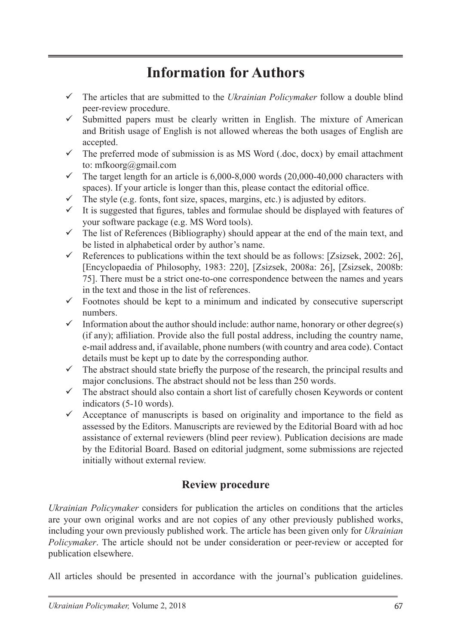# **Information for Authors**

- The articles that are submitted to the *Ukrainian Policymaker* follow a double blind peer-review procedure.
- $\checkmark$  Submitted papers must be clearly written in English. The mixture of American and British usage of English is not allowed whereas the both usages of English are accepted.
- $\checkmark$  The preferred mode of submission is as MS Word (.doc, docx) by email attachment to: mfkoorg@gmail.com
- $\checkmark$  The target length for an article is 6,000-8,000 words (20,000-40,000 characters with spaces). If your article is longer than this, please contact the editorial office.
- $\checkmark$  The style (e.g. fonts, font size, spaces, margins, etc.) is adjusted by editors.
- $\checkmark$  It is suggested that figures, tables and formulae should be displayed with features of your software package (e.g. MS Word tools).
- $\checkmark$  The list of References (Bibliography) should appear at the end of the main text, and be listed in alphabetical order by author's name.
- $\checkmark$  References to publications within the text should be as follows: [Zsizsek, 2002: 26], [Encyclopaedia of Philosophy, 1983: 220], [Zsizsek, 2008a: 26], [Zsizsek, 2008b: 75]. There must be a strict one-to-one correspondence between the names and years in the text and those in the list of references.
- $\checkmark$  Footnotes should be kept to a minimum and indicated by consecutive superscript numbers.
- $\checkmark$  Information about the author should include: author name, honorary or other degree(s) (if any); affiliation. Provide also the full postal address, including the country name, e-mail address and, if available, phone numbers (with country and area code). Contact details must be kept up to date by the corresponding author.
- $\checkmark$  The abstract should state briefly the purpose of the research, the principal results and major conclusions. The abstract should not be less than 250 words.
- $\checkmark$  The abstract should also contain a short list of carefully chosen Keywords or content indicators (5-10 words).
- $\checkmark$  Acceptance of manuscripts is based on originality and importance to the field as assessed by the Editors. Manuscripts are reviewed by the Editorial Board with ad hoc assistance of external reviewers (blind peer review). Publication decisions are made by the Editorial Board. Based on editorial judgment, some submissions are rejected initially without external review.

# **Review procedure**

*Ukrainian Policymaker* considers for publication the articles on conditions that the articles are your own original works and are not copies of any other previously published works, including your own previously published work. The article has been given only for *Ukrainian Policymaker*. The article should not be under consideration or peer-review or accepted for publication elsewhere.

All articles should be presented in accordance with the journal's publication guidelines.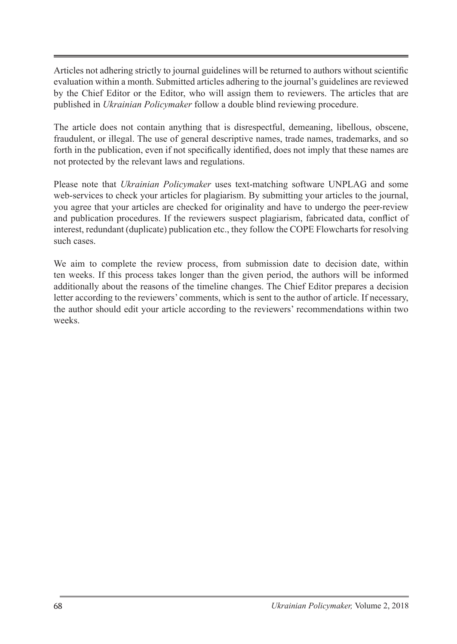Articles not adhering strictly to journal guidelines will be returned to authors without scientific evaluation within a month. Submitted articles adhering to the journal's guidelines are reviewed by the Chief Editor or the Editor, who will assign them to reviewers. The articles that are published in *Ukrainian Policymaker* follow a double blind reviewing procedure.

The article does not contain anything that is disrespectful, demeaning, libellous, obscene, fraudulent, or illegal. The use of general descriptive names, trade names, trademarks, and so forth in the publication, even if not specifically identified, does not imply that these names are not protected by the relevant laws and regulations.

Please note that *Ukrainian Policymaker* uses text-matching software UNPLAG and some web-services to check your articles for plagiarism. By submitting your articles to the journal, you agree that your articles are checked for originality and have to undergo the peer-review and publication procedures. If the reviewers suspect plagiarism, fabricated data, conflict of interest, redundant (duplicate) publication etc., they follow the COPE Flowcharts for resolving such cases.

We aim to complete the review process, from submission date to decision date, within ten weeks. If this process takes longer than the given period, the authors will be informed additionally about the reasons of the timeline changes. The Chief Editor prepares a decision letter according to the reviewers' comments, which is sent to the author of article. If necessary, the author should edit your article according to the reviewers' recommendations within two weeks.